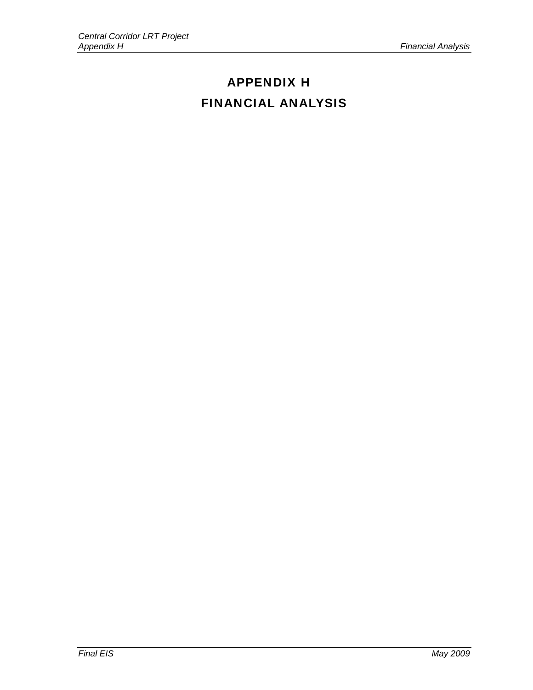# APPENDIX H FINANCIAL ANALYSIS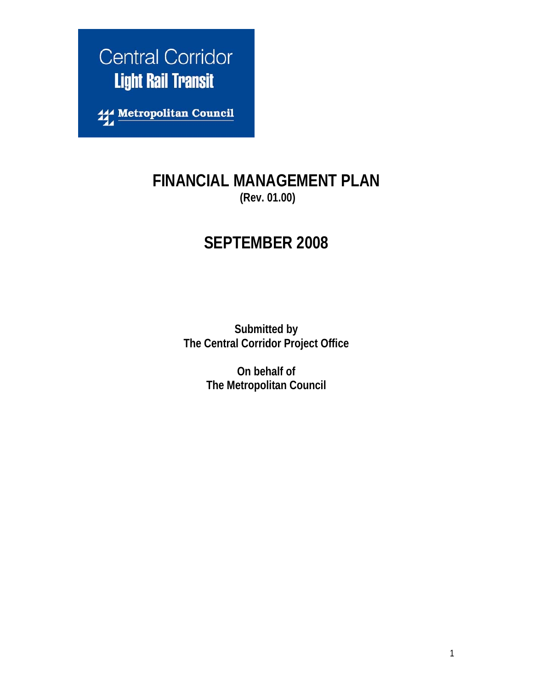

**114 Metropolitan Council** 

# **FINANCIAL MANAGEMENT PLAN (Rev. 01.00)**

# **SEPTEMBER 2008**

**Submitted by The Central Corridor Project Office** 

> **On behalf of The Metropolitan Council**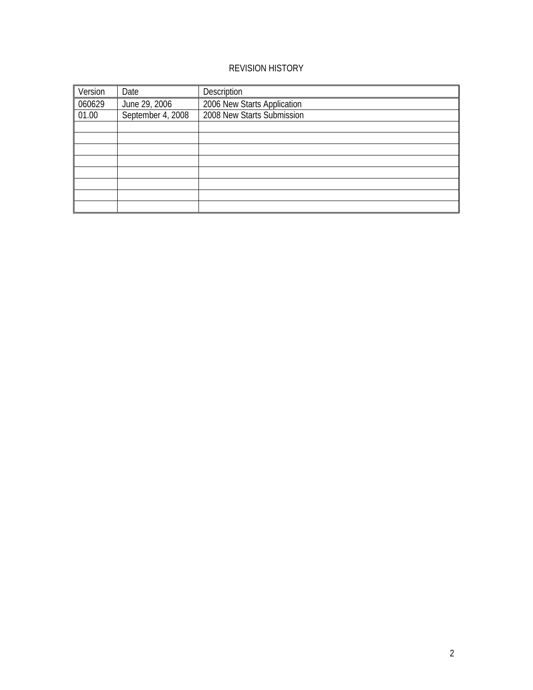## REVISION HISTORY

| Version | Date              | Description                 |
|---------|-------------------|-----------------------------|
| 060629  | June 29, 2006     | 2006 New Starts Application |
| 01.00   | September 4, 2008 | 2008 New Starts Submission  |
|         |                   |                             |
|         |                   |                             |
|         |                   |                             |
|         |                   |                             |
|         |                   |                             |
|         |                   |                             |
|         |                   |                             |
|         |                   |                             |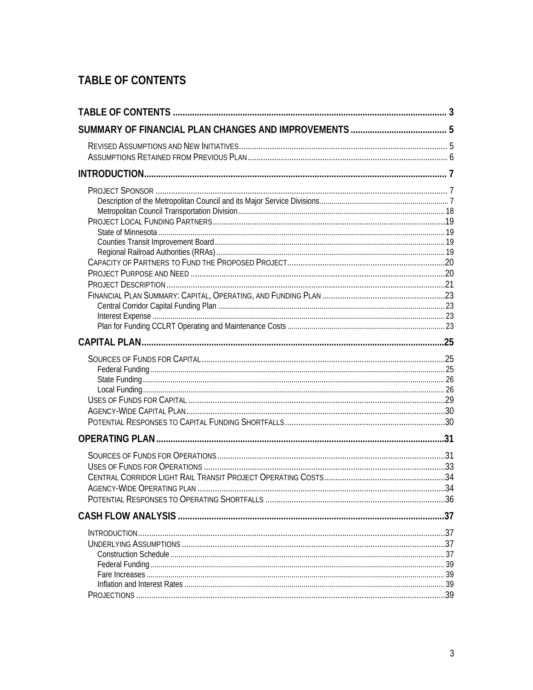# **TABLE OF CONTENTS**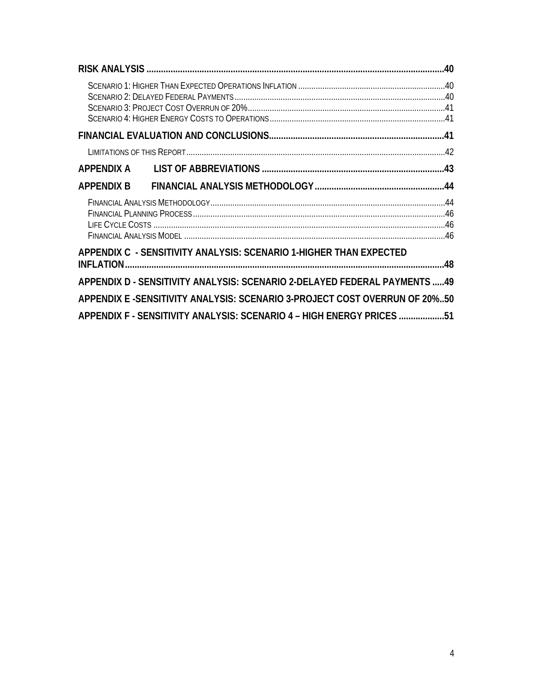| <b>APPENDIX B</b> |                                                                            |  |
|-------------------|----------------------------------------------------------------------------|--|
|                   |                                                                            |  |
|                   |                                                                            |  |
|                   | APPENDIX C - SENSITIVITY ANALYSIS: SCENARIO 1-HIGHER THAN EXPECTED         |  |
|                   | APPENDIX D - SENSITIVITY ANALYSIS: SCENARIO 2-DELAYED FEDERAL PAYMENTS 49  |  |
|                   | APPENDIX E -SENSITIVITY ANALYSIS: SCENARIO 3-PROJECT COST OVERRUN OF 20%50 |  |
|                   | APPENDIX F - SENSITIVITY ANALYSIS: SCENARIO 4 - HIGH ENERGY PRICES 51      |  |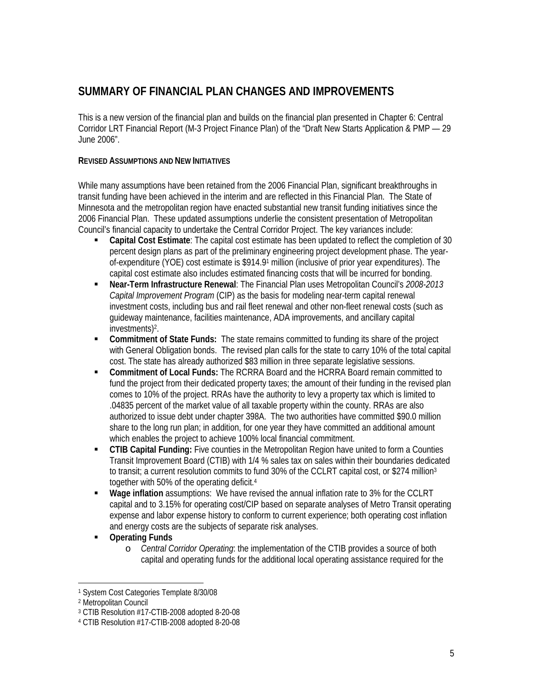## **SUMMARY OF FINANCIAL PLAN CHANGES AND IMPROVEMENTS**

This is a new version of the financial plan and builds on the financial plan presented in Chapter 6: Central Corridor LRT Financial Report (M-3 Project Finance Plan) of the "Draft New Starts Application & PMP — 29 June 2006".

#### **REVISED ASSUMPTIONS AND NEW INITIATIVES**

While many assumptions have been retained from the 2006 Financial Plan, significant breakthroughs in transit funding have been achieved in the interim and are reflected in this Financial Plan. The State of Minnesota and the metropolitan region have enacted substantial new transit funding initiatives since the 2006 Financial Plan. These updated assumptions underlie the consistent presentation of Metropolitan Council's financial capacity to undertake the Central Corridor Project. The key variances include:

- **Capital Cost Estimate**: The capital cost estimate has been updated to reflect the completion of 30 percent design plans as part of the preliminary engineering project development phase. The yearof-expenditure (YOE) cost estimate is \$914.91 million (inclusive of prior year expenditures). The capital cost estimate also includes estimated financing costs that will be incurred for bonding.
- **Near-Term Infrastructure Renewal**: The Financial Plan uses Metropolitan Council's *2008-2013 Capital Improvement Program* (CIP) as the basis for modeling near-term capital renewal investment costs, including bus and rail fleet renewal and other non-fleet renewal costs (such as guideway maintenance, facilities maintenance, ADA improvements, and ancillary capital investments)2.
- **Commitment of State Funds:** The state remains committed to funding its share of the project with General Obligation bonds. The revised plan calls for the state to carry 10% of the total capital cost. The state has already authorized \$83 million in three separate legislative sessions.
- **Commitment of Local Funds:** The RCRRA Board and the HCRRA Board remain committed to fund the project from their dedicated property taxes; the amount of their funding in the revised plan comes to 10% of the project. RRAs have the authority to levy a property tax which is limited to .04835 percent of the market value of all taxable property within the county. RRAs are also authorized to issue debt under chapter 398A. The two authorities have committed \$90.0 million share to the long run plan; in addition, for one year they have committed an additional amount which enables the project to achieve 100% local financial commitment.
- **CTIB Capital Funding:** Five counties in the Metropolitan Region have united to form a Counties Transit Improvement Board (CTIB) with 1/4 % sales tax on sales within their boundaries dedicated to transit; a current resolution commits to fund 30% of the CCLRT capital cost, or \$274 million<sup>3</sup> together with 50% of the operating deficit.4
- **Wage inflation** assumptions: We have revised the annual inflation rate to 3% for the CCLRT capital and to 3.15% for operating cost/CIP based on separate analyses of Metro Transit operating expense and labor expense history to conform to current experience; both operating cost inflation and energy costs are the subjects of separate risk analyses.
- **Operating Funds** 
	- o *Central Corridor Operating*: the implementation of the CTIB provides a source of both capital and operating funds for the additional local operating assistance required for the

<sup>&</sup>lt;u>.</u> 1 System Cost Categories Template 8/30/08

<sup>2</sup> Metropolitan Council

<sup>3</sup> CTIB Resolution #17-CTIB-2008 adopted 8-20-08

<sup>4</sup> CTIB Resolution #17-CTIB-2008 adopted 8-20-08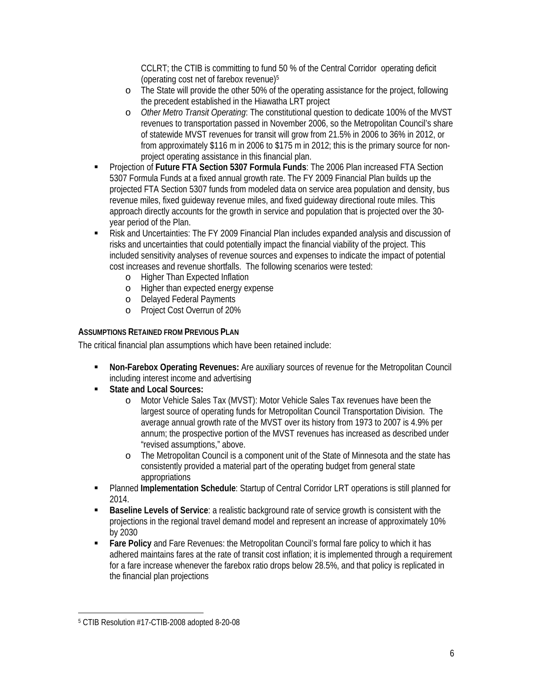CCLRT; the CTIB is committing to fund 50 % of the Central Corridor operating deficit (operating cost net of farebox revenue)5

- o The State will provide the other 50% of the operating assistance for the project, following the precedent established in the Hiawatha LRT project
- o *Other Metro Transit Operating*: The constitutional question to dedicate 100% of the MVST revenues to transportation passed in November 2006, so the Metropolitan Council's share of statewide MVST revenues for transit will grow from 21.5% in 2006 to 36% in 2012, or from approximately \$116 m in 2006 to \$175 m in 2012; this is the primary source for nonproject operating assistance in this financial plan.
- Projection of **Future FTA Section 5307 Formula Funds**: The 2006 Plan increased FTA Section 5307 Formula Funds at a fixed annual growth rate. The FY 2009 Financial Plan builds up the projected FTA Section 5307 funds from modeled data on service area population and density, bus revenue miles, fixed guideway revenue miles, and fixed guideway directional route miles. This approach directly accounts for the growth in service and population that is projected over the 30 year period of the Plan.
- Risk and Uncertainties: The FY 2009 Financial Plan includes expanded analysis and discussion of risks and uncertainties that could potentially impact the financial viability of the project. This included sensitivity analyses of revenue sources and expenses to indicate the impact of potential cost increases and revenue shortfalls. The following scenarios were tested:
	- o Higher Than Expected Inflation
	- o Higher than expected energy expense
	- o Delayed Federal Payments
	- o Project Cost Overrun of 20%

#### **ASSUMPTIONS RETAINED FROM PREVIOUS PLAN**

The critical financial plan assumptions which have been retained include:

- **Non-Farebox Operating Revenues:** Are auxiliary sources of revenue for the Metropolitan Council including interest income and advertising
- **State and Local Sources:** 
	- o Motor Vehicle Sales Tax (MVST): Motor Vehicle Sales Tax revenues have been the largest source of operating funds for Metropolitan Council Transportation Division. The average annual growth rate of the MVST over its history from 1973 to 2007 is 4.9% per annum; the prospective portion of the MVST revenues has increased as described under "revised assumptions," above.
	- o The Metropolitan Council is a component unit of the State of Minnesota and the state has consistently provided a material part of the operating budget from general state appropriations
- Planned **Implementation Schedule**: Startup of Central Corridor LRT operations is still planned for 2014.
- **Baseline Levels of Service**: a realistic background rate of service growth is consistent with the projections in the regional travel demand model and represent an increase of approximately 10% by 2030
- **Fare Policy** and Fare Revenues: the Metropolitan Council's formal fare policy to which it has adhered maintains fares at the rate of transit cost inflation; it is implemented through a requirement for a fare increase whenever the farebox ratio drops below 28.5%, and that policy is replicated in the financial plan projections

<u>.</u>

<sup>5</sup> CTIB Resolution #17-CTIB-2008 adopted 8-20-08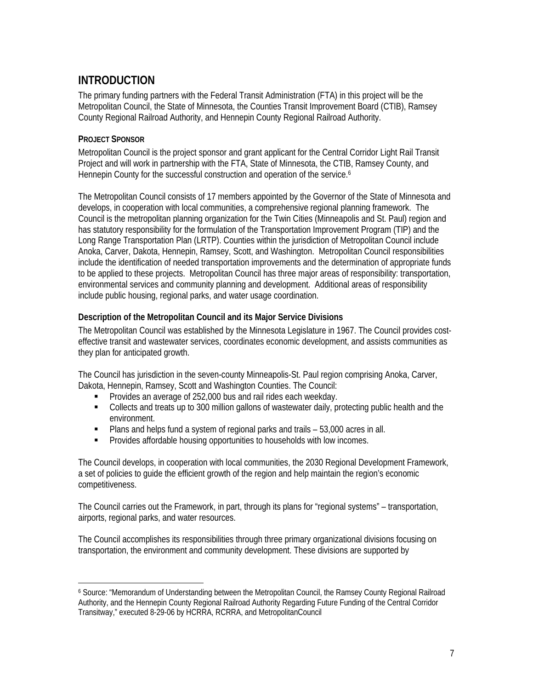# **INTRODUCTION**

The primary funding partners with the Federal Transit Administration (FTA) in this project will be the Metropolitan Council, the State of Minnesota, the Counties Transit Improvement Board (CTIB), Ramsey County Regional Railroad Authority, and Hennepin County Regional Railroad Authority.

### **PROJECT SPONSOR**

Metropolitan Council is the project sponsor and grant applicant for the Central Corridor Light Rail Transit Project and will work in partnership with the FTA, State of Minnesota, the CTIB, Ramsey County, and Hennepin County for the successful construction and operation of the service.<sup>6</sup>

The Metropolitan Council consists of 17 members appointed by the Governor of the State of Minnesota and develops, in cooperation with local communities, a comprehensive regional planning framework. The Council is the metropolitan planning organization for the Twin Cities (Minneapolis and St. Paul) region and has statutory responsibility for the formulation of the Transportation Improvement Program (TIP) and the Long Range Transportation Plan (LRTP). Counties within the jurisdiction of Metropolitan Council include Anoka, Carver, Dakota, Hennepin, Ramsey, Scott, and Washington. Metropolitan Council responsibilities include the identification of needed transportation improvements and the determination of appropriate funds to be applied to these projects. Metropolitan Council has three major areas of responsibility: transportation, environmental services and community planning and development. Additional areas of responsibility include public housing, regional parks, and water usage coordination.

#### **Description of the Metropolitan Council and its Major Service Divisions**

The Metropolitan Council was established by the Minnesota Legislature in 1967. The Council provides costeffective transit and wastewater services, coordinates economic development, and assists communities as they plan for anticipated growth.

The Council has jurisdiction in the seven-county Minneapolis-St. Paul region comprising Anoka, Carver, Dakota, Hennepin, Ramsey, Scott and Washington Counties. The Council:

- **Provides an average of 252,000 bus and rail rides each weekday.**
- Collects and treats up to 300 million gallons of wastewater daily, protecting public health and the environment.
- Plans and helps fund a system of regional parks and trails 53,000 acres in all.
- **Provides affordable housing opportunities to households with low incomes.**

The Council develops, in cooperation with local communities, the 2030 Regional Development Framework, a set of policies to guide the efficient growth of the region and help maintain the region's economic competitiveness.

The Council carries out the Framework, in part, through its plans for "regional systems" – transportation, airports, regional parks, and water resources.

The Council accomplishes its responsibilities through three primary organizational divisions focusing on transportation, the environment and community development. These divisions are supported by

<sup>&</sup>lt;u>.</u> 6 Source: "Memorandum of Understanding between the Metropolitan Council, the Ramsey County Regional Railroad Authority, and the Hennepin County Regional Railroad Authority Regarding Future Funding of the Central Corridor Transitway," executed 8-29-06 by HCRRA, RCRRA, and MetropolitanCouncil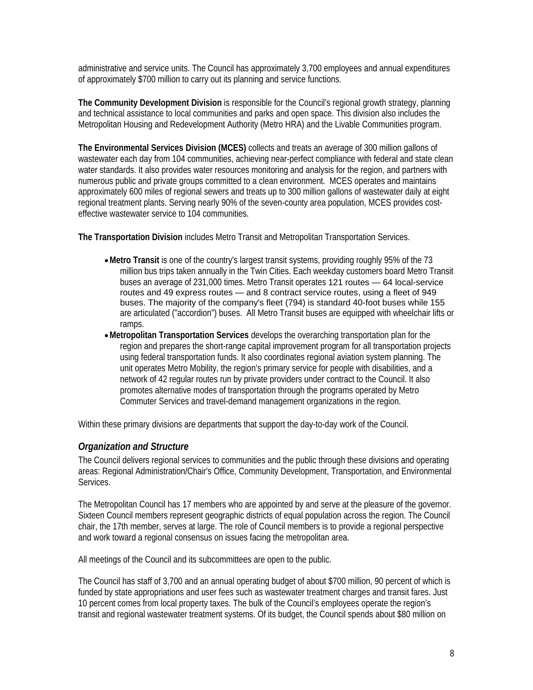administrative and service units. The Council has approximately 3,700 employees and annual expenditures of approximately \$700 million to carry out its planning and service functions.

**The Community Development Division** is responsible for the Council's regional growth strategy, planning and technical assistance to local communities and parks and open space. This division also includes the Metropolitan Housing and Redevelopment Authority (Metro HRA) and the Livable Communities program.

**The Environmental Services Division (MCES)** collects and treats an average of 300 million gallons of wastewater each day from 104 communities, achieving near-perfect compliance with federal and state clean water standards. It also provides water resources monitoring and analysis for the region, and partners with numerous public and private groups committed to a clean environment. MCES operates and maintains approximately 600 miles of regional sewers and treats up to 300 million gallons of wastewater daily at eight regional treatment plants. Serving nearly 90% of the seven-county area population, MCES provides costeffective wastewater service to 104 communities.

**The Transportation Division** includes Metro Transit and Metropolitan Transportation Services.

- •**Metro Transit** is one of the country's largest transit systems, providing roughly 95% of the 73 million bus trips taken annually in the Twin Cities. Each weekday customers board Metro Transit buses an average of 231,000 times. Metro Transit operates 121 routes — 64 local-service routes and 49 express routes — and 8 contract service routes, using a fleet of 949 buses. The majority of the company's fleet (794) is standard 40-foot buses while 155 are articulated ("accordion") buses. All Metro Transit buses are equipped with wheelchair lifts or ramps.
- •**Metropolitan Transportation Services** develops the overarching transportation plan for the region and prepares the short-range capital improvement program for all transportation projects using federal transportation funds. It also coordinates regional aviation system planning. The unit operates Metro Mobility, the region's primary service for people with disabilities, and a network of 42 regular routes run by private providers under contract to the Council. It also promotes alternative modes of transportation through the programs operated by Metro Commuter Services and travel-demand management organizations in the region.

Within these primary divisions are departments that support the day-to-day work of the Council.

#### *Organization and Structure*

The Council delivers regional services to communities and the public through these divisions and operating areas: Regional Administration/Chair's Office, Community Development, Transportation, and Environmental Services.

The Metropolitan Council has 17 members who are appointed by and serve at the pleasure of the governor. Sixteen Council members represent geographic districts of equal population across the region. The Council chair, the 17th member, serves at large. The role of Council members is to provide a regional perspective and work toward a regional consensus on issues facing the metropolitan area.

All meetings of the Council and its subcommittees are open to the public.

The Council has staff of 3,700 and an annual operating budget of about \$700 million, 90 percent of which is funded by state appropriations and user fees such as wastewater treatment charges and transit fares. Just 10 percent comes from local property taxes. The bulk of the Council's employees operate the region's transit and regional wastewater treatment systems. Of its budget, the Council spends about \$80 million on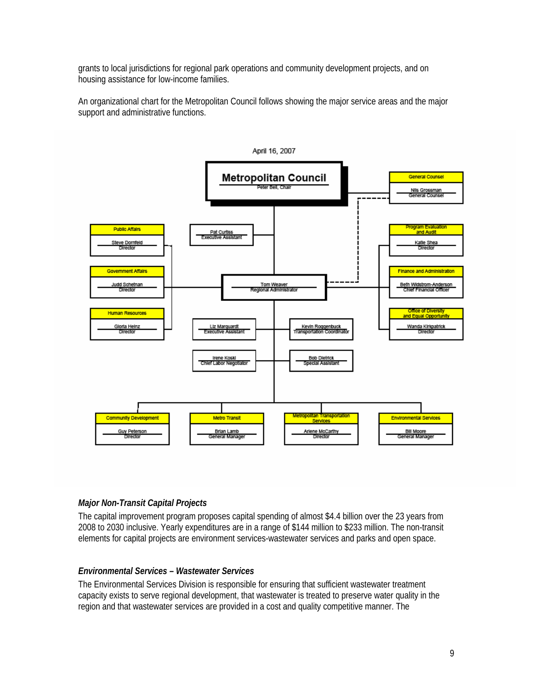grants to local jurisdictions for regional park operations and community development projects, and on housing assistance for low-income families.

An organizational chart for the Metropolitan Council follows showing the major service areas and the major support and administrative functions.



### *Major Non-Transit Capital Projects*

The capital improvement program proposes capital spending of almost \$4.4 billion over the 23 years from 2008 to 2030 inclusive. Yearly expenditures are in a range of \$144 million to \$233 million. The non-transit elements for capital projects are environment services-wastewater services and parks and open space.

#### *Environmental Services – Wastewater Services*

The Environmental Services Division is responsible for ensuring that sufficient wastewater treatment capacity exists to serve regional development, that wastewater is treated to preserve water quality in the region and that wastewater services are provided in a cost and quality competitive manner. The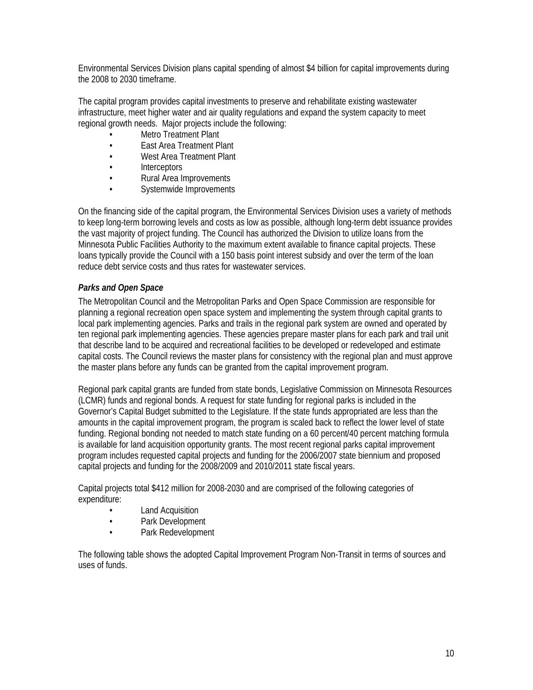Environmental Services Division plans capital spending of almost \$4 billion for capital improvements during the 2008 to 2030 timeframe.

The capital program provides capital investments to preserve and rehabilitate existing wastewater infrastructure, meet higher water and air quality regulations and expand the system capacity to meet regional growth needs. Major projects include the following:

- **Metro Treatment Plant**
- East Area Treatment Plant
- West Area Treatment Plant
- Interceptors
- Rural Area Improvements
- Systemwide Improvements

On the financing side of the capital program, the Environmental Services Division uses a variety of methods to keep long-term borrowing levels and costs as low as possible, although long-term debt issuance provides the vast majority of project funding. The Council has authorized the Division to utilize loans from the Minnesota Public Facilities Authority to the maximum extent available to finance capital projects. These loans typically provide the Council with a 150 basis point interest subsidy and over the term of the loan reduce debt service costs and thus rates for wastewater services.

#### *Parks and Open Space*

The Metropolitan Council and the Metropolitan Parks and Open Space Commission are responsible for planning a regional recreation open space system and implementing the system through capital grants to local park implementing agencies. Parks and trails in the regional park system are owned and operated by ten regional park implementing agencies. These agencies prepare master plans for each park and trail unit that describe land to be acquired and recreational facilities to be developed or redeveloped and estimate capital costs. The Council reviews the master plans for consistency with the regional plan and must approve the master plans before any funds can be granted from the capital improvement program.

Regional park capital grants are funded from state bonds, Legislative Commission on Minnesota Resources (LCMR) funds and regional bonds. A request for state funding for regional parks is included in the Governor's Capital Budget submitted to the Legislature. If the state funds appropriated are less than the amounts in the capital improvement program, the program is scaled back to reflect the lower level of state funding. Regional bonding not needed to match state funding on a 60 percent/40 percent matching formula is available for land acquisition opportunity grants. The most recent regional parks capital improvement program includes requested capital projects and funding for the 2006/2007 state biennium and proposed capital projects and funding for the 2008/2009 and 2010/2011 state fiscal years.

Capital projects total \$412 million for 2008-2030 and are comprised of the following categories of expenditure:

- **Land Acquisition**
- Park Development
- Park Redevelopment

The following table shows the adopted Capital Improvement Program Non-Transit in terms of sources and uses of funds.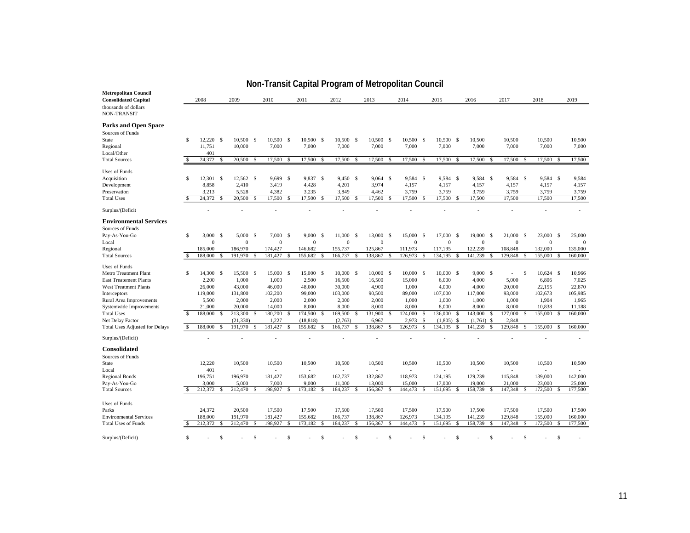| <b>Metropolitan Council</b><br><b>Consolidated Capital</b><br>thousands of dollars<br>NON-TRANSIT                                                                                                                                                                      |                                | 2008                                                                             |             | 2009                                                                                             |               | 2010                                                                                   |               | 2011                                                                                        |               | 2012                                                                                     |                            | 2013                                                                                    |          | 2014                                                                                 |                    | 2015                                                                                      |                      | 2016                                                                                         |          | 2017                                                                          |                     | 2018                                                                                        | 2019                                                                          |
|------------------------------------------------------------------------------------------------------------------------------------------------------------------------------------------------------------------------------------------------------------------------|--------------------------------|----------------------------------------------------------------------------------|-------------|--------------------------------------------------------------------------------------------------|---------------|----------------------------------------------------------------------------------------|---------------|---------------------------------------------------------------------------------------------|---------------|------------------------------------------------------------------------------------------|----------------------------|-----------------------------------------------------------------------------------------|----------|--------------------------------------------------------------------------------------|--------------------|-------------------------------------------------------------------------------------------|----------------------|----------------------------------------------------------------------------------------------|----------|-------------------------------------------------------------------------------|---------------------|---------------------------------------------------------------------------------------------|-------------------------------------------------------------------------------|
| <b>Parks and Open Space</b><br>Sources of Funds<br>State<br>Regional                                                                                                                                                                                                   | \$                             | $12,220$ \$<br>11,751                                                            |             | 10,500 \$<br>10,000                                                                              |               | 10,500 \$<br>7,000                                                                     |               | 10,500 \$<br>7,000                                                                          |               | 10,500 \$<br>7,000                                                                       |                            | 10,500 \$<br>7,000                                                                      |          | 10,500 \$<br>7,000                                                                   |                    | 10,500 \$<br>7,000                                                                        |                      | 10,500<br>7,000                                                                              |          | 10,500<br>7,000                                                               |                     | 10,500<br>7,000                                                                             | 10,500<br>7,000                                                               |
| Local/Other<br><b>Total Sources</b>                                                                                                                                                                                                                                    |                                | 401<br>24,372                                                                    | -S          | 20,500                                                                                           | <sup>\$</sup> | 17,500                                                                                 | <b>S</b>      | 17,500                                                                                      | -S            | 17,500                                                                                   | <sup>\$</sup>              | 17,500                                                                                  | S        | 17,500                                                                               | <b>S</b>           | 17,500                                                                                    | -S                   | 17,500                                                                                       | -S       | 17,500                                                                        | -S                  | 17,500<br>- \$                                                                              | 17,500                                                                        |
| <b>Uses of Funds</b><br>Acquisition<br>Development<br>Preservation<br><b>Total Uses</b>                                                                                                                                                                                | \$.                            | 12,301<br>8,858<br>3,213<br>24,372                                               | -S<br>-S    | 12,562 \$<br>2,410<br>5,528<br>20,500                                                            | <sup>\$</sup> | 9,699 \$<br>3,419<br>4,382<br>17,500                                                   | -S            | 9,837 \$<br>4,428<br>3,235<br>17,500                                                        | -S            | 9,450 \$<br>4,201<br>3,849<br>17,500                                                     | <sup>\$</sup>              | 9,064<br>3,974<br>4,462<br>17,500                                                       | - S<br>S | 9,584<br>4,157<br>3,759<br>17,500                                                    | -S<br><b>S</b>     | 9,584<br>4,157<br>3,759<br>17,500                                                         | - \$<br>-S           | 9,584 \$<br>4,157<br>3,759<br>17,500                                                         |          | 9,584 \$<br>4,157<br>3,759<br>17,500                                          |                     | 9,584 \$<br>4,157<br>3,759<br>17,500                                                        | 9,584<br>4,157<br>3,759<br>17,500                                             |
| Surplus/(Deficit                                                                                                                                                                                                                                                       |                                |                                                                                  |             |                                                                                                  |               |                                                                                        |               |                                                                                             |               |                                                                                          |                            |                                                                                         |          |                                                                                      |                    |                                                                                           |                      |                                                                                              |          |                                                                               |                     |                                                                                             |                                                                               |
| <b>Environmental Services</b><br>Sources of Funds<br>Pay-As-You-Go                                                                                                                                                                                                     | S                              | 3,000                                                                            | -S          | 5,000                                                                                            | -S            | 7,000                                                                                  | -S            | 9,000                                                                                       | -S            | 11,000                                                                                   | -S                         | 13,000                                                                                  | -S       | 15,000                                                                               | -S                 | 17,000                                                                                    | - S                  | 19,000                                                                                       | -S       | 21,000                                                                        | <sup>\$</sup>       | 23,000<br>-S                                                                                | 25,000                                                                        |
| Local                                                                                                                                                                                                                                                                  |                                | $\theta$                                                                         |             | $\Omega$                                                                                         |               | $\Omega$                                                                               |               | $\theta$                                                                                    |               | $\theta$                                                                                 |                            | $\theta$                                                                                |          | $\boldsymbol{0}$                                                                     |                    | $\theta$                                                                                  |                      | $\Omega$                                                                                     |          | $\mathbf{0}$                                                                  |                     | $\mathbf{0}$                                                                                | $\Omega$                                                                      |
| Regional<br><b>Total Sources</b>                                                                                                                                                                                                                                       | -S                             | 185,000<br>188,000                                                               | -S          | 186,970<br>191.970                                                                               | \$.           | 174,427<br>181.427                                                                     | <b>S</b>      | 146,682<br>155,682                                                                          | $\mathcal{S}$ | 155,737<br>166,737                                                                       | \$                         | 125,867<br>138,867                                                                      | -S       | 111,973<br>126,973                                                                   | <b>S</b>           | 117,195<br>134.195                                                                        | <sup>\$</sup>        | 122,239<br>141.239                                                                           | S        | 108,848<br>129.848                                                            | $\mathcal{S}$       | 132,000<br>155,000<br>-S                                                                    | 135,000<br>160,000                                                            |
| <b>Uses of Funds</b><br>Metro Treatment Plant<br><b>East Treatement Plants</b><br><b>West Treatment Plants</b><br>Interceptors<br>Rural Area Improvements<br>Systemwide Improvements<br><b>Total Uses</b><br>Net Delay Factor<br><b>Total Uses Adjusted for Delays</b> | \$.<br>$\mathbf{\hat{s}}$<br>S | 14,300<br>2,200<br>26,000<br>119,000<br>5,500<br>21,000<br>188,000 \$<br>188,000 | -\$<br>- \$ | 15,500 \$<br>1,000<br>43,000<br>131,800<br>2,000<br>20,000<br>213,300 \$<br>(21, 330)<br>191,970 | -\$           | 15,000<br>1,000<br>46,000<br>102,200<br>2,000<br>14,000<br>180,200<br>1,227<br>181,427 | -S<br>-S<br>S | 15,000 \$<br>2,500<br>48,000<br>99,000<br>2,000<br>8,000<br>174,500<br>(18, 818)<br>155,682 | -S<br>-S      | 10,000<br>16,500<br>30,000<br>103,000<br>2,000<br>8,000<br>169,500<br>(2,763)<br>166,737 | -S<br><sup>\$</sup><br>-\$ | 10,000 \$<br>16,500<br>4,900<br>90,500<br>2,000<br>8,000<br>131,900<br>6,967<br>138,867 | S<br>S   | 10,000<br>15,000<br>1,000<br>89,000<br>1,000<br>8,000<br>124,000<br>2,973<br>126,973 | -S<br>S<br>\$<br>S | 10,000 \$<br>6,000<br>4,000<br>107,000<br>1,000<br>8,000<br>136,000<br>(1,805)<br>134,195 | <b>S</b><br>-S<br>-S | 9,000 S<br>4,000<br>4,000<br>117,000<br>1,000<br>8,000<br>143,000<br>$(1,761)$ \$<br>141,239 | S.<br>-S | 5,000<br>20,000<br>93,000<br>1,000<br>8,000<br>127,000 \$<br>2,848<br>129,848 | $\mathcal{S}$<br>-S | $10,624$ \$<br>6,806<br>22,155<br>102,673<br>1,904<br>10,838<br>155,000 \$<br>155,000<br>-S | 10,966<br>7,025<br>22,870<br>105,985<br>1,965<br>11,188<br>160,000<br>160,000 |
| Surplus/(Deficit)                                                                                                                                                                                                                                                      |                                |                                                                                  |             |                                                                                                  |               |                                                                                        |               |                                                                                             |               |                                                                                          |                            |                                                                                         |          |                                                                                      |                    |                                                                                           |                      |                                                                                              |          |                                                                               |                     |                                                                                             |                                                                               |
| <b>Consolidated</b><br>Sources of Funds<br>State<br>Local<br><b>Regional Bonds</b><br>Pay-As-You-Go<br><b>Total Sources</b>                                                                                                                                            |                                | 12.220<br>401<br>196,751<br>3,000<br>212,372                                     | -S          | 10,500<br>196,970<br>5,000<br>212,470                                                            | £.            | 10,500<br>181,427<br>7,000<br>198,927                                                  | s             | 10,500<br>153,682<br>9,000<br>173,182                                                       |               | 10,500<br>162,737<br>11,000<br>184,237                                                   | S                          | 10,500<br>132,867<br>13,000<br>156,367                                                  |          | 10,500<br>÷,<br>118,973<br>15,000<br>144,473                                         | -S                 | 10,500<br>124,195<br>17,000<br>151,695                                                    |                      | 10,500<br>129,239<br>19,000<br>158,739                                                       | -S       | 10,500<br>115,848<br>21,000<br>147,348                                        | -S                  | 10,500<br>139,000<br>23,000<br>172,500                                                      | 10,500<br>142,000<br>25,000<br>177,500                                        |
| <b>Uses of Funds</b><br>Parks<br><b>Environmental Services</b><br><b>Total Uses of Funds</b>                                                                                                                                                                           |                                | 24,372<br>188,000<br>212,372                                                     |             | 20,500<br>191,970<br>212,470                                                                     |               | 17,500<br>181,427<br>198,927                                                           |               | 17,500<br>155,682<br>173.182                                                                |               | 17,500<br>166,737<br>184,237                                                             | \$                         | 17,500<br>138,867<br>156,367                                                            |          | 17,500<br>126,973<br>144,473                                                         | <b>S</b>           | 17,500<br>134,195<br>151.695                                                              |                      | 17,500<br>141,239<br>158,739                                                                 | S.       | 17,500<br>129,848<br>147,348                                                  |                     | 17,500<br>155,000<br>172,500<br>S                                                           | 17,500<br>160,000<br>177,500                                                  |
| Surplus/(Deficit)                                                                                                                                                                                                                                                      | Ŝ                              |                                                                                  | S           |                                                                                                  | \$            |                                                                                        | S             |                                                                                             | \$.           |                                                                                          | S                          |                                                                                         | S        |                                                                                      | .s                 |                                                                                           | \$.                  |                                                                                              | S        |                                                                               | \$                  | <sup>\$</sup>                                                                               |                                                                               |

# **Non-Transit Capital Program of Metropolitan Council**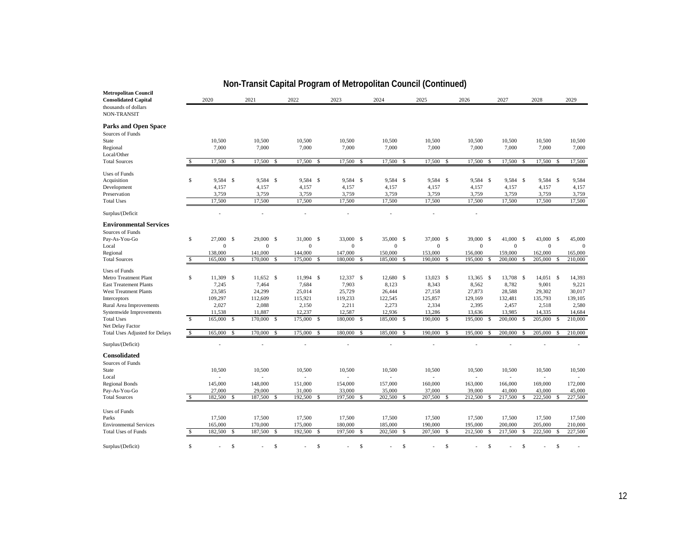| <b>Metropolitan Council</b><br><b>Consolidated Capital</b>                                                                                                   |                          | 2020                                                       |               | 2021                                                       |               | ່∙ັ∀:<br>2022                                              |               | <br>2023                                                   |             | 2024                                                       |               | 2025                                                       |               | 2026                                                       |               | 2027                                                       |                          | 2028                                                       |               | 2029                                                    |
|--------------------------------------------------------------------------------------------------------------------------------------------------------------|--------------------------|------------------------------------------------------------|---------------|------------------------------------------------------------|---------------|------------------------------------------------------------|---------------|------------------------------------------------------------|-------------|------------------------------------------------------------|---------------|------------------------------------------------------------|---------------|------------------------------------------------------------|---------------|------------------------------------------------------------|--------------------------|------------------------------------------------------------|---------------|---------------------------------------------------------|
| thousands of dollars<br>NON-TRANSIT                                                                                                                          |                          |                                                            |               |                                                            |               |                                                            |               |                                                            |             |                                                            |               |                                                            |               |                                                            |               |                                                            |                          |                                                            |               |                                                         |
| <b>Parks and Open Space</b><br>Sources of Funds<br>State<br>Regional                                                                                         |                          | 10,500<br>7,000                                            |               | 10,500<br>7,000                                            |               | 10,500<br>7,000                                            |               | 10,500<br>7,000                                            |             | 10,500<br>7,000                                            |               | 10,500<br>7,000                                            |               | 10,500<br>7,000                                            |               | 10,500<br>7,000                                            |                          | 10,500<br>7,000                                            |               | 10,500<br>7,000                                         |
| Local/Other<br><b>Total Sources</b>                                                                                                                          | $\mathcal{S}$            | 17,500                                                     | <sup>\$</sup> | 17,500                                                     | -S            | 17,500                                                     | -S            | 17,500                                                     | S           | 17,500                                                     | <sup>\$</sup> | 17,500                                                     | <sup>\$</sup> | 17,500                                                     |               | 17,500                                                     | \$.                      | 17,500                                                     | - \$          | 17,500                                                  |
| <b>Uses of Funds</b><br>Acquisition<br>Development<br>Preservation<br><b>Total Uses</b>                                                                      | S                        | 9,584 \$<br>4,157<br>3,759<br>17,500                       |               | 9,584 \$<br>4,157<br>3,759<br>17,500                       |               | 9,584 \$<br>4,157<br>3,759<br>17,500                       |               | 9,584 \$<br>4,157<br>3,759<br>17,500                       |             | 9,584 \$<br>4,157<br>3,759<br>17,500                       |               | 9,584 \$<br>4,157<br>3,759<br>17,500                       |               | 9,584 \$<br>4,157<br>3,759<br>17,500                       |               | 9,584 \$<br>4,157<br>3,759<br>17,500                       |                          | 9,584 \$<br>4,157<br>3,759<br>17,500                       |               | 9,584<br>4,157<br>3,759<br>17,500                       |
| Surplus/(Deficit                                                                                                                                             |                          |                                                            |               |                                                            |               |                                                            |               |                                                            |             |                                                            |               |                                                            |               |                                                            |               |                                                            |                          |                                                            |               |                                                         |
| <b>Environmental Services</b><br>Sources of Funds<br>Pay-As-You-Go<br>Local<br>Regional<br><b>Total Sources</b>                                              | S<br>$\mathbb{S}$        | 27,000 \$<br>$\boldsymbol{0}$<br>138,000<br>165,000 \$     |               | 29,000 \$<br>$\theta$<br>141,000<br>170,000 \$             |               | 31,000 \$<br>$\theta$<br>144,000<br>175,000 \$             |               | 33,000 \$<br>$\mathbf{0}$<br>147,000<br>180,000            | -S          | 35,000 \$<br>$\boldsymbol{0}$<br>150,000<br>185,000 \$     |               | 37,000 \$<br>$\boldsymbol{0}$<br>153,000<br>190,000 \$     |               | 39,000<br>$\boldsymbol{0}$<br>156,000<br>195,000           | - S<br>-S     | 41,000<br>$\mathbf{0}$<br>159,000<br>200,000               | <b>S</b><br>$\mathbb{S}$ | 43,000 \$<br>$\boldsymbol{0}$<br>162,000<br>205,000        | <sup>\$</sup> | 45,000<br>$\mathbf{0}$<br>165,000<br>210,000            |
| <b>Uses of Funds</b>                                                                                                                                         |                          |                                                            |               |                                                            |               |                                                            |               |                                                            |             |                                                            |               |                                                            |               |                                                            |               |                                                            |                          |                                                            |               |                                                         |
| Metro Treatment Plant<br><b>East Treatement Plants</b><br><b>West Treatment Plants</b><br>Interceptors<br>Rural Area Improvements<br>Systemwide Improvements | S                        | 11,309 \$<br>7,245<br>23,585<br>109,297<br>2,027<br>11,538 |               | 11,652 \$<br>7,464<br>24,299<br>112,609<br>2,088<br>11,887 |               | 11,994 \$<br>7,684<br>25,014<br>115,921<br>2,150<br>12,237 |               | 12,337 \$<br>7,903<br>25,729<br>119,233<br>2,211<br>12,587 |             | 12,680 \$<br>8,123<br>26,444<br>122,545<br>2,273<br>12,936 |               | 13,023 \$<br>8,343<br>27,158<br>125,857<br>2,334<br>13,286 |               | 13,365 \$<br>8,562<br>27,873<br>129,169<br>2,395<br>13,636 |               | 13,708 \$<br>8,782<br>28,588<br>132,481<br>2,457<br>13,985 |                          | 14,051 \$<br>9,001<br>29,302<br>135,793<br>2,518<br>14,335 |               | 14,393<br>9,221<br>30,017<br>139,105<br>2,580<br>14,684 |
| <b>Total Uses</b><br>Net Delay Factor                                                                                                                        | $\mathbb{S}$             | 165,000                                                    | <sup>S</sup>  | 170,000                                                    | $\mathbb{S}$  | 175,000                                                    | $\mathbf{s}$  | 180,000                                                    | -S          | 185,000                                                    | -S            | 190,000                                                    | <sup>\$</sup> | 195,000                                                    | -S            | 200,000                                                    | $\mathcal{S}$            | 205,000                                                    | -S            | 210,000                                                 |
| Total Uses Adjusted for Delays                                                                                                                               | $\overline{\mathcal{S}}$ | 165,000                                                    | <sup>S</sup>  | 170,000                                                    | <sup>\$</sup> | 175,000 \$                                                 |               | 180,000                                                    | -S          | 185,000                                                    | -S            | 190,000                                                    | <sup>\$</sup> | 195,000                                                    | $\mathcal{S}$ | 200,000                                                    | \$                       | 205,000                                                    | <sup>\$</sup> | 210,000                                                 |
| Surplus/(Deficit)                                                                                                                                            |                          |                                                            |               |                                                            |               |                                                            |               |                                                            |             |                                                            |               |                                                            |               |                                                            |               |                                                            |                          |                                                            |               |                                                         |
| <b>Consolidated</b><br>Sources of Funds<br>State<br>Local                                                                                                    |                          | 10,500                                                     |               | 10,500                                                     |               | 10,500                                                     |               | 10,500                                                     |             | 10,500                                                     |               | 10,500<br>L,                                               |               | 10,500                                                     |               | 10,500<br>$\overline{a}$                                   |                          | 10,500                                                     |               | 10,500                                                  |
| <b>Regional Bonds</b><br>Pay-As-You-Go                                                                                                                       |                          | 145,000<br>27,000                                          |               | 148,000<br>29,000                                          |               | 151,000<br>31,000                                          |               | 154,000<br>33,000                                          |             | 157,000<br>35,000                                          |               | 160,000<br>37,000                                          |               | 163,000<br>39,000                                          |               | 166,000<br>41,000                                          |                          | 169,000<br>43,000                                          |               | 172,000<br>45,000                                       |
| <b>Total Sources</b>                                                                                                                                         | S                        | 182,500                                                    | S.            | 187,500                                                    | S             | 192,500                                                    | -S            | 197,500                                                    | S           | 202,500                                                    | S             | 207,500                                                    | S             | 212,500                                                    |               | 217,500                                                    | \$                       | 222,500                                                    |               | 227,500                                                 |
| <b>Uses of Funds</b>                                                                                                                                         |                          |                                                            |               |                                                            |               |                                                            |               |                                                            |             |                                                            |               |                                                            |               |                                                            |               |                                                            |                          |                                                            |               |                                                         |
| Parks                                                                                                                                                        |                          | 17,500                                                     |               | 17,500                                                     |               | 17,500                                                     |               | 17,500                                                     |             | 17,500                                                     |               | 17,500                                                     |               | 17,500                                                     |               | 17,500                                                     |                          | 17,500                                                     |               | 17,500                                                  |
| <b>Environmental Services</b><br><b>Total Uses of Funds</b>                                                                                                  | -S                       | 165,000<br>182,500                                         | $\mathcal{S}$ | 170,000<br>187,500                                         | $\mathcal{S}$ | 175,000<br>192,500                                         | <sup>\$</sup> | 180,000<br>197,500                                         | S           | 185,000<br>202,500                                         | <sup>\$</sup> | 190,000<br>207,500                                         | $\mathcal{S}$ | 195,000<br>212,500                                         | S             | 200,000<br>217,500                                         | $\mathcal{S}$            | 205,000<br>222,500                                         | <sup>\$</sup> | 210,000<br>227,500                                      |
|                                                                                                                                                              |                          |                                                            |               |                                                            |               |                                                            |               |                                                            |             |                                                            |               |                                                            |               |                                                            |               |                                                            |                          |                                                            |               |                                                         |
| Surplus/(Deficit)                                                                                                                                            | $\mathbb{S}$             |                                                            | \$            |                                                            | <sup>\$</sup> |                                                            | s             |                                                            | $\mathbb S$ |                                                            | <sup>\$</sup> |                                                            | S             |                                                            | \$.           |                                                            | \$                       |                                                            | \$            |                                                         |

# **Non-Transit Capital Program of Metropolitan Council (Continued)**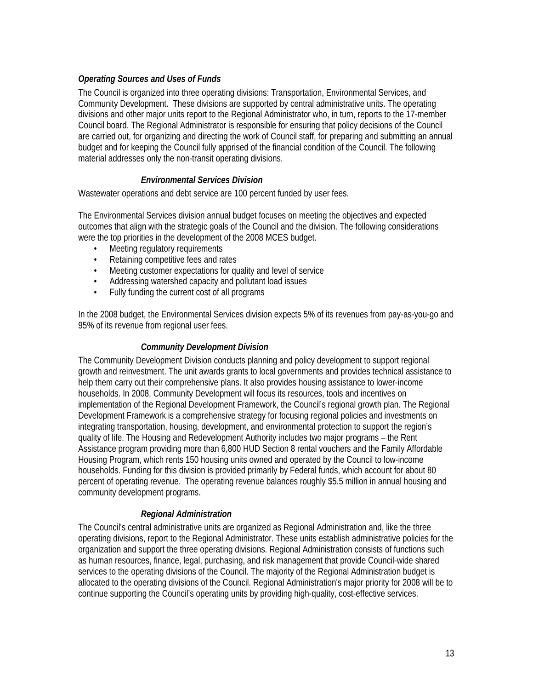### *Operating Sources and Uses of Funds*

The Council is organized into three operating divisions: Transportation, Environmental Services, and Community Development. These divisions are supported by central administrative units. The operating divisions and other major units report to the Regional Administrator who, in turn, reports to the 17-member Council board. The Regional Administrator is responsible for ensuring that policy decisions of the Council are carried out, for organizing and directing the work of Council staff, for preparing and submitting an annual budget and for keeping the Council fully apprised of the financial condition of the Council. The following material addresses only the non-transit operating divisions.

#### *Environmental Services Division*

Wastewater operations and debt service are 100 percent funded by user fees.

The Environmental Services division annual budget focuses on meeting the objectives and expected outcomes that align with the strategic goals of the Council and the division. The following considerations were the top priorities in the development of the 2008 MCES budget.

- Meeting regulatory requirements
- Retaining competitive fees and rates
- Meeting customer expectations for quality and level of service
- Addressing watershed capacity and pollutant load issues
- Fully funding the current cost of all programs

In the 2008 budget, the Environmental Services division expects 5% of its revenues from pay-as-you-go and 95% of its revenue from regional user fees.

#### *Community Development Division*

The Community Development Division conducts planning and policy development to support regional growth and reinvestment. The unit awards grants to local governments and provides technical assistance to help them carry out their comprehensive plans. It also provides housing assistance to lower-income households. In 2008, Community Development will focus its resources, tools and incentives on implementation of the Regional Development Framework, the Council's regional growth plan. The Regional Development Framework is a comprehensive strategy for focusing regional policies and investments on integrating transportation, housing, development, and environmental protection to support the region's quality of life. The Housing and Redevelopment Authority includes two major programs – the Rent Assistance program providing more than 6,800 HUD Section 8 rental vouchers and the Family Affordable Housing Program, which rents 150 housing units owned and operated by the Council to low-income households. Funding for this division is provided primarily by Federal funds, which account for about 80 percent of operating revenue. The operating revenue balances roughly \$5.5 million in annual housing and community development programs.

#### *Regional Administration*

The Council's central administrative units are organized as Regional Administration and, like the three operating divisions, report to the Regional Administrator. These units establish administrative policies for the organization and support the three operating divisions. Regional Administration consists of functions such as human resources, finance, legal, purchasing, and risk management that provide Council-wide shared services to the operating divisions of the Council. The majority of the Regional Administration budget is allocated to the operating divisions of the Council. Regional Administration's major priority for 2008 will be to continue supporting the Council's operating units by providing high-quality, cost-effective services.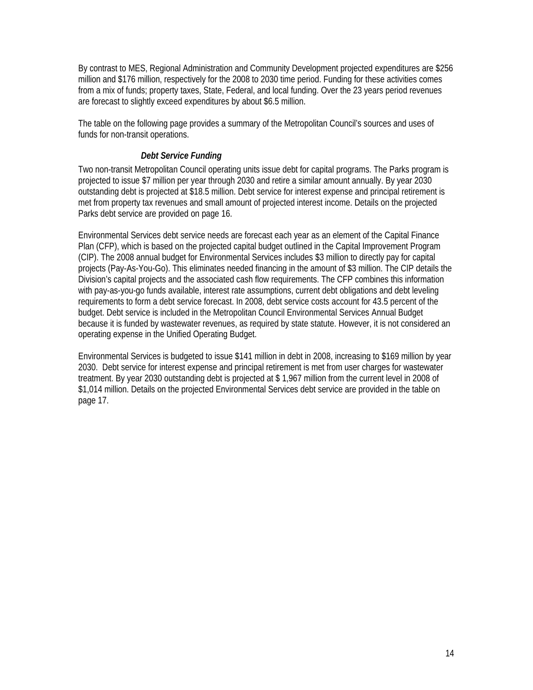By contrast to MES, Regional Administration and Community Development projected expenditures are \$256 million and \$176 million, respectively for the 2008 to 2030 time period. Funding for these activities comes from a mix of funds; property taxes, State, Federal, and local funding. Over the 23 years period revenues are forecast to slightly exceed expenditures by about \$6.5 million.

The table on the following page provides a summary of the Metropolitan Council's sources and uses of funds for non-transit operations.

#### *Debt Service Funding*

Two non-transit Metropolitan Council operating units issue debt for capital programs. The Parks program is projected to issue \$7 million per year through 2030 and retire a similar amount annually. By year 2030 outstanding debt is projected at \$18.5 million. Debt service for interest expense and principal retirement is met from property tax revenues and small amount of projected interest income. Details on the projected Parks debt service are provided on page 16.

Environmental Services debt service needs are forecast each year as an element of the Capital Finance Plan (CFP), which is based on the projected capital budget outlined in the Capital Improvement Program (CIP). The 2008 annual budget for Environmental Services includes \$3 million to directly pay for capital projects (Pay-As-You-Go). This eliminates needed financing in the amount of \$3 million. The CIP details the Division's capital projects and the associated cash flow requirements. The CFP combines this information with pay-as-you-go funds available, interest rate assumptions, current debt obligations and debt leveling requirements to form a debt service forecast. In 2008, debt service costs account for 43.5 percent of the budget. Debt service is included in the Metropolitan Council Environmental Services Annual Budget because it is funded by wastewater revenues, as required by state statute. However, it is not considered an operating expense in the Unified Operating Budget.

Environmental Services is budgeted to issue \$141 million in debt in 2008, increasing to \$169 million by year 2030. Debt service for interest expense and principal retirement is met from user charges for wastewater treatment. By year 2030 outstanding debt is projected at \$ 1,967 million from the current level in 2008 of \$1,014 million. Details on the projected Environmental Services debt service are provided in the table on page 17.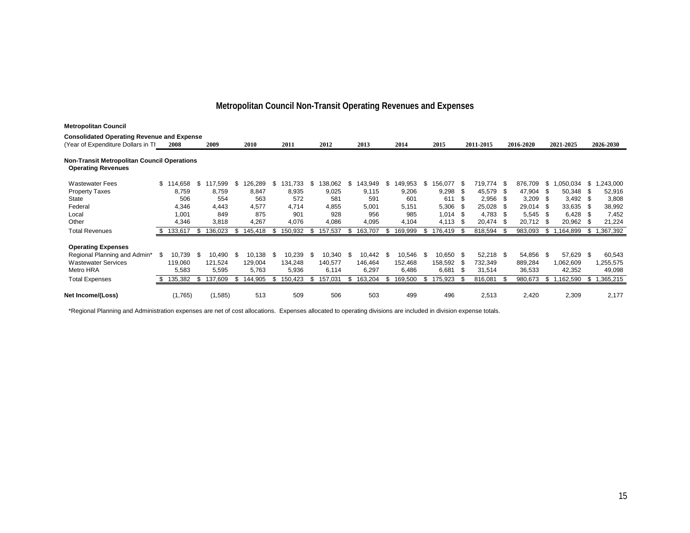## **Metropolitan Council Non-Transit Operating Revenues and Expenses**

| <b>Metropolitan Council</b>                                                     |      |           |      |         |      |             |      |         |      |         |      |             |   |         |    |         |      |           |      |           |      |            |      |           |
|---------------------------------------------------------------------------------|------|-----------|------|---------|------|-------------|------|---------|------|---------|------|-------------|---|---------|----|---------|------|-----------|------|-----------|------|------------|------|-----------|
| <b>Consolidated Operating Revenue and Expense</b>                               |      |           |      |         |      |             |      |         |      |         |      |             |   |         |    |         |      |           |      |           |      |            |      |           |
| Year of Expenditure Dollars in Th                                               |      | 2008      |      | 2009    |      | <b>2010</b> |      | 2011    |      | 2012    |      | 2013        |   | 2014    |    | 2015    |      | 2011-2015 |      | 2016-2020 |      | 2021-2025  |      | 2026-2030 |
| <b>Non-Transit Metropolitan Council Operations</b><br><b>Operating Revenues</b> |      |           |      |         |      |             |      |         |      |         |      |             |   |         |    |         |      |           |      |           |      |            |      |           |
| <b>Wastewater Fees</b>                                                          |      | \$114,658 | \$   | 117,599 | - \$ | 126,289     | S    | 131,733 | - \$ | 138,062 | -95  | 143,949     | S | 149,953 | S  | 56,077  | - S  | 719,774   | - \$ | 876,709   | \$   | ,050,034   | \$   | 1,243,000 |
| <b>Property Taxes</b>                                                           |      | 8,759     |      | 8,759   |      | 8,847       |      | 8,935   |      | 9,025   |      | 9,115       |   | 9,206   |    | 9,298   |      | 45,579    | - \$ | 47,904    | \$   | 50,348     | -\$  | 52,916    |
| State                                                                           |      | 506       |      | 554     |      | 563         |      | 572     |      | 581     |      | 591         |   | 601     |    | 611     | S    | 2,956     | - \$ | 3,209     | - \$ | $3,492$ \$ |      | 3,808     |
| Federal                                                                         |      | 4,346     |      | 4,443   |      | 4,577       |      | 4,714   |      | 4,855   |      | 5,001       |   | 5,151   |    | 5,306   |      | 25,028    |      | 29,014    | - \$ | 33,635     |      | 38,992    |
| Local                                                                           |      | 1,001     |      | 849     |      | 875         |      | 901     |      | 928     |      | 956         |   | 985     |    | 1,014   | - \$ | 4,783     | - \$ | 5,545     | - \$ | 6,428      | - \$ | 7,452     |
| Other                                                                           |      | 4,346     |      | 3,818   |      | 4,267       |      | 4,076   |      | 4,086   |      | 4,095       |   | 4,104   |    | 4,113   |      | 20,474    | - S  | 20,712    | - \$ | 20,962 \$  |      | 21,224    |
| <b>Total Revenues</b>                                                           |      | 133,617   | S    | 136,023 | S    | 145,418     | S    | 150,932 |      | 157,537 |      | 163,707     |   | 169,999 | \$ | 176,419 |      | 818,594   | -\$  | 983,093   | - S  | 1,164,899  | S    | 1,367,392 |
| <b>Operating Expenses</b>                                                       |      |           |      |         |      |             |      |         |      |         |      |             |   |         |    |         |      |           |      |           |      |            |      |           |
| Regional Planning and Admin*                                                    | - \$ | 10,739    | - \$ | 10,490  | - \$ | 10,138      | - \$ | 10,239  | - \$ | 10,340  | - \$ | $10,442$ \$ |   | 10,546  | S. | 10,650  | \$   | 52,218 \$ |      | 54,856    | \$   | 57,629 \$  |      | 60,543    |
| <b>Wastewater Services</b>                                                      |      | 119,060   |      | 121,524 |      | 129,004     |      | 134,248 |      | 140,577 |      | 146.464     |   | 152,468 |    | 158,592 |      | 732,349   |      | 889,284   |      | 1,062,609  |      | 1,255,575 |
| Metro HRA                                                                       |      | 5,583     |      | 5,595   |      | 5,763       |      | 5,936   |      | 6,114   |      | 6,297       |   | 6,486   |    | 6,681   | S    | 31,514    |      | 36,533    |      | 42,352     |      | 49,098    |
| <b>Total Expenses</b>                                                           |      | 135,382   | S    | 137,609 | S    | 144,905     | Ж    | 150,423 |      | 157,031 |      | 163,204     |   | 169,500 | \$ | 175,923 |      | 816,081   | -96  | 980,673   | \$   | ,162,590   | \$.  | ,365,215  |
| Net Income/(Loss)                                                               |      | (1,765)   |      | (1,585) |      | 513         |      | 509     |      | 506     |      | 503         |   | 499     |    | 496     |      | 2,513     |      | 2,420     |      | 2,309      |      | 2,177     |

\*Regional Planning and Administration expenses are net of cost allocations. Expenses allocated to operating divisions are included in division expense totals.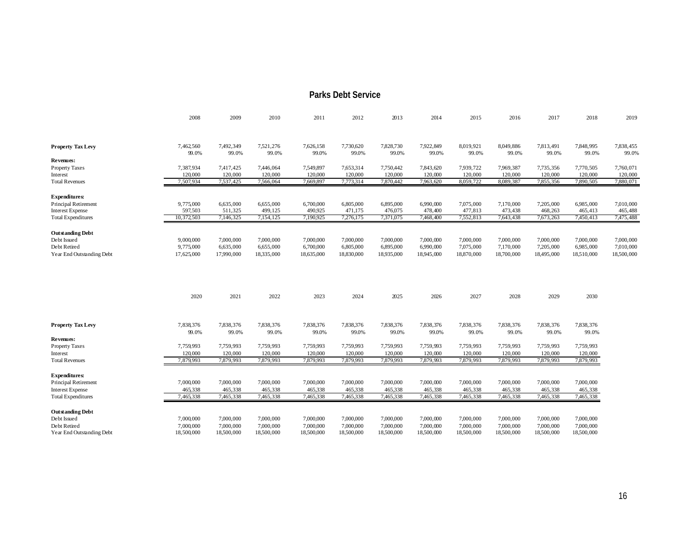#### **Parks Debt Service**

|                                                        | 2008                 | 2009                 | 2010                 | 2011                 | 2012                 | 2013                 | 2014                 | 2015                 | 2016                 | 2017                 | 2018                 | 2019                 |
|--------------------------------------------------------|----------------------|----------------------|----------------------|----------------------|----------------------|----------------------|----------------------|----------------------|----------------------|----------------------|----------------------|----------------------|
|                                                        |                      |                      |                      |                      |                      |                      |                      |                      |                      |                      |                      |                      |
| <b>Property Tax Levy</b>                               | 7,462,560            | 7,492,349            | 7,521,276            | 7,626,158            | 7,730,620            | 7,828,730            | 7,922,849            | 8,019,921            | 8,049,886            | 7,813,491            | 7,848,995            | 7,838,455            |
| Revenues:                                              | 99.0%                | 99.0%                | 99.0%                | 99.0%                | 99.0%                | 99.0%                | 99.0%                | 99.0%                | 99.0%                | 99.0%                | 99.0%                | 99.0%                |
| <b>Property Taxes</b>                                  | 7,387,934            | 7,417,425            | 7,446,064            | 7,549,897            | 7,653,314            | 7,750,442            | 7,843,620            | 7,939,722            | 7,969,387            | 7,735,356            | 7,770,505            | 7,760,071            |
| Interest                                               | 120,000              | 120,000              | 120,000              | 120,000              | 120,000              | 120,000              | 120,000              | 120,000              | 120,000              | 120,000              | 120,000              | 120,000              |
| <b>Total Revenues</b>                                  | 7,507,934            | 7,537,425            | 7,566,064            | 7,669,897            | 7,773,314            | 7,870,442            | 7,963,620            | 8,059,722            | 8,089,387            | 7,855,356            | 7,890,505            | 7,880,071            |
|                                                        |                      |                      |                      |                      |                      |                      |                      |                      |                      |                      |                      |                      |
| <b>Expenditures:</b>                                   |                      |                      |                      |                      |                      |                      |                      |                      |                      |                      |                      |                      |
| <b>Principal Retirement</b><br><b>Interest Expense</b> | 9,775,000<br>597,503 | 6,635,000<br>511,325 | 6,655,000<br>499,125 | 6,700,000<br>490,925 | 6,805,000<br>471,175 | 6,895,000<br>476,075 | 6,990,000<br>478,400 | 7,075,000<br>477,813 | 7,170,000<br>473,438 | 7,205,000<br>468,263 | 6,985,000<br>465,413 | 7,010,000            |
| <b>Total Expenditures</b>                              | 10,372,503           | 7,146,325            | 7,154,125            | 7,190,925            | 7,276,175            | 7,371,075            | 7,468,400            | 7,552,813            | 7,643,438            | 7,673,263            | 7,450,413            | 465,488<br>7,475,488 |
|                                                        |                      |                      |                      |                      |                      |                      |                      |                      |                      |                      |                      |                      |
| <b>Outstanding Debt</b>                                |                      |                      |                      |                      |                      |                      |                      |                      |                      |                      |                      |                      |
| Debt Issued                                            | 9,000,000            | 7,000,000            | 7,000,000            | 7,000,000            | 7,000,000            | 7,000,000            | 7,000,000            | 7,000,000            | 7,000,000            | 7,000,000            | 7,000,000            | 7,000,000            |
| Debt Retired                                           | 9,775,000            | 6,635,000            | 6,655,000            | 6,700,000            | 6,805,000            | 6,895,000            | 6,990,000            | 7,075,000            | 7,170,000            | 7,205,000            | 6,985,000            | 7,010,000            |
| Year End Outstanding Debt                              | 17,625,000           | 17,990,000           | 18,335,000           | 18,635,000           | 18,830,000           | 18,935,000           | 18,945,000           | 18,870,000           | 18,700,000           | 18,495,000           | 18,510,000           | 18,500,000           |
|                                                        |                      |                      |                      |                      |                      |                      |                      |                      |                      |                      |                      |                      |
|                                                        | 2020                 | 2021                 | 2022                 | 2023                 | 2024                 | 2025                 | 2026                 | 2027                 | 2028                 | 2029                 | 2030                 |                      |
| <b>Property Tax Levy</b>                               | 7,838,376            | 7,838,376            | 7,838,376            | 7,838,376            | 7,838,376            | 7,838,376            | 7,838,376            | 7,838,376            | 7,838,376            | 7,838,376            | 7,838,376            |                      |
|                                                        | 99.0%                | 99.0%                | 99.0%                | 99.0%                | 99.0%                | 99.0%                | 99.0%                | 99.0%                | 99.0%                | 99.0%                | 99.0%                |                      |
| <b>Revenues:</b>                                       |                      |                      |                      |                      |                      |                      |                      |                      |                      |                      |                      |                      |
| Property Taxes                                         | 7,759,993            | 7,759,993            | 7,759,993            | 7,759,993            | 7,759,993            | 7,759,993            | 7,759,993            | 7,759,993            | 7,759,993            | 7,759,993            | 7,759,993            |                      |
| Interest                                               | 120,000              | 120,000              | 120,000              | 120,000              | 120,000              | 120,000              | 120,000              | 120,000              | 120,000              | 120,000              | 120,000              |                      |
| <b>Total Revenues</b>                                  | 7,879,993            | 7,879,993            | 7,879,993            | 7,879,993            | 7,879,993            | 7,879,993            | 7,879,993            | 7,879,993            | 7,879,993            | 7,879,993            | 7,879,993            |                      |
| <b>Expenditures:</b>                                   |                      |                      |                      |                      |                      |                      |                      |                      |                      |                      |                      |                      |
| <b>Principal Retirement</b>                            | 7,000,000            | 7,000,000            | 7,000,000            | 7,000,000            | 7,000,000            | 7,000,000            | 7,000,000            | 7,000,000            | 7,000,000            | 7,000,000            | 7,000,000            |                      |
| <b>Interest Expense</b>                                | 465,338              | 465,338              | 465,338              | 465,338              | 465,338              | 465,338              | 465,338              | 465,338              | 465,338              | 465,338              | 465,338              |                      |
| <b>Total Expenditures</b>                              | 7,465,338            | 7,465,338            | 7,465,338            | 7,465,338            | 7,465,338            | 7,465,338            | 7,465,338            | 7,465,338            | 7,465,338            | 7,465,338            | 7,465,338            |                      |
| <b>Outstanding Debt</b>                                |                      |                      |                      |                      |                      |                      |                      |                      |                      |                      |                      |                      |
| Debt Issued                                            | 7,000,000            | 7,000,000            | 7,000,000            | 7,000,000            | 7,000,000            | 7,000,000            | 7,000,000            | 7,000,000            | 7,000,000            | 7,000,000            | 7,000,000            |                      |
| Debt Retired                                           | 7,000,000            | 7,000,000            | 7,000,000            | 7,000,000            | 7,000,000            | 7,000,000            | 7,000,000            | 7,000,000            | 7,000,000            | 7,000,000            | 7,000,000            |                      |
| Year End Outstanding Debt                              | 18,500,000           | 18,500,000           | 18,500,000           | 18,500,000           | 18,500,000           | 18,500,000           | 18,500,000           | 18,500,000           | 18,500,000           | 18,500,000           | 18,500,000           |                      |
|                                                        |                      |                      |                      |                      |                      |                      |                      |                      |                      |                      |                      |                      |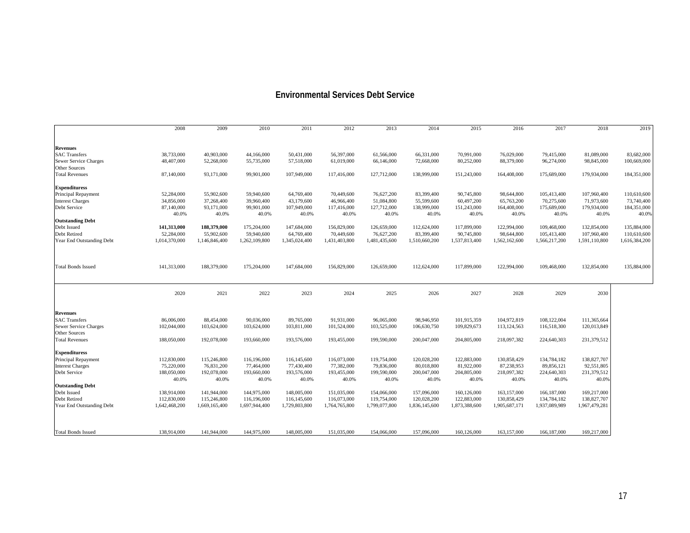#### **Environmental Services Debt Service**

|                           | 2008                | 2009                | 2010                | 2011                 | 2012                 | 2013                 | 2014                 | 2015                 | 2016                 | 2017                 | 2018                 | 2019                 |
|---------------------------|---------------------|---------------------|---------------------|----------------------|----------------------|----------------------|----------------------|----------------------|----------------------|----------------------|----------------------|----------------------|
| <b>Revenues</b>           |                     |                     |                     |                      |                      |                      |                      |                      |                      |                      |                      |                      |
| <b>SAC Transfers</b>      | 38,733,000          | 40,903,000          | 44,166,000          | 50,431,000           | 56,397,000           | 61,566,000           | 66,331,000           | 70,991,000           | 76,029,000           | 79,415,000           | 81,089,000           | 83,682,000           |
| Sewer Service Charges     | 48,407,000          | 52,268,000          | 55,735,000          | 57,518,000           | 61,019,000           | 66,146,000           | 72,668,000           | 80,252,000           | 88,379,000           | 96,274,000           | 98,845,000           | 100,669,000          |
| <b>Other Sources</b>      |                     |                     |                     |                      |                      |                      |                      |                      |                      |                      |                      |                      |
| <b>Total Revenues</b>     | 87,140,000          | 93,171,000          | 99,901,000          | 107,949,000          | 117,416,000          | 127,712,000          | 138,999,000          | 151,243,000          | 164,408,000          | 175,689,000          | 179,934,000          | 184,351,000          |
|                           |                     |                     |                     |                      |                      |                      |                      |                      |                      |                      |                      |                      |
| <b>Expendituress</b>      |                     |                     |                     |                      |                      |                      |                      |                      |                      |                      |                      |                      |
| Principal Repayment       | 52,284,000          | 55,902,600          | 59,940,600          | 64,769,400           | 70,449,600           | 76,627,200           | 83,399,400           | 90,745,800           | 98,644,800           | 105,413,400          | 107,960,400          | 110,610,600          |
| <b>Interest Charges</b>   | 34,856,000          | 37,268,400          | 39,960,400          | 43,179,600           | 46,966,400           | 51,084,800           | 55,599,600           | 60,497,200           | 65,763,200           | 70,275,600           | 71,973,600           | 73,740,400           |
| Debt Service              | 87,140,000<br>40.0% | 93,171,000<br>40.0% | 99,901,000<br>40.0% | 107,949,000<br>40.0% | 117,416,000<br>40.0% | 127,712,000<br>40.0% | 138,999,000<br>40.0% | 151,243,000<br>40.0% | 164,408,000<br>40.0% | 175,689,000<br>40.0% | 179,934,000<br>40.0% | 184,351,000<br>40.0% |
| <b>Outstanding Debt</b>   |                     |                     |                     |                      |                      |                      |                      |                      |                      |                      |                      |                      |
| Debt Issued               | 141,313,000         | 188,379,000         | 175,204,000         | 147,684,000          | 156,829,000          | 126,659,000          | 112,624,000          | 117,899,000          | 122,994,000          | 109,468,000          | 132,854,000          | 135,884,000          |
| Debt Retired              | 52,284,000          | 55,902,600          | 59,940,600          | 64,769,400           | 70,449,600           | 76,627,200           | 83,399,400           | 90,745,800           | 98,644,800           | 105,413,400          | 107,960,400          | 110,610,600          |
| Year End Outstanding Debt | 1,014,370,000       | 1,146,846,400       | 1,262,109,800       | 1,345,024,400        | 1,431,403,800        | 1,481,435,600        | 1,510,660,200        | 1,537,813,400        | 1,562,162,600        | 1,566,217,200        | 1,591,110,800        | 1,616,384,200        |
|                           |                     |                     |                     |                      |                      |                      |                      |                      |                      |                      |                      |                      |
| <b>Total Bonds Issued</b> | 141,313,000         | 188,379,000         | 175,204,000         | 147,684,000          | 156,829,000          | 126,659,000          | 112,624,000          | 117,899,000          | 122,994,000          | 109,468,000          | 132,854,000          | 135,884,000          |
|                           | 2020                | 2021                | 2022                | 2023                 | 2024                 | 2025                 | 2026                 | 2027                 | 2028                 | 2029                 | 2030                 |                      |
| <b>Revenues</b>           |                     |                     |                     |                      |                      |                      |                      |                      |                      |                      |                      |                      |
| <b>SAC Transfers</b>      | 86,006,000          | 88,454,000          | 90,036,000          | 89,765,000           | 91,931,000           | 96,065,000           | 98,946,950           | 101,915,359          | 104,972,819          | 108,122,004          | 111,365,664          |                      |
| Sewer Service Charges     | 102,044,000         | 103,624,000         | 103,624,000         | 103,811,000          | 101,524,000          | 103,525,000          | 106,630,750          | 109,829,673          | 113,124,563          | 116,518,300          | 120,013,849          |                      |
| <b>Other Sources</b>      |                     |                     |                     |                      |                      |                      |                      |                      |                      |                      |                      |                      |
| <b>Total Revenues</b>     | 188,050,000         | 192,078,000         | 193,660,000         | 193,576,000          | 193,455,000          | 199,590,000          | 200,047,000          | 204,805,000          | 218,097,382          | 224,640,303          | 231,379,512          |                      |
| <b>Expendituress</b>      |                     |                     |                     |                      |                      |                      |                      |                      |                      |                      |                      |                      |
| Principal Repayment       | 112,830,000         | 115,246,800         | 116,196,000         | 116,145,600          | 116,073,000          | 119,754,000          | 120,028,200          | 122,883,000          | 130,858,429          | 134,784,182          | 138,827,707          |                      |
| <b>Interest Charges</b>   | 75,220,000          | 76,831,200          | 77,464,000          | 77,430,400           | 77,382,000           | 79,836,000           | 80,018,800           | 81,922,000           | 87,238,953           | 89,856,121           | 92,551,805           |                      |
| Debt Service              | 188,050,000         | 192,078,000         | 193,660,000         | 193,576,000          | 193,455,000          | 199,590,000          | 200,047,000          | 204,805,000          | 218,097,382          | 224,640,303          | 231,379,512          |                      |
|                           | 40.0%               | 40.0%               | 40.0%               | 40.0%                | 40.0%                | 40.0%                | 40.0%                | 40.0%                | 40.0%                | 40.0%                | 40.0%                |                      |
| <b>Outstanding Debt</b>   |                     |                     |                     |                      |                      |                      |                      |                      |                      |                      |                      |                      |
| Debt Issued               | 138,914,000         | 141,944,000         | 144,975,000         | 148,005,000          | 151,035,000          | 154,066,000          | 157,096,000          | 160,126,000          | 163,157,000          | 166,187,000          | 169,217,000          |                      |
| Debt Retired              | 112,830,000         | 115,246,800         | 116,196,000         | 116,145,600          | 116,073,000          | 119,754,000          | 120,028,200          | 122,883,000          | 130,858,429          | 134,784,182          | 138,827,707          |                      |
| Year End Outstanding Debt | 1,642,468,200       | 1,669,165,400       | 1,697,944,400       | 1,729,803,800        | 1,764,765,800        | 1,799,077,800        | 1,836,145,600        | 1,873,388,600        | 1,905,687,171        | 1,937,089,989        | 1,967,479,281        |                      |
|                           |                     |                     |                     |                      |                      |                      |                      |                      |                      |                      |                      |                      |
| <b>Total Bonds Issued</b> | 138,914,000         | 141,944,000         | 144,975,000         | 148,005,000          | 151,035,000          | 154,066,000          | 157,096,000          | 160,126,000          | 163,157,000          | 166,187,000          | 169,217,000          |                      |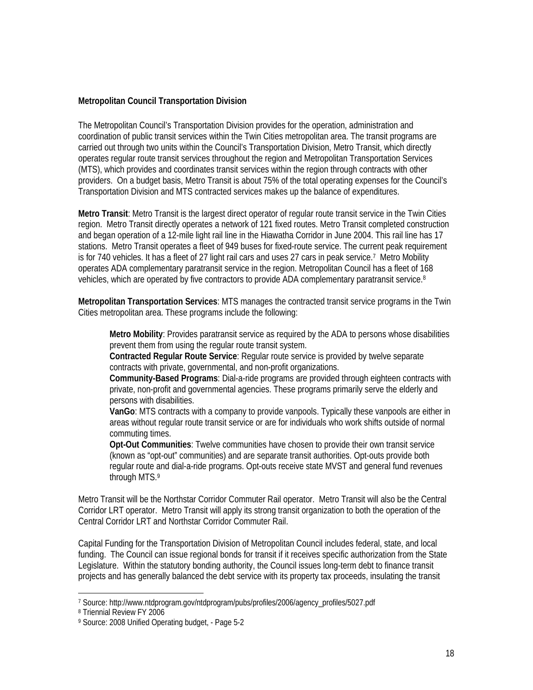#### **Metropolitan Council Transportation Division**

The Metropolitan Council's Transportation Division provides for the operation, administration and coordination of public transit services within the Twin Cities metropolitan area. The transit programs are carried out through two units within the Council's Transportation Division, Metro Transit, which directly operates regular route transit services throughout the region and Metropolitan Transportation Services (MTS), which provides and coordinates transit services within the region through contracts with other providers. On a budget basis, Metro Transit is about 75% of the total operating expenses for the Council's Transportation Division and MTS contracted services makes up the balance of expenditures.

**Metro Transit**: Metro Transit is the largest direct operator of regular route transit service in the Twin Cities region. Metro Transit directly operates a network of 121 fixed routes. Metro Transit completed construction and began operation of a 12-mile light rail line in the Hiawatha Corridor in June 2004. This rail line has 17 stations. Metro Transit operates a fleet of 949 buses for fixed-route service. The current peak requirement is for 740 vehicles. It has a fleet of 27 light rail cars and uses 27 cars in peak service.7 Metro Mobility operates ADA complementary paratransit service in the region. Metropolitan Council has a fleet of 168 vehicles, which are operated by five contractors to provide ADA complementary paratransit service.<sup>8</sup>

**Metropolitan Transportation Services**: MTS manages the contracted transit service programs in the Twin Cities metropolitan area. These programs include the following:

**Metro Mobility**: Provides paratransit service as required by the ADA to persons whose disabilities prevent them from using the regular route transit system.

**Contracted Regular Route Service**: Regular route service is provided by twelve separate contracts with private, governmental, and non-profit organizations.

**Community-Based Programs**: Dial-a-ride programs are provided through eighteen contracts with private, non-profit and governmental agencies. These programs primarily serve the elderly and persons with disabilities.

**VanGo**: MTS contracts with a company to provide vanpools. Typically these vanpools are either in areas without regular route transit service or are for individuals who work shifts outside of normal commuting times.

**Opt-Out Communities**: Twelve communities have chosen to provide their own transit service (known as "opt-out" communities) and are separate transit authorities. Opt-outs provide both regular route and dial-a-ride programs. Opt-outs receive state MVST and general fund revenues through MTS.9

Metro Transit will be the Northstar Corridor Commuter Rail operator. Metro Transit will also be the Central Corridor LRT operator. Metro Transit will apply its strong transit organization to both the operation of the Central Corridor LRT and Northstar Corridor Commuter Rail.

Capital Funding for the Transportation Division of Metropolitan Council includes federal, state, and local funding. The Council can issue regional bonds for transit if it receives specific authorization from the State Legislature. Within the statutory bonding authority, the Council issues long-term debt to finance transit projects and has generally balanced the debt service with its property tax proceeds, insulating the transit

 $\overline{a}$ 

<sup>7</sup> Source: http://www.ntdprogram.gov/ntdprogram/pubs/profiles/2006/agency\_profiles/5027.pdf

<sup>8</sup> Triennial Review FY 2006

<sup>9</sup> Source: 2008 Unified Operating budget, - Page 5-2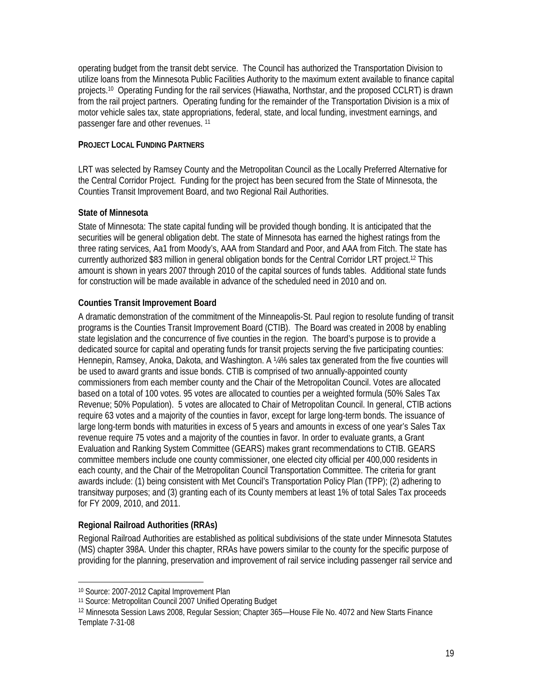operating budget from the transit debt service. The Council has authorized the Transportation Division to utilize loans from the Minnesota Public Facilities Authority to the maximum extent available to finance capital projects.10 Operating Funding for the rail services (Hiawatha, Northstar, and the proposed CCLRT) is drawn from the rail project partners. Operating funding for the remainder of the Transportation Division is a mix of motor vehicle sales tax, state appropriations, federal, state, and local funding, investment earnings, and passenger fare and other revenues. 11

#### **PROJECT LOCAL FUNDING PARTNERS**

LRT was selected by Ramsey County and the Metropolitan Council as the Locally Preferred Alternative for the Central Corridor Project. Funding for the project has been secured from the State of Minnesota, the Counties Transit Improvement Board, and two Regional Rail Authorities.

#### **State of Minnesota**

State of Minnesota: The state capital funding will be provided though bonding. It is anticipated that the securities will be general obligation debt. The state of Minnesota has earned the highest ratings from the three rating services, Aa1 from Moody's, AAA from Standard and Poor, and AAA from Fitch. The state has currently authorized \$83 million in general obligation bonds for the Central Corridor LRT project.12 This amount is shown in years 2007 through 2010 of the capital sources of funds tables. Additional state funds for construction will be made available in advance of the scheduled need in 2010 and on.

#### **Counties Transit Improvement Board**

A dramatic demonstration of the commitment of the Minneapolis-St. Paul region to resolute funding of transit programs is the Counties Transit Improvement Board (CTIB). The Board was created in 2008 by enabling state legislation and the concurrence of five counties in the region. The board's purpose is to provide a dedicated source for capital and operating funds for transit projects serving the five participating counties: Hennepin, Ramsey, Anoka, Dakota, and Washington. A ¼% sales tax generated from the five counties will be used to award grants and issue bonds. CTIB is comprised of two annually-appointed county commissioners from each member county and the Chair of the Metropolitan Council. Votes are allocated based on a total of 100 votes. 95 votes are allocated to counties per a weighted formula (50% Sales Tax Revenue; 50% Population). 5 votes are allocated to Chair of Metropolitan Council. In general, CTIB actions require 63 votes and a majority of the counties in favor, except for large long-term bonds. The issuance of large long-term bonds with maturities in excess of 5 years and amounts in excess of one year's Sales Tax revenue require 75 votes and a majority of the counties in favor. In order to evaluate grants, a Grant Evaluation and Ranking System Committee (GEARS) makes grant recommendations to CTIB. GEARS committee members include one county commissioner, one elected city official per 400,000 residents in each county, and the Chair of the Metropolitan Council Transportation Committee. The criteria for grant awards include: (1) being consistent with Met Council's Transportation Policy Plan (TPP); (2) adhering to transitway purposes; and (3) granting each of its County members at least 1% of total Sales Tax proceeds for FY 2009, 2010, and 2011.

#### **Regional Railroad Authorities (RRAs)**

Regional Railroad Authorities are established as political subdivisions of the state under Minnesota Statutes (MS) chapter 398A. Under this chapter, RRAs have powers similar to the county for the specific purpose of providing for the planning, preservation and improvement of rail service including passenger rail service and

 $\overline{\phantom{0}}$ 

<sup>10</sup> Source: 2007-2012 Capital Improvement Plan

<sup>11</sup> Source: Metropolitan Council 2007 Unified Operating Budget

<sup>12</sup> Minnesota Session Laws 2008, Regular Session; Chapter 365—House File No. 4072 and New Starts Finance Template 7-31-08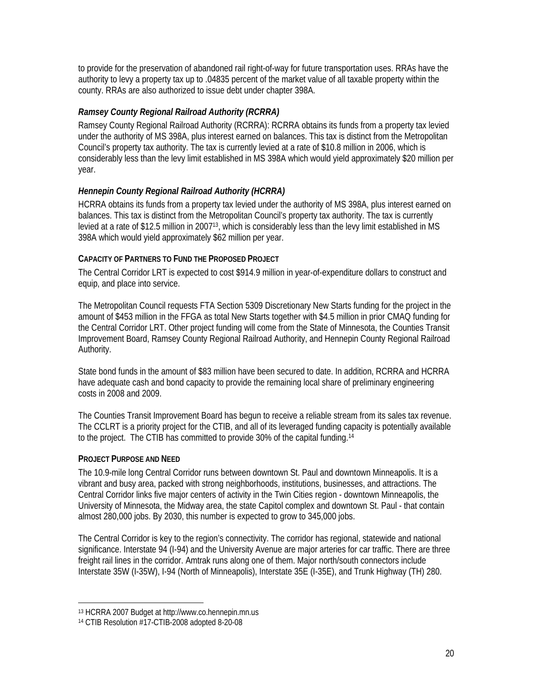to provide for the preservation of abandoned rail right-of-way for future transportation uses. RRAs have the authority to levy a property tax up to .04835 percent of the market value of all taxable property within the county. RRAs are also authorized to issue debt under chapter 398A.

### *Ramsey County Regional Railroad Authority (RCRRA)*

Ramsey County Regional Railroad Authority (RCRRA): RCRRA obtains its funds from a property tax levied under the authority of MS 398A, plus interest earned on balances. This tax is distinct from the Metropolitan Council's property tax authority. The tax is currently levied at a rate of \$10.8 million in 2006, which is considerably less than the levy limit established in MS 398A which would yield approximately \$20 million per year.

### *Hennepin County Regional Railroad Authority (HCRRA)*

HCRRA obtains its funds from a property tax levied under the authority of MS 398A, plus interest earned on balances. This tax is distinct from the Metropolitan Council's property tax authority. The tax is currently levied at a rate of \$12.5 million in 2007<sup>13</sup>, which is considerably less than the levy limit established in MS 398A which would yield approximately \$62 million per year.

#### **CAPACITY OF PARTNERS TO FUND THE PROPOSED PROJECT**

The Central Corridor LRT is expected to cost \$914.9 million in year-of-expenditure dollars to construct and equip, and place into service.

The Metropolitan Council requests FTA Section 5309 Discretionary New Starts funding for the project in the amount of \$453 million in the FFGA as total New Starts together with \$4.5 million in prior CMAQ funding for the Central Corridor LRT. Other project funding will come from the State of Minnesota, the Counties Transit Improvement Board, Ramsey County Regional Railroad Authority, and Hennepin County Regional Railroad Authority.

State bond funds in the amount of \$83 million have been secured to date. In addition, RCRRA and HCRRA have adequate cash and bond capacity to provide the remaining local share of preliminary engineering costs in 2008 and 2009.

The Counties Transit Improvement Board has begun to receive a reliable stream from its sales tax revenue. The CCLRT is a priority project for the CTIB, and all of its leveraged funding capacity is potentially available to the project. The CTIB has committed to provide 30% of the capital funding.14

#### **PROJECT PURPOSE AND NEED**

<u>.</u>

The 10.9-mile long Central Corridor runs between downtown St. Paul and downtown Minneapolis. It is a vibrant and busy area, packed with strong neighborhoods, institutions, businesses, and attractions. The Central Corridor links five major centers of activity in the Twin Cities region - downtown Minneapolis, the University of Minnesota, the Midway area, the state Capitol complex and downtown St. Paul - that contain almost 280,000 jobs. By 2030, this number is expected to grow to 345,000 jobs.

The Central Corridor is key to the region's connectivity. The corridor has regional, statewide and national significance. Interstate 94 (I-94) and the University Avenue are major arteries for car traffic. There are three freight rail lines in the corridor. Amtrak runs along one of them. Major north/south connectors include Interstate 35W (I-35W), I-94 (North of Minneapolis), Interstate 35E (I-35E), and Trunk Highway (TH) 280.

<sup>13</sup> HCRRA 2007 Budget at http://www.co.hennepin.mn.us

<sup>14</sup> CTIB Resolution #17-CTIB-2008 adopted 8-20-08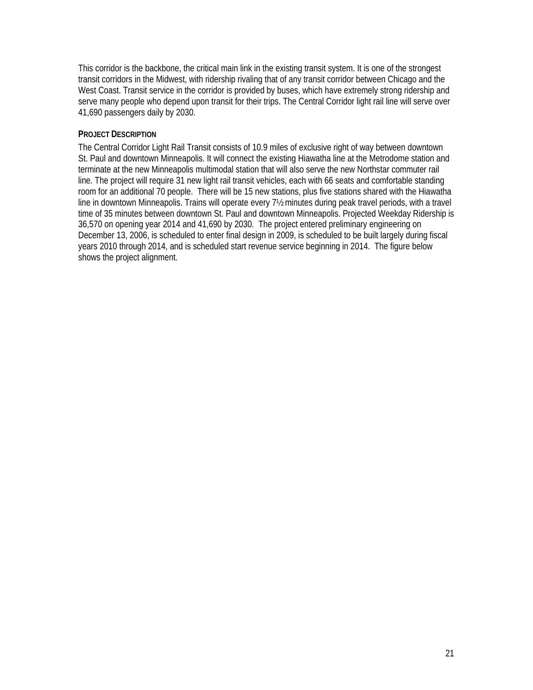This corridor is the backbone, the critical main link in the existing transit system. It is one of the strongest transit corridors in the Midwest, with ridership rivaling that of any transit corridor between Chicago and the West Coast. Transit service in the corridor is provided by buses, which have extremely strong ridership and serve many people who depend upon transit for their trips. The Central Corridor light rail line will serve over 41,690 passengers daily by 2030.

#### **PROJECT DESCRIPTION**

The Central Corridor Light Rail Transit consists of 10.9 miles of exclusive right of way between downtown St. Paul and downtown Minneapolis. It will connect the existing Hiawatha line at the Metrodome station and terminate at the new Minneapolis multimodal station that will also serve the new Northstar commuter rail line. The project will require 31 new light rail transit vehicles, each with 66 seats and comfortable standing room for an additional 70 people. There will be 15 new stations, plus five stations shared with the Hiawatha line in downtown Minneapolis. Trains will operate every 7<sup>1</sup>/<sub>2</sub> minutes during peak travel periods, with a travel time of 35 minutes between downtown St. Paul and downtown Minneapolis. Projected Weekday Ridership is 36,570 on opening year 2014 and 41,690 by 2030. The project entered preliminary engineering on December 13, 2006, is scheduled to enter final design in 2009, is scheduled to be built largely during fiscal years 2010 through 2014, and is scheduled start revenue service beginning in 2014. The figure below shows the project alignment.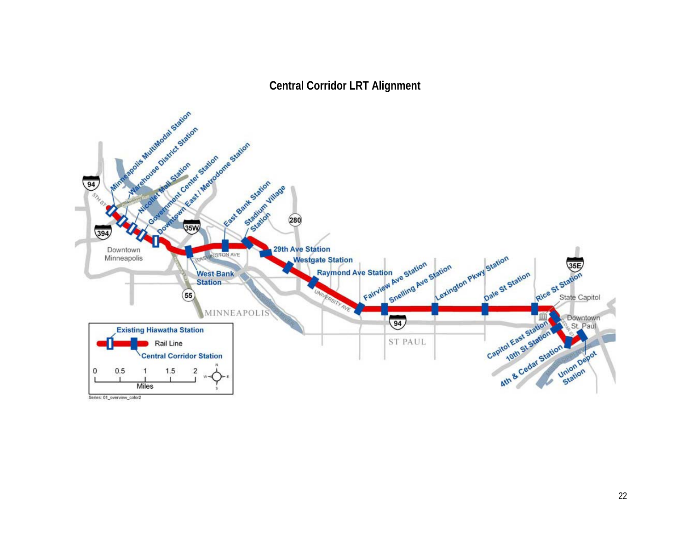**Central Corridor LRT Alignment** 



Series: 01\_overview\_color2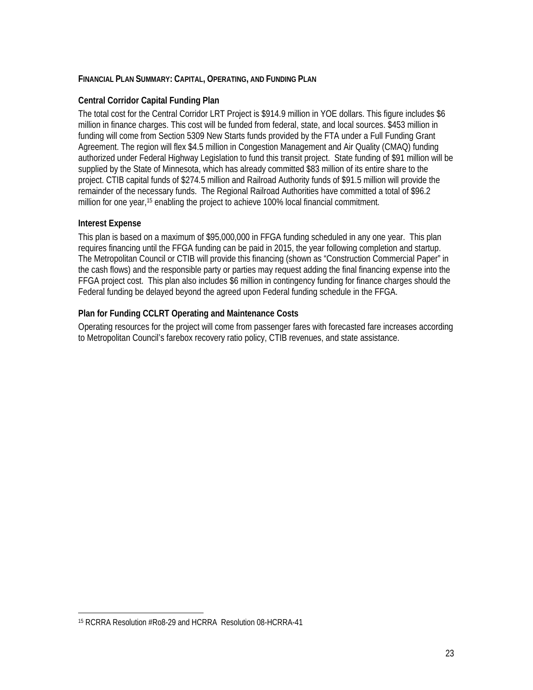#### **FINANCIAL PLAN SUMMARY: CAPITAL, OPERATING, AND FUNDING PLAN**

#### **Central Corridor Capital Funding Plan**

The total cost for the Central Corridor LRT Project is \$914.9 million in YOE dollars. This figure includes \$6 million in finance charges. This cost will be funded from federal, state, and local sources. \$453 million in funding will come from Section 5309 New Starts funds provided by the FTA under a Full Funding Grant Agreement. The region will flex \$4.5 million in Congestion Management and Air Quality (CMAQ) funding authorized under Federal Highway Legislation to fund this transit project. State funding of \$91 million will be supplied by the State of Minnesota, which has already committed \$83 million of its entire share to the project. CTIB capital funds of \$274.5 million and Railroad Authority funds of \$91.5 million will provide the remainder of the necessary funds. The Regional Railroad Authorities have committed a total of \$96.2 million for one year,<sup>15</sup> enabling the project to achieve 100% local financial commitment.

#### **Interest Expense**

 $\overline{a}$ 

This plan is based on a maximum of \$95,000,000 in FFGA funding scheduled in any one year. This plan requires financing until the FFGA funding can be paid in 2015, the year following completion and startup. The Metropolitan Council or CTIB will provide this financing (shown as "Construction Commercial Paper" in the cash flows) and the responsible party or parties may request adding the final financing expense into the FFGA project cost. This plan also includes \$6 million in contingency funding for finance charges should the Federal funding be delayed beyond the agreed upon Federal funding schedule in the FFGA.

#### **Plan for Funding CCLRT Operating and Maintenance Costs**

Operating resources for the project will come from passenger fares with forecasted fare increases according to Metropolitan Council's farebox recovery ratio policy, CTIB revenues, and state assistance.

<sup>15</sup> RCRRA Resolution #Ro8-29 and HCRRA Resolution 08-HCRRA-41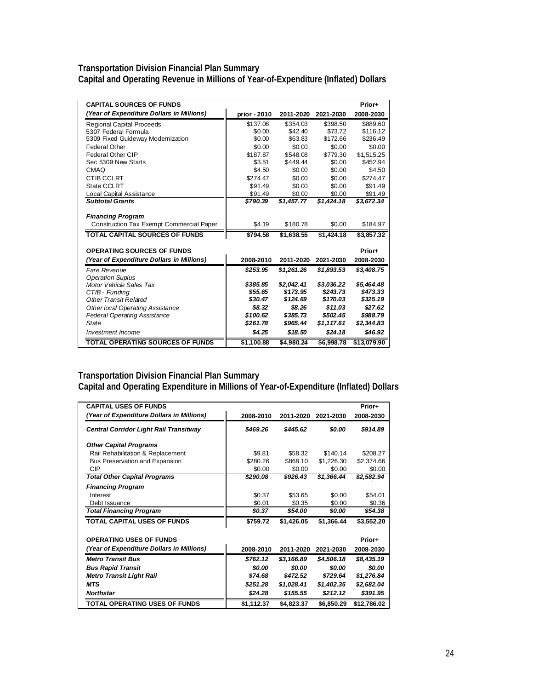#### **Transportation Division Financial Plan Summary Capital and Operating Revenue in Millions of Year-of-Expenditure (Inflated) Dollars**

| <b>CAPITAL SOURCES OF FUNDS</b>                 |              |            |            | Prior+      |
|-------------------------------------------------|--------------|------------|------------|-------------|
| (Year of Expenditure Dollars in Millions)       | prior - 2010 | 2011-2020  | 2021-2030  | 2008-2030   |
| <b>Regional Capital Proceeds</b>                | \$137.08     | \$354.03   | \$398.50   | \$889.60    |
| 5307 Federal Formula                            | \$0.00       | \$42.40    | \$73.72    | \$116.12    |
| 5309 Fixed Guideway Modernization               | \$0.00       | \$63.83    | \$172.66   | \$236.49    |
| <b>Federal Other</b>                            | \$0.00       | \$0.00     | \$0.00     | \$0.00      |
| Federal Other CIP                               | \$187.87     | \$548.08   | \$779.30   | \$1,515.25  |
| Sec 5309 New Starts                             | \$3.51       | \$449.44   | \$0.00     | \$452.94    |
| CMAQ                                            | \$4.50       | \$0.00     | \$0.00     | \$4.50      |
| <b>CTIB CCLRT</b>                               | \$274.47     | \$0.00     | \$0.00     | \$274.47    |
| State CCLRT                                     | \$91.49      | \$0.00     | \$0.00     | \$91.49     |
| Local Capital Assistance                        | \$91.49      | \$0.00     | \$0.00     | \$91.49     |
| <b>Subtotal Grants</b>                          | \$790.39     | \$1.457.77 | \$1.424.18 | \$3,672.34  |
|                                                 |              |            |            |             |
| <b>Financing Program</b>                        |              |            |            |             |
| <b>Construction Tax Exempt Commercial Paper</b> | \$4.19       | \$180.78   | \$0.00     | \$184.97    |
| <b>TOTAL CAPITAL SOURCES OF FUNDS</b>           | \$794.58     | \$1.638.55 | \$1.424.18 | \$3,857.32  |
|                                                 |              |            |            |             |
| <b>OPERATING SOURCES OF FUNDS</b>               |              |            |            | Prior+      |
| (Year of Expenditure Dollars in Millions)       | 2008-2010    | 2011-2020  | 2021-2030  | 2008-2030   |
| Fare Revenue                                    | \$253.95     | \$1,261.26 | \$1,893.53 | \$3,408.75  |
| <b>Operation Suplus</b>                         |              |            |            |             |
| Motor Vehicle Sales Tax                         | \$385.85     | \$2,042.41 | \$3,036.22 | \$5,464.48  |
| CTIB - Funding                                  | \$55.65      | \$173.95   | \$243.73   | \$473.33    |
| <b>Other Transit Related</b>                    | \$30.47      | \$124.69   | \$170.03   | \$325.19    |
| Other local Operating Assistance                | \$8.32       | \$8.26     | \$11.03    | \$27.62     |
| <b>Federal Operating Assistance</b>             | \$100.62     | \$385.73   | \$502.45   | \$988.79    |
| State                                           | \$261.78     | \$965.44   | \$1,117.61 | \$2,344.83  |
| Investment Income                               | \$4.25       | \$18.50    | \$24.18    | \$46.92     |
| <b>TOTAL OPERATING SOURCES OF FUNDS</b>         | \$1,100.88   | \$4,980.24 | \$6,998.78 | \$13,079.90 |

#### **Transportation Division Financial Plan Summary**

**Capital and Operating Expenditure in Millions of Year-of-Expenditure (Inflated) Dollars** 

| <b>CAPITAL USES OF FUNDS</b><br>(Year of Expenditure Dollars in Millions) | 2008-2010  | 2011-2020  | 2021-2030  | Prior+<br>2008-2030 |
|---------------------------------------------------------------------------|------------|------------|------------|---------------------|
| <b>Central Corridor Light Rail Transitway</b>                             | \$469.26   | \$445.62   | \$0.00     | \$914.89            |
| <b>Other Capital Programs</b>                                             |            |            |            |                     |
| Rail Rehabilitation & Replacement                                         | \$9.81     | \$58.32    | \$140.14   | \$208.27            |
| <b>Bus Preservation and Expansion</b>                                     | \$280.26   | \$868.10   | \$1,226.30 | \$2,374.66          |
| CIP                                                                       | \$0.00     | \$0.00     | \$0.00     | \$0.00              |
| <b>Total Other Capital Programs</b>                                       | \$290.08   | \$926.43   | \$1,366.44 | \$2,582.94          |
| <b>Financing Program</b>                                                  |            |            |            |                     |
| Interest                                                                  | \$0.37     | \$53.65    | \$0.00     | \$54.01             |
| Debt Issuance                                                             | \$0.01     | \$0.35     | \$0.00     | \$0.36              |
| <b>Total Financing Program</b>                                            | \$0.37     | \$54.00    | \$0.00     | \$54.38             |
| <b>TOTAL CAPITAL USES OF FUNDS</b>                                        | \$759.72   | \$1,426.05 | \$1,366.44 | \$3,552.20          |
| <b>OPERATING USES OF FUNDS</b>                                            |            |            |            | Prior+              |
| (Year of Expenditure Dollars in Millions)                                 | 2008-2010  | 2011-2020  | 2021-2030  | 2008-2030           |
| <b>Metro Transit Bus</b>                                                  | \$762.12   | \$3,166.89 | \$4,506.18 | \$8,435.19          |
| <b>Bus Rapid Transit</b>                                                  | \$0.00     | \$0.00     | \$0.00     | \$0.00              |
| <b>Metro Transit Light Rail</b>                                           | \$74.68    | \$472.52   | \$729.64   | \$1,276.84          |
| <b>MTS</b>                                                                | \$251.28   | \$1,028.41 | \$1,402.35 | \$2,682.04          |
| <b>Northstar</b>                                                          | \$24.28    | \$155.55   | \$212.12   | \$391.95            |
| <b>TOTAL OPERATING USES OF FUNDS</b>                                      | \$1,112.37 | \$4,823.37 | \$6,850.29 | \$12,786.02         |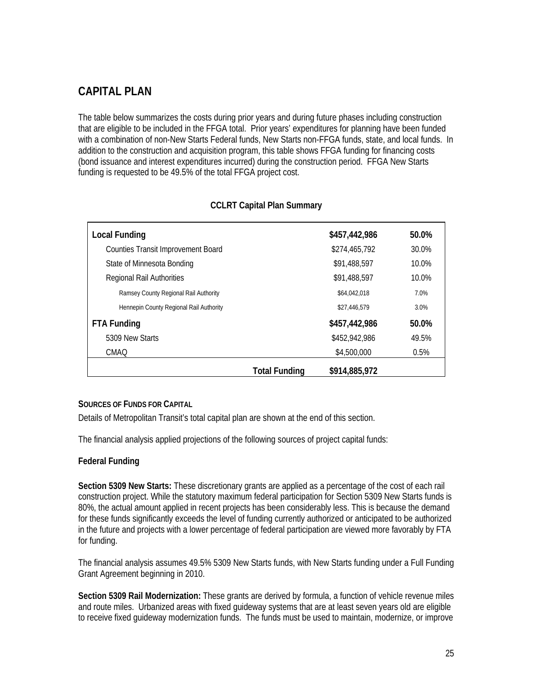# **CAPITAL PLAN**

The table below summarizes the costs during prior years and during future phases including construction that are eligible to be included in the FFGA total. Prior years' expenditures for planning have been funded with a combination of non-New Starts Federal funds, New Starts non-FFGA funds, state, and local funds. In addition to the construction and acquisition program, this table shows FFGA funding for financing costs (bond issuance and interest expenditures incurred) during the construction period. FFGA New Starts funding is requested to be 49.5% of the total FFGA project cost.

| <b>Local Funding</b>                      |                      | \$457,442,986 | 50.0% |
|-------------------------------------------|----------------------|---------------|-------|
| <b>Counties Transit Improvement Board</b> |                      | \$274,465,792 | 30.0% |
| State of Minnesota Bonding                |                      | \$91,488,597  | 10.0% |
| <b>Regional Rail Authorities</b>          |                      | \$91,488,597  | 10.0% |
| Ramsey County Regional Rail Authority     |                      | \$64,042,018  | 7.0%  |
| Hennepin County Regional Rail Authority   |                      | \$27,446,579  | 3.0%  |
| <b>FTA Funding</b>                        |                      | \$457,442,986 | 50.0% |
| 5309 New Starts                           |                      | \$452,942,986 | 49.5% |
| <b>CMAQ</b>                               |                      | \$4,500,000   | 0.5%  |
|                                           | <b>Total Funding</b> | \$914,885,972 |       |

#### **CCLRT Capital Plan Summary**

#### **SOURCES OF FUNDS FOR CAPITAL**

Details of Metropolitan Transit's total capital plan are shown at the end of this section.

The financial analysis applied projections of the following sources of project capital funds:

#### **Federal Funding**

**Section 5309 New Starts:** These discretionary grants are applied as a percentage of the cost of each rail construction project. While the statutory maximum federal participation for Section 5309 New Starts funds is 80%, the actual amount applied in recent projects has been considerably less. This is because the demand for these funds significantly exceeds the level of funding currently authorized or anticipated to be authorized in the future and projects with a lower percentage of federal participation are viewed more favorably by FTA for funding.

The financial analysis assumes 49.5% 5309 New Starts funds, with New Starts funding under a Full Funding Grant Agreement beginning in 2010.

**Section 5309 Rail Modernization:** These grants are derived by formula, a function of vehicle revenue miles and route miles. Urbanized areas with fixed guideway systems that are at least seven years old are eligible to receive fixed guideway modernization funds. The funds must be used to maintain, modernize, or improve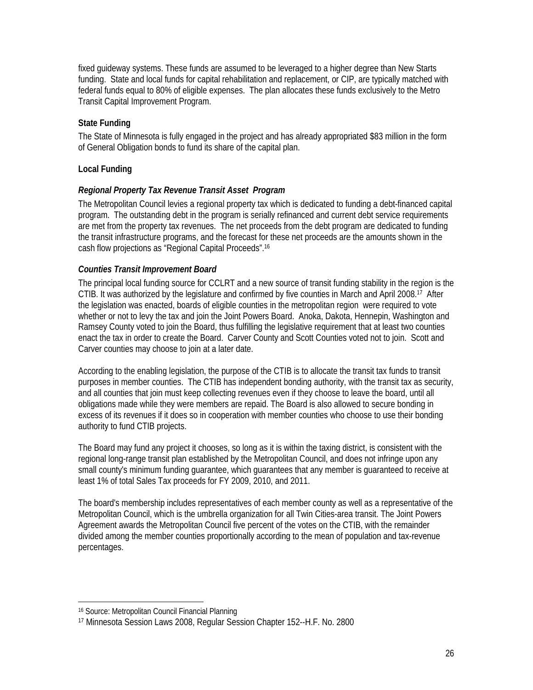fixed guideway systems. These funds are assumed to be leveraged to a higher degree than New Starts funding. State and local funds for capital rehabilitation and replacement, or CIP, are typically matched with federal funds equal to 80% of eligible expenses. The plan allocates these funds exclusively to the Metro Transit Capital Improvement Program.

### **State Funding**

The State of Minnesota is fully engaged in the project and has already appropriated \$83 million in the form of General Obligation bonds to fund its share of the capital plan.

#### **Local Funding**

#### *Regional Property Tax Revenue Transit Asset Program*

The Metropolitan Council levies a regional property tax which is dedicated to funding a debt-financed capital program. The outstanding debt in the program is serially refinanced and current debt service requirements are met from the property tax revenues. The net proceeds from the debt program are dedicated to funding the transit infrastructure programs, and the forecast for these net proceeds are the amounts shown in the cash flow projections as "Regional Capital Proceeds".16

#### *Counties Transit Improvement Board*

The principal local funding source for CCLRT and a new source of transit funding stability in the region is the CTIB. It was authorized by the legislature and confirmed by five counties in March and April 2008.17 After the legislation was enacted, boards of eligible counties in the metropolitan region were required to vote whether or not to levy the tax and join the Joint Powers Board. Anoka, Dakota, Hennepin, Washington and Ramsey County voted to join the Board, thus fulfilling the legislative requirement that at least two counties enact the tax in order to create the Board. Carver County and Scott Counties voted not to join. Scott and Carver counties may choose to join at a later date.

According to the enabling legislation, the purpose of the CTIB is to allocate the transit tax funds to transit purposes in member counties. The CTIB has independent bonding authority, with the transit tax as security, and all counties that join must keep collecting revenues even if they choose to leave the board, until all obligations made while they were members are repaid. The Board is also allowed to secure bonding in excess of its revenues if it does so in cooperation with member counties who choose to use their bonding authority to fund CTIB projects.

The Board may fund any project it chooses, so long as it is within the taxing district, is consistent with the regional long-range transit plan established by the Metropolitan Council, and does not infringe upon any small county's minimum funding guarantee, which guarantees that any member is guaranteed to receive at least 1% of total Sales Tax proceeds for FY 2009, 2010, and 2011.

The board's membership includes representatives of each member county as well as a representative of the Metropolitan Council, which is the umbrella organization for all Twin Cities-area transit. The Joint Powers Agreement awards the Metropolitan Council five percent of the votes on the CTIB, with the remainder divided among the member counties proportionally according to the mean of population and tax-revenue percentages.

<u>.</u>

<sup>16</sup> Source: Metropolitan Council Financial Planning

<sup>17</sup> Minnesota Session Laws 2008, Regular Session Chapter 152--H.F. No. 2800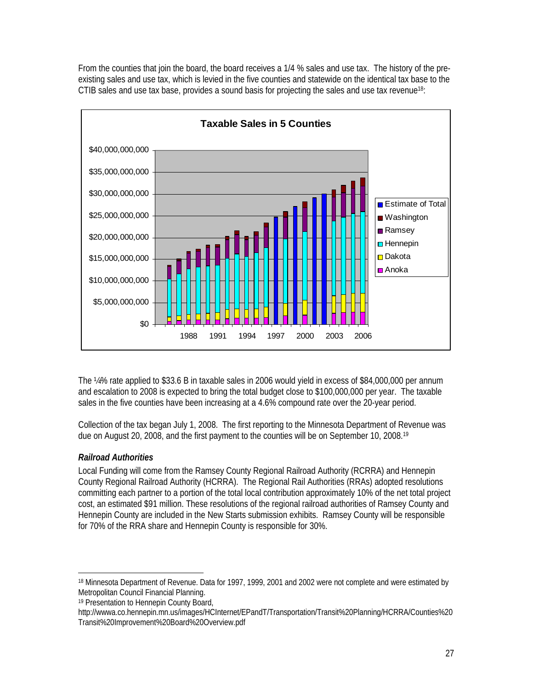From the counties that join the board, the board receives a 1/4 % sales and use tax. The history of the preexisting sales and use tax, which is levied in the five counties and statewide on the identical tax base to the CTIB sales and use tax base, provides a sound basis for projecting the sales and use tax revenue<sup>18</sup>:



The ¼% rate applied to \$33.6 B in taxable sales in 2006 would yield in excess of \$84,000,000 per annum and escalation to 2008 is expected to bring the total budget close to \$100,000,000 per year. The taxable sales in the five counties have been increasing at a 4.6% compound rate over the 20-year period.

Collection of the tax began July 1, 2008. The first reporting to the Minnesota Department of Revenue was due on August 20, 2008, and the first payment to the counties will be on September 10, 2008.<sup>19</sup>

## *Railroad Authorities*

l

Local Funding will come from the Ramsey County Regional Railroad Authority (RCRRA) and Hennepin County Regional Railroad Authority (HCRRA). The Regional Rail Authorities (RRAs) adopted resolutions committing each partner to a portion of the total local contribution approximately 10% of the net total project cost, an estimated \$91 million. These resolutions of the regional railroad authorities of Ramsey County and Hennepin County are included in the New Starts submission exhibits. Ramsey County will be responsible for 70% of the RRA share and Hennepin County is responsible for 30%.

<sup>18</sup> Minnesota Department of Revenue. Data for 1997, 1999, 2001 and 2002 were not complete and were estimated by Metropolitan Council Financial Planning.

<sup>19</sup> Presentation to Hennepin County Board,

http://wwwa.co.hennepin.mn.us/images/HCInternet/EPandT/Transportation/Transit%20Planning/HCRRA/Counties%20 Transit%20Improvement%20Board%20Overview.pdf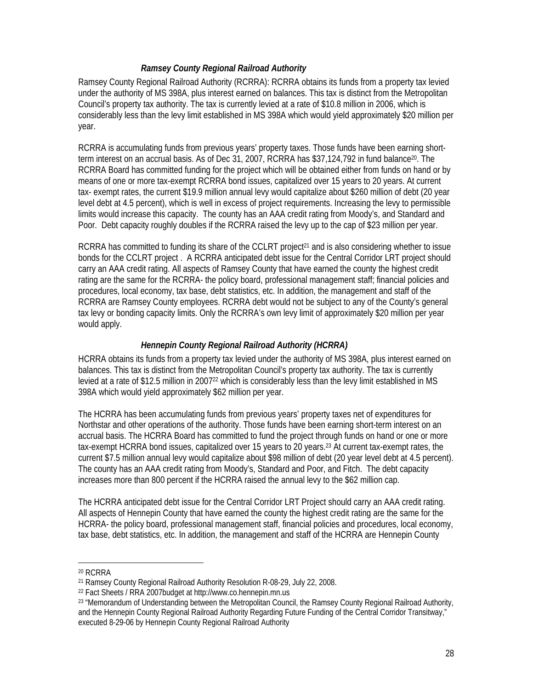#### *Ramsey County Regional Railroad Authority*

Ramsey County Regional Railroad Authority (RCRRA): RCRRA obtains its funds from a property tax levied under the authority of MS 398A, plus interest earned on balances. This tax is distinct from the Metropolitan Council's property tax authority. The tax is currently levied at a rate of \$10.8 million in 2006, which is considerably less than the levy limit established in MS 398A which would yield approximately \$20 million per year.

RCRRA is accumulating funds from previous years' property taxes. Those funds have been earning shortterm interest on an accrual basis. As of Dec 31, 2007, RCRRA has \$37,124,792 in fund balance<sup>20</sup>. The RCRRA Board has committed funding for the project which will be obtained either from funds on hand or by means of one or more tax-exempt RCRRA bond issues, capitalized over 15 years to 20 years. At current tax- exempt rates, the current \$19.9 million annual levy would capitalize about \$260 million of debt (20 year level debt at 4.5 percent), which is well in excess of project requirements. Increasing the levy to permissible limits would increase this capacity. The county has an AAA credit rating from Moody's, and Standard and Poor. Debt capacity roughly doubles if the RCRRA raised the levy up to the cap of \$23 million per year.

RCRRA has committed to funding its share of the CCLRT project<sup>21</sup> and is also considering whether to issue bonds for the CCLRT project . A RCRRA anticipated debt issue for the Central Corridor LRT project should carry an AAA credit rating. All aspects of Ramsey County that have earned the county the highest credit rating are the same for the RCRRA- the policy board, professional management staff; financial policies and procedures, local economy, tax base, debt statistics, etc. In addition, the management and staff of the RCRRA are Ramsey County employees. RCRRA debt would not be subject to any of the County's general tax levy or bonding capacity limits. Only the RCRRA's own levy limit of approximately \$20 million per year would apply.

#### *Hennepin County Regional Railroad Authority (HCRRA)*

HCRRA obtains its funds from a property tax levied under the authority of MS 398A, plus interest earned on balances. This tax is distinct from the Metropolitan Council's property tax authority. The tax is currently levied at a rate of \$12.5 million in 2007<sup>22</sup> which is considerably less than the levy limit established in MS 398A which would yield approximately \$62 million per year.

The HCRRA has been accumulating funds from previous years' property taxes net of expenditures for Northstar and other operations of the authority. Those funds have been earning short-term interest on an accrual basis. The HCRRA Board has committed to fund the project through funds on hand or one or more tax-exempt HCRRA bond issues, capitalized over 15 years to 20 years.<sup>23</sup> At current tax-exempt rates, the current \$7.5 million annual levy would capitalize about \$98 million of debt (20 year level debt at 4.5 percent). The county has an AAA credit rating from Moody's, Standard and Poor, and Fitch. The debt capacity increases more than 800 percent if the HCRRA raised the annual levy to the \$62 million cap.

The HCRRA anticipated debt issue for the Central Corridor LRT Project should carry an AAA credit rating. All aspects of Hennepin County that have earned the county the highest credit rating are the same for the HCRRA- the policy board, professional management staff, financial policies and procedures, local economy, tax base, debt statistics, etc. In addition, the management and staff of the HCRRA are Hennepin County

 $\overline{a}$ 

<sup>20</sup> RCRRA

<sup>21</sup> Ramsey County Regional Railroad Authority Resolution R-08-29, July 22, 2008.

<sup>22</sup> Fact Sheets / RRA 2007budget at http://www.co.hennepin.mn.us

<sup>23 &</sup>quot;Memorandum of Understanding between the Metropolitan Council, the Ramsey County Regional Railroad Authority, and the Hennepin County Regional Railroad Authority Regarding Future Funding of the Central Corridor Transitway," executed 8-29-06 by Hennepin County Regional Railroad Authority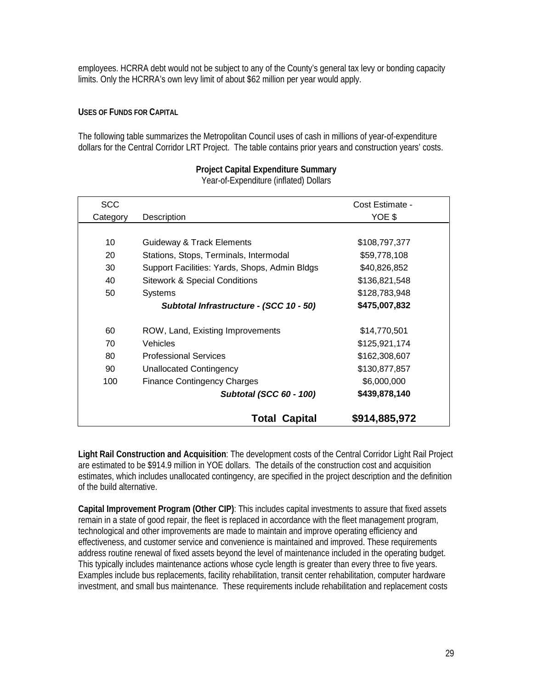employees. HCRRA debt would not be subject to any of the County's general tax levy or bonding capacity limits. Only the HCRRA's own levy limit of about \$62 million per year would apply.

#### **USES OF FUNDS FOR CAPITAL**

The following table summarizes the Metropolitan Council uses of cash in millions of year-of-expenditure dollars for the Central Corridor LRT Project. The table contains prior years and construction years' costs.

| <b>SCC</b> |                                               | Cost Estimate - |
|------------|-----------------------------------------------|-----------------|
| Category   | Description                                   | YOE \$          |
|            |                                               |                 |
| 10         | <b>Guideway &amp; Track Elements</b>          | \$108,797,377   |
| 20         | Stations, Stops, Terminals, Intermodal        | \$59,778,108    |
| 30         | Support Facilities: Yards, Shops, Admin Bldgs | \$40,826,852    |
| 40         | <b>Sitework &amp; Special Conditions</b>      | \$136,821,548   |
| 50         | <b>Systems</b>                                | \$128,783,948   |
|            | Subtotal Infrastructure - (SCC 10 - 50)       | \$475,007,832   |
|            |                                               |                 |
| 60         | ROW, Land, Existing Improvements              | \$14,770,501    |
| 70         | Vehicles                                      | \$125,921,174   |
| 80         | <b>Professional Services</b>                  | \$162,308,607   |
| 90         | <b>Unallocated Contingency</b>                | \$130,877,857   |
| 100        | <b>Finance Contingency Charges</b>            | \$6,000,000     |
|            | <b>Subtotal (SCC 60 - 100)</b>                | \$439,878,140   |
|            | <b>Total Capital</b>                          | \$914,885,972   |

## **Project Capital Expenditure Summary**

Year-of-Expenditure (inflated) Dollars

**Light Rail Construction and Acquisition**: The development costs of the Central Corridor Light Rail Project are estimated to be \$914.9 million in YOE dollars. The details of the construction cost and acquisition estimates, which includes unallocated contingency, are specified in the project description and the definition of the build alternative.

**Capital Improvement Program (Other CIP)**: This includes capital investments to assure that fixed assets remain in a state of good repair, the fleet is replaced in accordance with the fleet management program, technological and other improvements are made to maintain and improve operating efficiency and effectiveness, and customer service and convenience is maintained and improved. These requirements address routine renewal of fixed assets beyond the level of maintenance included in the operating budget. This typically includes maintenance actions whose cycle length is greater than every three to five years. Examples include bus replacements, facility rehabilitation, transit center rehabilitation, computer hardware investment, and small bus maintenance. These requirements include rehabilitation and replacement costs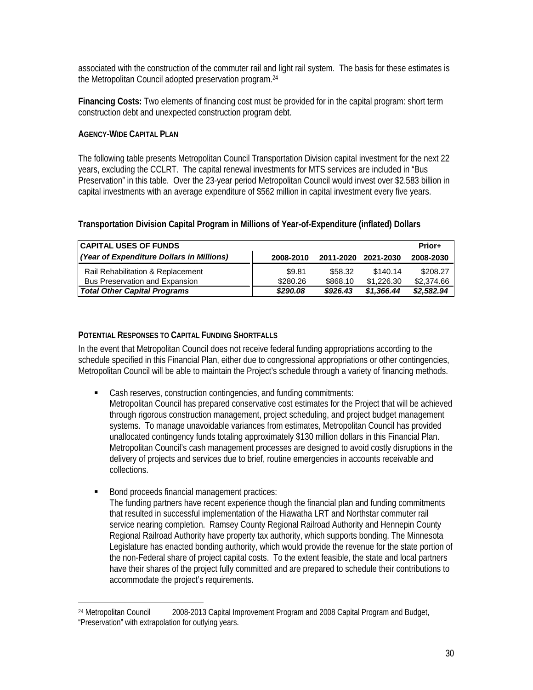associated with the construction of the commuter rail and light rail system. The basis for these estimates is the Metropolitan Council adopted preservation program.24

**Financing Costs:** Two elements of financing cost must be provided for in the capital program: short term construction debt and unexpected construction program debt.

#### **AGENCY-WIDE CAPITAL PLAN**

<u>.</u>

The following table presents Metropolitan Council Transportation Division capital investment for the next 22 years, excluding the CCLRT. The capital renewal investments for MTS services are included in "Bus Preservation" in this table. Over the 23-year period Metropolitan Council would invest over \$2.583 billion in capital investments with an average expenditure of \$562 million in capital investment every five years.

#### **Transportation Division Capital Program in Millions of Year-of-Expenditure (inflated) Dollars**

| <b>CAPITAL USES OF FUNDS</b>              |           |           |            | Prior+     |
|-------------------------------------------|-----------|-----------|------------|------------|
| (Year of Expenditure Dollars in Millions) | 2008-2010 | 2011-2020 | 2021-2030  | 2008-2030  |
| Rail Rehabilitation & Replacement         | \$9.81    | \$58.32   | \$140.14   | \$208.27   |
| <b>Bus Preservation and Expansion</b>     | \$280.26  | \$868.10  | \$1,226,30 | \$2,374.66 |
| <b>Total Other Capital Programs</b>       | \$290.08  | \$926.43  | \$1,366,44 | \$2,582.94 |

#### **POTENTIAL RESPONSES TO CAPITAL FUNDING SHORTFALLS**

In the event that Metropolitan Council does not receive federal funding appropriations according to the schedule specified in this Financial Plan, either due to congressional appropriations or other contingencies, Metropolitan Council will be able to maintain the Project's schedule through a variety of financing methods.

- Cash reserves, construction contingencies, and funding commitments: Metropolitan Council has prepared conservative cost estimates for the Project that will be achieved through rigorous construction management, project scheduling, and project budget management systems. To manage unavoidable variances from estimates, Metropolitan Council has provided unallocated contingency funds totaling approximately \$130 million dollars in this Financial Plan. Metropolitan Council's cash management processes are designed to avoid costly disruptions in the delivery of projects and services due to brief, routine emergencies in accounts receivable and collections.
- Bond proceeds financial management practices: The funding partners have recent experience though the financial plan and funding commitments that resulted in successful implementation of the Hiawatha LRT and Northstar commuter rail service nearing completion. Ramsey County Regional Railroad Authority and Hennepin County Regional Railroad Authority have property tax authority, which supports bonding. The Minnesota Legislature has enacted bonding authority, which would provide the revenue for the state portion of the non-Federal share of project capital costs. To the extent feasible, the state and local partners have their shares of the project fully committed and are prepared to schedule their contributions to accommodate the project's requirements.

<sup>24</sup> Metropolitan Council 2008-2013 Capital Improvement Program and 2008 Capital Program and Budget, "Preservation" with extrapolation for outlying years.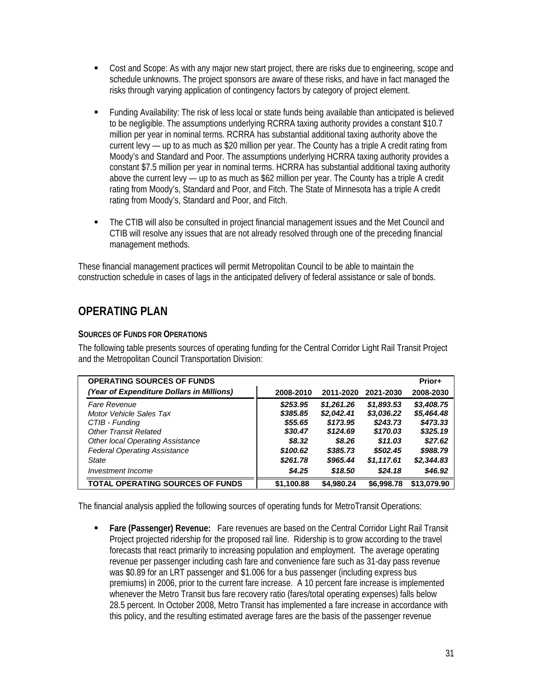- Cost and Scope: As with any major new start project, there are risks due to engineering, scope and schedule unknowns. The project sponsors are aware of these risks, and have in fact managed the risks through varying application of contingency factors by category of project element.
- Funding Availability: The risk of less local or state funds being available than anticipated is believed to be negligible. The assumptions underlying RCRRA taxing authority provides a constant \$10.7 million per year in nominal terms. RCRRA has substantial additional taxing authority above the current levy — up to as much as \$20 million per year. The County has a triple A credit rating from Moody's and Standard and Poor. The assumptions underlying HCRRA taxing authority provides a constant \$7.5 million per year in nominal terms. HCRRA has substantial additional taxing authority above the current levy — up to as much as \$62 million per year. The County has a triple A credit rating from Moody's, Standard and Poor, and Fitch. The State of Minnesota has a triple A credit rating from Moody's, Standard and Poor, and Fitch.
- The CTIB will also be consulted in project financial management issues and the Met Council and CTIB will resolve any issues that are not already resolved through one of the preceding financial management methods.

These financial management practices will permit Metropolitan Council to be able to maintain the construction schedule in cases of lags in the anticipated delivery of federal assistance or sale of bonds.

## **OPERATING PLAN**

### **SOURCES OF FUNDS FOR OPERATIONS**

The following table presents sources of operating funding for the Central Corridor Light Rail Transit Project and the Metropolitan Council Transportation Division:

| <b>OPERATING SOURCES OF FUNDS</b>         |            |            |            | Prior+      |
|-------------------------------------------|------------|------------|------------|-------------|
| (Year of Expenditure Dollars in Millions) | 2008-2010  | 2011-2020  | 2021-2030  | 2008-2030   |
| <b>Fare Revenue</b>                       | \$253.95   | \$1,261,26 | \$1,893.53 | \$3,408.75  |
| Motor Vehicle Sales Tax                   | \$385.85   | \$2,042.41 | \$3,036.22 | \$5,464.48  |
| CTIB - Funding                            | \$55.65    | \$173.95   | \$243.73   | \$473.33    |
| <b>Other Transit Related</b>              | \$30.47    | \$124.69   | \$170.03   | \$325.19    |
| <b>Other local Operating Assistance</b>   | \$8.32     | \$8.26     | \$11.03    | \$27.62     |
| <b>Federal Operating Assistance</b>       | \$100.62   | \$385.73   | \$502.45   | \$988.79    |
| State                                     | \$261.78   | \$965.44   | \$1,117.61 | \$2,344.83  |
| Investment Income                         | \$4.25     | \$18.50    | \$24.18    | \$46.92     |
| <b>TOTAL OPERATING SOURCES OF FUNDS</b>   | \$1,100.88 | \$4.980.24 | \$6,998,78 | \$13,079.90 |

The financial analysis applied the following sources of operating funds for MetroTransit Operations:

 **Fare (Passenger) Revenue:** Fare revenues are based on the Central Corridor Light Rail Transit Project projected ridership for the proposed rail line. Ridership is to grow according to the travel forecasts that react primarily to increasing population and employment. The average operating revenue per passenger including cash fare and convenience fare such as 31-day pass revenue was \$0.89 for an LRT passenger and \$1.006 for a bus passenger (including express bus premiums) in 2006, prior to the current fare increase. A 10 percent fare increase is implemented whenever the Metro Transit bus fare recovery ratio (fares/total operating expenses) falls below 28.5 percent. In October 2008, Metro Transit has implemented a fare increase in accordance with this policy, and the resulting estimated average fares are the basis of the passenger revenue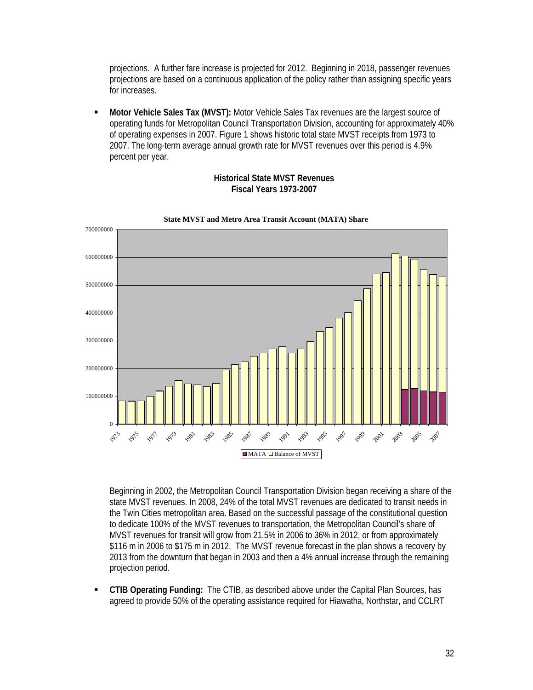projections. A further fare increase is projected for 2012. Beginning in 2018, passenger revenues projections are based on a continuous application of the policy rather than assigning specific years for increases.

 **Motor Vehicle Sales Tax (MVST):** Motor Vehicle Sales Tax revenues are the largest source of operating funds for Metropolitan Council Transportation Division, accounting for approximately 40% of operating expenses in 2007. Figure 1 shows historic total state MVST receipts from 1973 to 2007. The long-term average annual growth rate for MVST revenues over this period is 4.9% percent per year.



**Historical State MVST Revenues Fiscal Years 1973-2007** 

Beginning in 2002, the Metropolitan Council Transportation Division began receiving a share of the state MVST revenues. In 2008, 24% of the total MVST revenues are dedicated to transit needs in the Twin Cities metropolitan area. Based on the successful passage of the constitutional question to dedicate 100% of the MVST revenues to transportation, the Metropolitan Council's share of MVST revenues for transit will grow from 21.5% in 2006 to 36% in 2012, or from approximately \$116 m in 2006 to \$175 m in 2012. The MVST revenue forecast in the plan shows a recovery by 2013 from the downturn that began in 2003 and then a 4% annual increase through the remaining projection period.

 **CTIB Operating Funding:** The CTIB, as described above under the Capital Plan Sources, has agreed to provide 50% of the operating assistance required for Hiawatha, Northstar, and CCLRT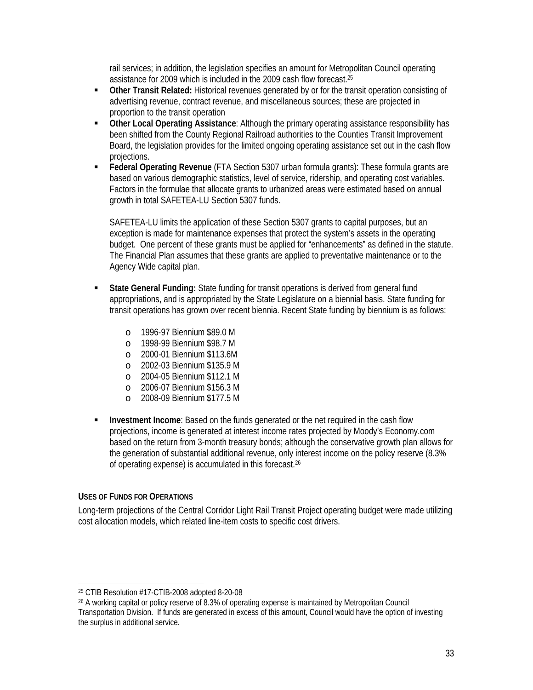rail services; in addition, the legislation specifies an amount for Metropolitan Council operating assistance for 2009 which is included in the 2009 cash flow forecast.<sup>25</sup>

- **Other Transit Related:** Historical revenues generated by or for the transit operation consisting of advertising revenue, contract revenue, and miscellaneous sources; these are projected in proportion to the transit operation
- **Other Local Operating Assistance**: Although the primary operating assistance responsibility has been shifted from the County Regional Railroad authorities to the Counties Transit Improvement Board, the legislation provides for the limited ongoing operating assistance set out in the cash flow projections.
- **Federal Operating Revenue** (FTA Section 5307 urban formula grants): These formula grants are based on various demographic statistics, level of service, ridership, and operating cost variables. Factors in the formulae that allocate grants to urbanized areas were estimated based on annual growth in total SAFETEA-LU Section 5307 funds.

SAFETEA-LU limits the application of these Section 5307 grants to capital purposes, but an exception is made for maintenance expenses that protect the system's assets in the operating budget. One percent of these grants must be applied for "enhancements" as defined in the statute. The Financial Plan assumes that these grants are applied to preventative maintenance or to the Agency Wide capital plan.

- **State General Funding:** State funding for transit operations is derived from general fund appropriations, and is appropriated by the State Legislature on a biennial basis. State funding for transit operations has grown over recent biennia. Recent State funding by biennium is as follows:
	- o 1996-97 Biennium \$89.0 M
	- o 1998-99 Biennium \$98.7 M
	- o 2000-01 Biennium \$113.6M
	- o 2002-03 Biennium \$135.9 M
	- o 2004-05 Biennium \$112.1 M
	- o 2006-07 Biennium \$156.3 M
	- o 2008-09 Biennium \$177.5 M
- **IDIM** Investment Income: Based on the funds generated or the net required in the cash flow projections, income is generated at interest income rates projected by Moody's Economy.com based on the return from 3-month treasury bonds; although the conservative growth plan allows for the generation of substantial additional revenue, only interest income on the policy reserve (8.3% of operating expense) is accumulated in this forecast.26

#### **USES OF FUNDS FOR OPERATIONS**

<u>.</u>

Long-term projections of the Central Corridor Light Rail Transit Project operating budget were made utilizing cost allocation models, which related line-item costs to specific cost drivers.

<sup>25</sup> CTIB Resolution #17-CTIB-2008 adopted 8-20-08

<sup>26</sup> A working capital or policy reserve of 8.3% of operating expense is maintained by Metropolitan Council Transportation Division. If funds are generated in excess of this amount, Council would have the option of investing the surplus in additional service.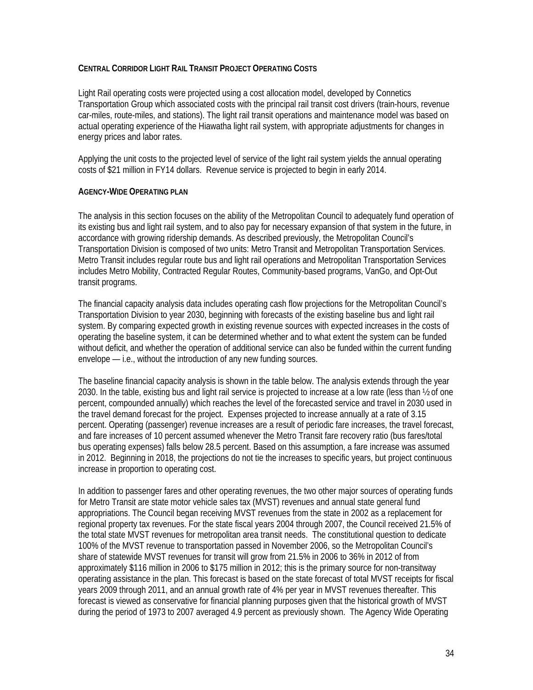#### **CENTRAL CORRIDOR LIGHT RAIL TRANSIT PROJECT OPERATING COSTS**

Light Rail operating costs were projected using a cost allocation model, developed by Connetics Transportation Group which associated costs with the principal rail transit cost drivers (train-hours, revenue car-miles, route-miles, and stations). The light rail transit operations and maintenance model was based on actual operating experience of the Hiawatha light rail system, with appropriate adjustments for changes in energy prices and labor rates.

Applying the unit costs to the projected level of service of the light rail system yields the annual operating costs of \$21 million in FY14 dollars. Revenue service is projected to begin in early 2014.

#### **AGENCY-WIDE OPERATING PLAN**

The analysis in this section focuses on the ability of the Metropolitan Council to adequately fund operation of its existing bus and light rail system, and to also pay for necessary expansion of that system in the future, in accordance with growing ridership demands. As described previously, the Metropolitan Council's Transportation Division is composed of two units: Metro Transit and Metropolitan Transportation Services. Metro Transit includes regular route bus and light rail operations and Metropolitan Transportation Services includes Metro Mobility, Contracted Regular Routes, Community-based programs, VanGo, and Opt-Out transit programs.

The financial capacity analysis data includes operating cash flow projections for the Metropolitan Council's Transportation Division to year 2030, beginning with forecasts of the existing baseline bus and light rail system. By comparing expected growth in existing revenue sources with expected increases in the costs of operating the baseline system, it can be determined whether and to what extent the system can be funded without deficit, and whether the operation of additional service can also be funded within the current funding envelope — i.e., without the introduction of any new funding sources.

The baseline financial capacity analysis is shown in the table below. The analysis extends through the year 2030. In the table, existing bus and light rail service is projected to increase at a low rate (less than ½ of one percent, compounded annually) which reaches the level of the forecasted service and travel in 2030 used in the travel demand forecast for the project. Expenses projected to increase annually at a rate of 3.15 percent. Operating (passenger) revenue increases are a result of periodic fare increases, the travel forecast, and fare increases of 10 percent assumed whenever the Metro Transit fare recovery ratio (bus fares/total bus operating expenses) falls below 28.5 percent. Based on this assumption, a fare increase was assumed in 2012. Beginning in 2018, the projections do not tie the increases to specific years, but project continuous increase in proportion to operating cost.

In addition to passenger fares and other operating revenues, the two other major sources of operating funds for Metro Transit are state motor vehicle sales tax (MVST) revenues and annual state general fund appropriations. The Council began receiving MVST revenues from the state in 2002 as a replacement for regional property tax revenues. For the state fiscal years 2004 through 2007, the Council received 21.5% of the total state MVST revenues for metropolitan area transit needs. The constitutional question to dedicate 100% of the MVST revenue to transportation passed in November 2006, so the Metropolitan Council's share of statewide MVST revenues for transit will grow from 21.5% in 2006 to 36% in 2012 of from approximately \$116 million in 2006 to \$175 million in 2012; this is the primary source for non-transitway operating assistance in the plan. This forecast is based on the state forecast of total MVST receipts for fiscal years 2009 through 2011, and an annual growth rate of 4% per year in MVST revenues thereafter. This forecast is viewed as conservative for financial planning purposes given that the historical growth of MVST during the period of 1973 to 2007 averaged 4.9 percent as previously shown. The Agency Wide Operating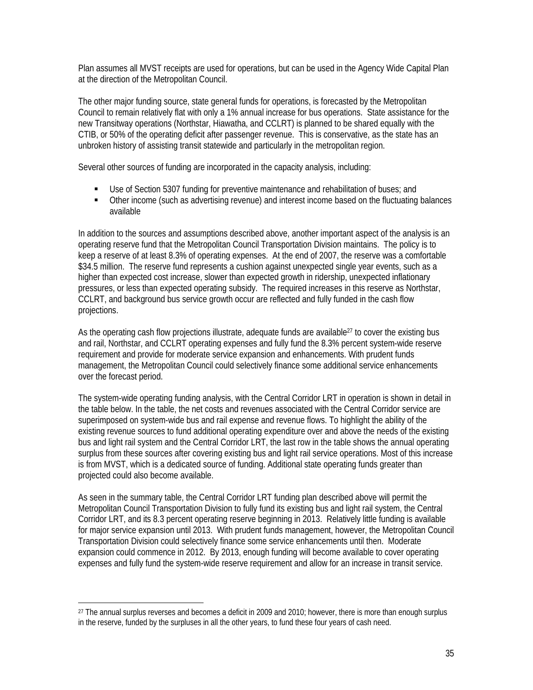Plan assumes all MVST receipts are used for operations, but can be used in the Agency Wide Capital Plan at the direction of the Metropolitan Council.

The other major funding source, state general funds for operations, is forecasted by the Metropolitan Council to remain relatively flat with only a 1% annual increase for bus operations. State assistance for the new Transitway operations (Northstar, Hiawatha, and CCLRT) is planned to be shared equally with the CTIB, or 50% of the operating deficit after passenger revenue. This is conservative, as the state has an unbroken history of assisting transit statewide and particularly in the metropolitan region.

Several other sources of funding are incorporated in the capacity analysis, including:

- Use of Section 5307 funding for preventive maintenance and rehabilitation of buses; and
- Other income (such as advertising revenue) and interest income based on the fluctuating balances available

In addition to the sources and assumptions described above, another important aspect of the analysis is an operating reserve fund that the Metropolitan Council Transportation Division maintains. The policy is to keep a reserve of at least 8.3% of operating expenses. At the end of 2007, the reserve was a comfortable \$34.5 million. The reserve fund represents a cushion against unexpected single year events, such as a higher than expected cost increase, slower than expected growth in ridership, unexpected inflationary pressures, or less than expected operating subsidy. The required increases in this reserve as Northstar, CCLRT, and background bus service growth occur are reflected and fully funded in the cash flow projections.

As the operating cash flow projections illustrate, adequate funds are available<sup>27</sup> to cover the existing bus and rail, Northstar, and CCLRT operating expenses and fully fund the 8.3% percent system-wide reserve requirement and provide for moderate service expansion and enhancements. With prudent funds management, the Metropolitan Council could selectively finance some additional service enhancements over the forecast period.

The system-wide operating funding analysis, with the Central Corridor LRT in operation is shown in detail in the table below. In the table, the net costs and revenues associated with the Central Corridor service are superimposed on system-wide bus and rail expense and revenue flows. To highlight the ability of the existing revenue sources to fund additional operating expenditure over and above the needs of the existing bus and light rail system and the Central Corridor LRT, the last row in the table shows the annual operating surplus from these sources after covering existing bus and light rail service operations. Most of this increase is from MVST, which is a dedicated source of funding. Additional state operating funds greater than projected could also become available.

As seen in the summary table, the Central Corridor LRT funding plan described above will permit the Metropolitan Council Transportation Division to fully fund its existing bus and light rail system, the Central Corridor LRT, and its 8.3 percent operating reserve beginning in 2013. Relatively little funding is available for major service expansion until 2013. With prudent funds management, however, the Metropolitan Council Transportation Division could selectively finance some service enhancements until then. Moderate expansion could commence in 2012. By 2013, enough funding will become available to cover operating expenses and fully fund the system-wide reserve requirement and allow for an increase in transit service.

 $\overline{\phantom{0}}$ 

<sup>&</sup>lt;sup>27</sup> The annual surplus reverses and becomes a deficit in 2009 and 2010; however, there is more than enough surplus in the reserve, funded by the surpluses in all the other years, to fund these four years of cash need.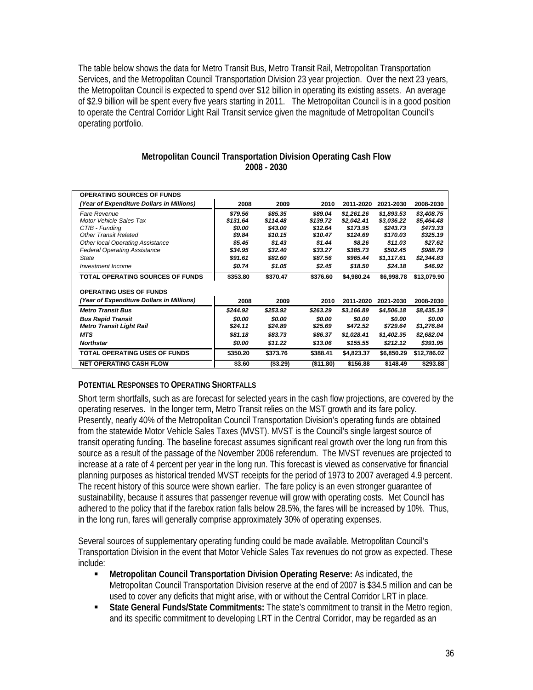The table below shows the data for Metro Transit Bus, Metro Transit Rail, Metropolitan Transportation Services, and the Metropolitan Council Transportation Division 23 year projection. Over the next 23 years, the Metropolitan Council is expected to spend over \$12 billion in operating its existing assets. An average of \$2.9 billion will be spent every five years starting in 2011. The Metropolitan Council is in a good position to operate the Central Corridor Light Rail Transit service given the magnitude of Metropolitan Council's operating portfolio.

#### **Metropolitan Council Transportation Division Operating Cash Flow 2008 - 2030**

| <b>OPERATING SOURCES OF FUNDS</b>         |          |           |           |            |            |             |
|-------------------------------------------|----------|-----------|-----------|------------|------------|-------------|
| (Year of Expenditure Dollars in Millions) | 2008     | 2009      | 2010      | 2011-2020  | 2021-2030  | 2008-2030   |
| Fare Revenue                              | \$79.56  | \$85.35   | \$89.04   | \$1,261.26 | \$1,893.53 | \$3,408.75  |
| Motor Vehicle Sales Tax                   | \$131.64 | \$114.48  | \$139.72  | \$2.042.41 | \$3,036.22 | \$5,464.48  |
| CTIB - Funding                            | \$0.00   | \$43.00   | \$12.64   | \$173.95   | \$243.73   | \$473.33    |
| Other Transit Related                     | \$9.84   | \$10.15   | \$10.47   | \$124.69   | \$170.03   | \$325.19    |
| <b>Other local Operating Assistance</b>   | \$5.45   | \$1.43    | \$1.44    | \$8.26     | \$11.03    | \$27.62     |
| <b>Federal Operating Assistance</b>       | \$34.95  | \$32.40   | \$33.27   | \$385.73   | \$502.45   | \$988.79    |
| <b>State</b>                              | \$91.61  | \$82.60   | \$87.56   | \$965.44   | \$1,117.61 | \$2,344.83  |
| Investment Income                         | \$0.74   | \$1.05    | \$2.45    | \$18.50    | \$24.18    | \$46.92     |
| <b>TOTAL OPERATING SOURCES OF FUNDS</b>   | \$353.80 | \$370.47  | \$376.60  | \$4.980.24 | \$6,998.78 | \$13,079.90 |
|                                           |          |           |           |            |            |             |
| <b>OPERATING USES OF FUNDS</b>            |          |           |           |            |            |             |
| (Year of Expenditure Dollars in Millions) | 2008     | 2009      | 2010      | 2011-2020  | 2021-2030  | 2008-2030   |
| <b>Metro Transit Bus</b>                  | \$244.92 | \$253.92  | \$263.29  | \$3,166.89 | \$4,506.18 | \$8,435.19  |
| <b>Bus Rapid Transit</b>                  | \$0.00   | \$0.00    | \$0.00    | \$0.00     | \$0.00     | \$0.00      |
| <b>Metro Transit Light Rail</b>           | \$24.11  | \$24.89   | \$25.69   | \$472.52   | \$729.64   | \$1,276.84  |
| <b>MTS</b>                                | \$81.18  | \$83.73   | \$86.37   | \$1,028.41 | \$1,402.35 | \$2,682.04  |
| <b>Northstar</b>                          | \$0.00   | \$11.22   | \$13.06   | \$155.55   | \$212.12   | \$391.95    |
| <b>TOTAL OPERATING USES OF FUNDS</b>      | \$350.20 | \$373.76  | \$388.41  | \$4,823.37 | \$6,850.29 | \$12,786.02 |
| <b>NET OPERATING CASH FLOW</b>            | \$3.60   | ( \$3.29) | (\$11.80) | \$156.88   | \$148.49   | \$293.88    |

#### **POTENTIAL RESPONSES TO OPERATING SHORTFALLS**

Short term shortfalls, such as are forecast for selected years in the cash flow projections, are covered by the operating reserves. In the longer term, Metro Transit relies on the MST growth and its fare policy. Presently, nearly 40% of the Metropolitan Council Transportation Division's operating funds are obtained from the statewide Motor Vehicle Sales Taxes (MVST). MVST is the Council's single largest source of transit operating funding. The baseline forecast assumes significant real growth over the long run from this source as a result of the passage of the November 2006 referendum. The MVST revenues are projected to increase at a rate of 4 percent per year in the long run. This forecast is viewed as conservative for financial planning purposes as historical trended MVST receipts for the period of 1973 to 2007 averaged 4.9 percent. The recent history of this source were shown earlier. The fare policy is an even stronger guarantee of sustainability, because it assures that passenger revenue will grow with operating costs. Met Council has adhered to the policy that if the farebox ration falls below 28.5%, the fares will be increased by 10%. Thus, in the long run, fares will generally comprise approximately 30% of operating expenses.

Several sources of supplementary operating funding could be made available. Metropolitan Council's Transportation Division in the event that Motor Vehicle Sales Tax revenues do not grow as expected. These include:

- **Metropolitan Council Transportation Division Operating Reserve:** As indicated, the Metropolitan Council Transportation Division reserve at the end of 2007 is \$34.5 million and can be used to cover any deficits that might arise, with or without the Central Corridor LRT in place.
- **State General Funds/State Commitments:** The state's commitment to transit in the Metro region, and its specific commitment to developing LRT in the Central Corridor, may be regarded as an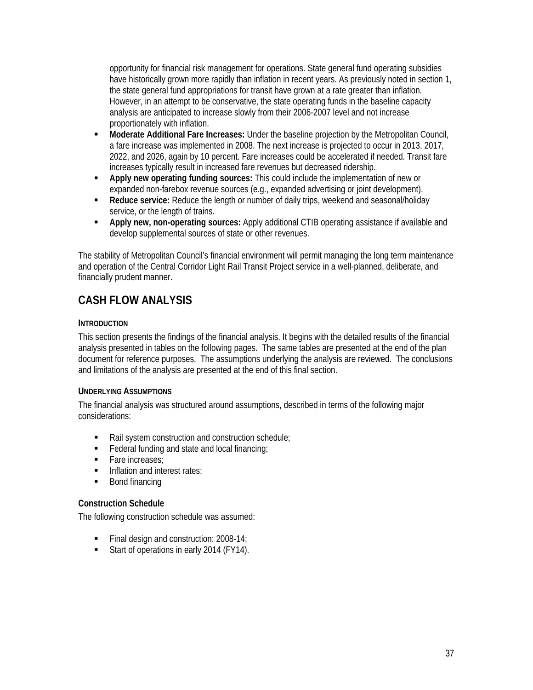opportunity for financial risk management for operations. State general fund operating subsidies have historically grown more rapidly than inflation in recent years. As previously noted in section 1, the state general fund appropriations for transit have grown at a rate greater than inflation. However, in an attempt to be conservative, the state operating funds in the baseline capacity analysis are anticipated to increase slowly from their 2006-2007 level and not increase proportionately with inflation.

- **Moderate Additional Fare Increases:** Under the baseline projection by the Metropolitan Council, a fare increase was implemented in 2008. The next increase is projected to occur in 2013, 2017, 2022, and 2026, again by 10 percent. Fare increases could be accelerated if needed. Transit fare increases typically result in increased fare revenues but decreased ridership.
- **Apply new operating funding sources:** This could include the implementation of new or expanded non-farebox revenue sources (e.g., expanded advertising or joint development).
- **Reduce service:** Reduce the length or number of daily trips, weekend and seasonal/holiday service, or the length of trains.
- **Apply new, non-operating sources:** Apply additional CTIB operating assistance if available and develop supplemental sources of state or other revenues.

The stability of Metropolitan Council's financial environment will permit managing the long term maintenance and operation of the Central Corridor Light Rail Transit Project service in a well-planned, deliberate, and financially prudent manner.

# **CASH FLOW ANALYSIS**

### **INTRODUCTION**

This section presents the findings of the financial analysis. It begins with the detailed results of the financial analysis presented in tables on the following pages. The same tables are presented at the end of the plan document for reference purposes. The assumptions underlying the analysis are reviewed. The conclusions and limitations of the analysis are presented at the end of this final section.

#### **UNDERLYING ASSUMPTIONS**

The financial analysis was structured around assumptions, described in terms of the following major considerations:

- Rail system construction and construction schedule;
- $\blacksquare$  Federal funding and state and local financing;
- **Fare increases:**
- Inflation and interest rates;
- Bond financing

#### **Construction Schedule**

The following construction schedule was assumed:

- Final design and construction: 2008-14;
- Start of operations in early 2014 (FY14).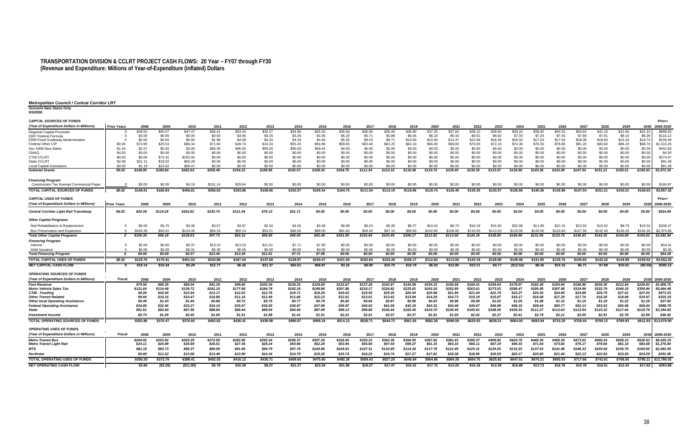#### **TRANSPORTATION DIVISION & CCLRT PROJECT CASH FLOWS: 20 Year – FY07 through FY30 (Revenue and Expenditure: Millions of Year-of-Expenditure (inflated) Dollars**

| <b>Metropolitan Council / Central Corridor LRT</b>                        |                    |                   |                    |                     |                   |                   |                   |                   |                   |                   |                   |                   |                   |                   |                   |                   |                   |                   |                   |                   |                   |                   |                   |                   |                      |
|---------------------------------------------------------------------------|--------------------|-------------------|--------------------|---------------------|-------------------|-------------------|-------------------|-------------------|-------------------|-------------------|-------------------|-------------------|-------------------|-------------------|-------------------|-------------------|-------------------|-------------------|-------------------|-------------------|-------------------|-------------------|-------------------|-------------------|----------------------|
| <b>Scenario New Starts Only</b><br>9/3/2008                               |                    |                   |                    |                     |                   |                   |                   |                   |                   |                   |                   |                   |                   |                   |                   |                   |                   |                   |                   |                   |                   |                   |                   |                   |                      |
| <b>CAPITAL SOURCES OF FUNDS</b>                                           |                    |                   |                    |                     |                   |                   |                   |                   |                   |                   |                   |                   |                   |                   |                   |                   |                   |                   |                   |                   |                   |                   |                   |                   | Prior+               |
| (Year of Expenditure Dollars in Millions)                                 | <b>Prior Years</b> | 2008              | 2009               | 2010                | 2011              | 2012              | 2013              | 2014              | 2015              | 2016              | 2017              | 2018              | 2019              | 2020              | 2021              | 2022              | 2023              | 2024              | 2025              | 2026              | 2027              | 2028              | 2029              | 2030              | 2008-2030            |
| Regional Capital Proceeds                                                 | $\Omega$           | \$49.54           | \$40.07            | \$47.47             | \$36.41           | \$33.34           | \$32.27           | \$34.80           | \$35.20           | \$35.60           | \$36.00           | \$36.40           | \$36.80           | \$37.20           | \$37.60           | \$38.10           | \$38.60           | \$39.10           | \$39.60           | \$40.10           | \$40.60           | \$41.10           | \$41.60           | \$42.10           | \$889.60             |
| 5307 Federal Formula                                                      | - 0                | \$0.00            | \$0.00             | \$0.00              | \$0.50            | \$3.06            | \$3.15            | \$3.25            | \$3.35            | \$5.20            | \$5.71            | \$5.88            | \$6.06            | \$6.24            | \$6.43            | \$6.62            | \$6.82            | \$7.03            | \$7.24            | \$7.45            | \$7.68            | \$7.91            | \$8.15            | \$8.39            | \$116.12             |
| 5309 Fixed Guideway Modernization                                         |                    | \$0.00            | \$0.00             | \$0.00              | \$1.98            | \$4.08            | \$4.20            | \$4.33            | \$4.46            | \$5.35            | \$9.43            | \$9.71            | \$10.00           | \$10.30           | \$14.37           | \$15.58           | \$16.05           | \$16.53           | \$17.03           | \$17.54           | \$18.06           | \$18.60           | \$19.16           | \$19.74           | \$236.49             |
| Federal Other CIP                                                         | \$0.00             | \$74.99           | \$26.53            | \$86.34             | \$71.60           | \$28.74           | \$24.33           | \$55.20           | \$56.90           | \$58.60           | \$60.40           | \$62.20           | \$64.10           | \$66.00           | \$68.00           | \$70.00           | \$72.10           | \$74.30           | \$76.50           | \$78.80           | \$81.20           | \$83.60           | \$86.10           | \$88.70           | \$1,515.25           |
| Sec 5309 New Starts                                                       | \$1.44             | \$2.07            | \$0.00             | \$0.00              | \$95.00           | \$95.00           | \$95.00           | \$95.00           | \$69.44           | \$0.00            | \$0.00            | \$0.00            | \$0.00            | \$0.00            | \$0.00            | \$0.00            | \$0.00            | \$0.00            | \$0.00            | \$0.00            | \$0.00            | \$0.00            | \$0.00            | \$0.00            | \$452.94             |
| CMAQ<br><b>CTIB CCLRT</b>                                                 | \$4.50             | \$0.00            | \$0.00             | \$0.00              | \$0.00            | \$0.00            | \$0.00            | \$0.00            | \$0.00            | \$0.00            | \$0.00            | \$0.00            | \$0.00            | \$0.00            | \$0.00            | \$0.00            | \$0.00            | \$0.00            | \$0.00            | \$0.00            | \$0.00            | \$0.00            | \$0.00            | \$0.00            | \$4.50<br>\$274.47   |
| State CCLR <sup>-</sup>                                                   | \$0.00<br>\$2.08   | \$0.00<br>\$21.11 | \$72.41<br>\$18.02 | \$202.06<br>\$50.28 | \$0.00<br>\$0.00  | \$0.00<br>\$0.00  | \$0.00<br>\$0.00  | \$0.00<br>\$0.00  | \$0.00<br>\$0.00  | \$0.00<br>\$0.00  | \$0.00<br>\$0.00  | \$0.00<br>\$0.00  | \$0.00<br>\$0.00  | \$0.00<br>\$0.00  | \$0.00<br>\$0.00  | \$0.00<br>\$0.00  | \$0.00<br>\$0.00  | \$0.00<br>\$0.00  | \$0.00<br>\$0.00  | \$0.00<br>\$0.00  | \$0.00<br>\$0.00  | \$0.00<br>\$0.00  | \$0.00<br>\$0.00  | \$0.00<br>\$0.00  | \$91.49              |
| Local Capital Assistance                                                  | \$0.00             | \$1.19            | \$23.82            | \$66.47             | \$0.00            | \$0.00            | \$0.00            | \$0.00            | \$0.00            | \$0.00            | \$0.00            | \$0.00            | \$0.00            | \$0.00            | \$0.00            | \$0.00            | \$0.00            | \$0.00            | \$0.00            | \$0.00            | \$0.00            | \$0.00            | \$0.00            | \$0.00            | \$91.49              |
| <b>Subtotal Grants</b>                                                    | \$8.02             | \$148.90          | \$180.84           | \$452.63            | \$205.49          | \$164.22          | \$158.96          | \$192.57          | \$169.34          | \$104.75          | \$111.54          | \$114.19          | \$116.96          | \$119.74          | \$126.40          | \$130.30          | \$133.57          | \$136.96          | \$140.36          | \$143.89          | \$147.54          | \$151.21          | \$155.01          | \$158.93          | \$3,672.34           |
| <b>Financing Program</b>                                                  | $\Omega$           | \$0.00            | \$0.00             | \$4.19              | \$151.14          | \$29.64           | \$0.00            | \$0.00            | \$0.00            | \$0.00            | \$0.00            |                   | \$0.00            |                   | \$0.00            | \$0.00            |                   | \$0.00            | \$0.00            | \$0.00            | \$0.00            | \$0.00            | \$0.00            | \$0.00            | \$184.97             |
| <b>Construction Tax Exempt Commercial Paper</b>                           |                    |                   |                    |                     |                   |                   |                   |                   |                   |                   |                   | \$0.00            |                   | \$0.00            |                   |                   | \$0.00            |                   |                   |                   |                   |                   |                   |                   |                      |
| <b>TOTAL CAPITAL SOURCES OF FUNDS</b>                                     | \$8.02             | \$148.91          | \$180.84           | \$456.81            | \$356.63          | \$193.86          | \$158.96          | \$192.57          | \$169.34          | \$104.75          | \$111.54          | \$114.19          | \$116.96          | \$119.74          | \$126.40          | \$130.30          | \$133.57          | \$136.96          | \$140.36          | \$143.89          | \$147.54          | \$151.21          | \$155.01          | \$158.93          | \$3,857.32           |
| <b>CAPITAL USES OF FUNDS</b><br>(Year of Expenditure Dollars in Millions) | Prior Years        | 2008              | 2009               | 2010                | 2011              | 2012              | 2013              | 2014              | 2015              | 2016              | 2017              | 2018              | 2019              | 2020              | 2021              | 2022              | 2023              | 2024              | 2025              | 2026              | 2027              | 2028              | 2029              | 2030              | Prior+<br>2008-2030  |
| Central Corridor Light Rail Transitway                                    | \$8.02             | \$24.38           | \$114.25           | \$322.62            | \$232.74          | \$111.04          | \$70.13           | \$31.71           | \$0.00            | \$0.00            | \$0.00            | \$0.00            | \$0.00            | \$0.00            | \$0.00            | \$0.00            | \$0.00            | \$0.00            | \$0.00            | \$0.00            | \$0.00            | \$0.00            | \$0.00            | \$0.00            | \$914.89             |
| <b>Other Capital Programs</b>                                             |                    |                   |                    |                     |                   |                   |                   |                   |                   |                   |                   |                   |                   |                   |                   |                   |                   |                   |                   |                   |                   |                   |                   |                   |                      |
| Rail Rehabilitation & Replacement                                         | $\Omega$           | \$0.00            | \$5.75             | \$4.06              | \$3.57            | \$3.97            | \$2.34            | \$4.05            | \$3.48            | \$9.99            | \$8.24            | \$6.39            | \$6.27            | \$10.02           | \$6.70            | \$10.19           | \$15.60           | \$32.98           | \$11.95           | \$10.15           | \$13.53           | \$10.92           | \$8.79            | \$19.32           | \$208.27             |
| Bus Preservation and Expansion                                            | $\Omega$           | \$105.39          | \$50.4             | \$124.46            | \$94.16           | \$59.14           | \$53.51           | \$86.50           | \$89.00           | \$91.60           | \$94.40           | \$97.10           | \$99.90           | \$102.80          | \$106.90          | \$110.00          | \$113.20          | \$116.50          | \$120.00          | \$123.60          | \$127.30          | \$132.40          | \$136.20          | \$140.20          | \$2,374.66           |
| <b>Total Other Capital Programs</b>                                       | 0                  | \$105.39          | \$56.16            | \$128.53            | \$97.73           | \$63.10           | \$55.85           | \$90.55           | \$92.48           | \$101.59          | \$102.64          | \$103.49          | \$106.17          | \$112.82          | \$113.60          | \$120.19          | \$128.80          | \$149.48          | \$131.95          | \$133.75          | \$140.83          | \$143.32          | \$144.99          | \$159.52          | \$2,582.94           |
| <b>Financing Program</b>                                                  |                    |                   |                    |                     |                   |                   |                   |                   |                   |                   |                   |                   |                   |                   |                   |                   |                   |                   |                   |                   |                   |                   |                   |                   |                      |
| Interest                                                                  | $\Omega$           | \$0.00            | \$0.00             | \$0.37              | \$13.10           | \$13.23           | \$11.61           | \$7.71            | \$7.99            | \$0.00            | \$0.00            | \$0.00            | \$0.00            | \$0.00            | \$0.00            | \$0.00            | \$0.00            | \$0.00            | \$0.00            | \$0.00            | \$0.00            | \$0.00            | \$0.00            | \$0.00            | \$54.0               |
| Debt Issuance                                                             |                    | \$0.00            | \$0.00             | \$0.01              | \$0.30            | \$0.06            | \$0.00            | \$0.00            | \$0.00            | \$0.00            | \$0.00            | \$0.00            | \$0.00            | \$0.00            | \$0.00            | \$0.00            | \$0.00            | \$0.00            | \$0.00            | \$0.00            | \$0.00            | \$0.00            | \$0.00            | \$0.00            | \$0.36               |
| <b>Total Financing Program</b>                                            | $\Omega$           | \$0.00            | \$0.00             | \$0.37              | \$13.40           | \$13.29           | \$11.61           | \$7.71            | \$7.99            | \$0.00            | \$0.00            | \$0.00            | \$0.00            | \$0.00            | \$0.00            | \$0.00            | \$0.00            | \$0.00            | \$0.00            | \$0.00            | \$0.00            | \$0.00            | \$0.00            | \$0.00            | \$54.38              |
| <b>TOTAL CAPITAL USES OF FUNDS</b>                                        | \$8.02             | \$129.76          | \$170.41           | \$451.53            | \$343.86          | \$187.44          | \$137.59          | \$129.97          | \$100.47          | \$101.59          | \$102.64          | \$103.49          | \$106.17          | \$112.82          | \$113.60          | \$120.19          | \$128.80          | \$149.48          | \$131.95          | \$133.75          | \$140.83          | \$143.32          | \$144.99          | \$159.52          | \$3,552.20           |
| <b>NET CAPITAL CASH FLOW</b>                                              | 0                  | \$19.14           | \$10.44            | \$5.29              | \$12.77           | \$6.42            | \$21.37           | \$62.61           | \$68.87           | \$3.16            | \$8.90            | \$10.70           | \$10.79           | \$6.92            | \$12.80           | \$10.11           | \$4.77            | (\$12.52)         | \$8.42            | \$10.15           | \$6.71            | \$7.89            | \$10.01           | (50.59)           | \$305.12             |
| OPERATING SOURCES OF FUNDS                                                |                    |                   |                    |                     |                   |                   |                   |                   |                   |                   |                   |                   |                   |                   |                   |                   |                   |                   |                   |                   |                   |                   |                   |                   |                      |
| (Year of Expenditure Dollars in Millions)                                 | <b>Fiscal</b>      | 2008              | 2009               | 2010                | 2011              | 2012              | 2013              | 2014              | 2015              | 2016              | 2017              | 2018              | 2019              | 2020              | 2021              | 2022              | 2023              | 2024              | 2025              | 2026              | 2027              | 2028              | 2029              | 2030              | 2008-2030            |
| <b>Fare Revenue</b>                                                       |                    | \$79.56           | \$85.35            | \$89.04             | \$91.29           | \$99.84           | \$102.36          | \$126.33          | \$129.59          | \$132.87          | \$137.26          | \$142.67          | \$144.96          | \$154.10          | \$156.56          | \$166.41          | \$169.04          | \$179.67          | \$182.49          | \$193.94          | \$196.96          | \$209.30          | \$212.54          | \$226.63          | \$3,408.75           |
| <b>Motor Vehicle Sales Tax</b>                                            |                    | \$131.64          | \$114.48           | \$139.72            | \$162.10          | \$177.68          | \$184.78          | \$192.18          | \$199.86          | \$207.86          | \$216.17          | \$224.82          | \$233.81          | \$243.16          | \$252.89          | \$263.01          | \$273.53          | \$284.47          | \$295.85          | \$307.68          | \$319.99          | \$332.79          | \$346.10          | \$359.94          | \$5.464.48           |
| <b>CTIB - Funding</b>                                                     |                    | \$0.00            | \$43.00            | \$12.64             | \$13.17           | \$12.02           | \$12.76           | \$16.71           | \$19.26           | \$19.63           | \$19.55           | \$19.35           | \$20.54           | \$20.98           | \$21.94           | \$21.44           | \$22.79           | \$23.27           | \$24.35           | \$24.85           | \$24.88           | \$25.79           | \$27.01           | \$27.43           | \$473.33             |
| <b>Other Transit Related</b><br><b>Other local Operating Assistance</b>   |                    | \$9.84<br>\$5.45  | \$10.15<br>\$1.43  | \$10.47<br>\$1.44   | \$10.80<br>\$0.88 | \$11.14<br>\$0.72 | \$11.49<br>\$0.75 | \$11.86<br>\$0.77 | \$12.23<br>\$0.79 | \$12.61<br>\$0.82 | \$13.01<br>\$0.84 | \$13.42<br>\$0.87 | \$13.84<br>\$0.90 | \$14.28<br>\$0.93 | \$14.73<br>\$0.96 | \$15.19<br>\$0.99 | \$15.67<br>\$1.02 | \$16.17<br>\$1.05 | \$16.68<br>\$1.08 | \$17.20<br>\$1.12 | \$17.74<br>\$1.15 | \$18.30<br>\$1.19 | \$18.88<br>\$1.22 | \$19.47<br>\$1.26 | \$325.19<br>\$27.62  |
| <b>Federal Operating Assistance</b>                                       |                    | \$34.95           | \$32.40            | \$33.27             | \$34.15           | \$35.07           | \$36.00           | \$36.97           | \$37.96           | \$38.97           | \$40.02           | \$41.09           | \$42.19           | \$43.32           | \$44.48           | \$45.67           | \$46.89           | \$48.15           | \$49.44           | \$50.77           | \$52.13           | \$53.53           | \$54.96           | \$56.44           | \$988.79             |
| <b>State</b>                                                              |                    | \$91.61           | \$82.60            | \$87.56             | \$88.84           | \$88.44           | \$89.94           | \$94.66           | \$97.99           | \$99.13           | \$99.85           | \$100.44          | \$102.45          | \$103.70          | \$105.49          | \$105.81          | \$108.00          | \$109.33          | \$111.27          | \$112.63          | \$113.54          | \$115.32          | \$117.44          | \$118.76          | \$2,344.83           |
| <b>Investment Income</b>                                                  |                    | \$0.74            | \$1.05             | \$2.45              | \$1.60            | \$1.51            | \$1.88            | \$1.41            | \$1.51            | \$2.22            | \$2.01            | \$2.07            | \$2.37            | \$1.91            | \$1.55            | \$2.42            | \$2.27            | \$2.41            | \$2.79            | \$2.11            | \$2.05            | \$2.91            | \$2.78            | \$2.89            | \$46.92              |
| TOTAL OPERATING SOURCES OF FUNDS                                          |                    | \$353.80          | \$370.47           | \$376.60            | \$402.82          | \$426.41          | \$439.98          | \$480.87          | \$499.19          | \$514.12          | \$528.71          | \$544.72          | \$561.05          | \$582.38          | \$598.59          | \$620.93          | \$639.21          | \$664.50          | \$683.94          | \$710.29          | \$728.44          | \$759.12          | \$780.93          |                   | \$812.83 \$13,079.90 |
| <b>OPERATING USES OF FUNDS</b>                                            |                    |                   |                    |                     |                   |                   |                   |                   |                   |                   |                   |                   |                   |                   |                   |                   |                   |                   |                   |                   |                   |                   |                   |                   |                      |
| (Year of Expenditure Dollars in Millions)                                 | Fiscal             | 2008              | 2009               | 2010                | 2011              | 2012              | 2013              | 2014              | 2015              | 2016              | 2017              | 2018              | 2019              | 2020              | 2021              | 2022              | 2023              | 2024              | 2025              | 2026              | 2027              | 2028              | 2029              | 2030              | 2008-2030            |
| <b>Metro Transit Bus</b>                                                  |                    | \$244.92          | \$253.92           | \$263.29            | \$272.95          | \$282.96          | \$293.34          | \$296.37          | \$307.26          | \$318.54          | \$330.23          | \$342.38          | \$354.93          | \$367.92          | \$381.43          | \$395.37          | \$409.82          | \$424.78          | \$440.34          | \$456.39          | \$473.02          | \$490.24          | \$508.15          | \$526.63          | \$8,435.19           |
| <b>Metro Transit Light Rail</b>                                           |                    | \$24.11           | \$24.89            | \$25.69             | \$26.51           | \$27.36           | \$28.24           | \$50.66           | \$52.28           | \$53.94           | \$55.66           | \$57.44           | \$59.27           | \$61.15           | \$63.10           | \$65.11           | \$67.19           | \$69.33           | \$71.54           | \$73.82           | \$76.17           | \$78.60           | \$81.10           | \$83.68           | \$1,276.84           |
| MTS                                                                       |                    | \$81.18           | \$83.73            | \$86.37             | \$89.09           | \$91.90           | \$94.79           | \$97.78           | \$100.86          | \$104.03          | \$107.31          | \$110.69          | \$114.18          | \$117.78          | \$121.49          | \$125.31          | \$129.26          | \$133.33          | \$137.53          | \$141.86          | \$146.33          | \$150.94          | \$155.70          | \$160.60          | \$2,682.0            |
| <b>Northstar</b>                                                          |                    | \$0.00            | \$11.22            | \$13.06             | \$13.48           | \$13.90           | \$14.34           | \$14.79           | \$15.26           | \$15.74           | \$16.23           | \$16.74           | \$17.27           | \$17.81           | \$18.38           | \$18.95           | \$19.55           | \$20.17           | \$20.80           | \$21.46           | \$22.13           | \$22.83           | \$23.55           | \$24.29           | \$391.95             |
| <b>TOTAL OPERATING USES OF FUNDS</b>                                      |                    | \$350.20          | \$373.76           | \$388.41            | \$402.03          | \$416.12          | \$430.71          | \$459.60          | \$475.65          | \$492.26          | \$509.43          | \$527.25          | \$545.64          | \$564.66          | \$584.39          | \$604.75          | \$625.82          | \$647.61          | \$670.21          | \$693.53          | \$717.66          | \$742.61          | \$768.50          |                   | \$795.21 \$12,786.02 |
| <b>NET OPERATING CASH FLOW</b>                                            |                    | \$3.60            | ( \$3.29)          | (\$11.80)           | \$0.79            | \$10.29           | \$9.27            | \$21.27           | \$23.54           | \$21.86           | \$19.27           | \$17.47           | \$15.41           | \$17.72           | \$14.20           | \$16.18           | \$13.39           | \$16.89           | \$13.73           | \$16.76           | \$10.78           | \$16.51           | \$12.43           | \$17.62           | \$293.88             |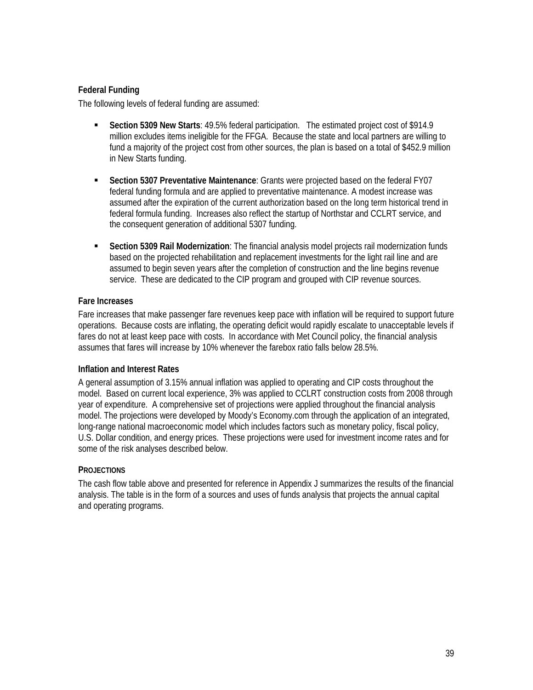### **Federal Funding**

The following levels of federal funding are assumed:

- **Section 5309 New Starts**: 49.5% federal participation. The estimated project cost of \$914.9 million excludes items ineligible for the FFGA. Because the state and local partners are willing to fund a majority of the project cost from other sources, the plan is based on a total of \$452.9 million in New Starts funding.
- **Section 5307 Preventative Maintenance**: Grants were projected based on the federal FY07 federal funding formula and are applied to preventative maintenance. A modest increase was assumed after the expiration of the current authorization based on the long term historical trend in federal formula funding. Increases also reflect the startup of Northstar and CCLRT service, and the consequent generation of additional 5307 funding.
- **Section 5309 Rail Modernization**: The financial analysis model projects rail modernization funds based on the projected rehabilitation and replacement investments for the light rail line and are assumed to begin seven years after the completion of construction and the line begins revenue service. These are dedicated to the CIP program and grouped with CIP revenue sources.

#### **Fare Increases**

Fare increases that make passenger fare revenues keep pace with inflation will be required to support future operations. Because costs are inflating, the operating deficit would rapidly escalate to unacceptable levels if fares do not at least keep pace with costs. In accordance with Met Council policy, the financial analysis assumes that fares will increase by 10% whenever the farebox ratio falls below 28.5%.

#### **Inflation and Interest Rates**

A general assumption of 3.15% annual inflation was applied to operating and CIP costs throughout the model. Based on current local experience, 3% was applied to CCLRT construction costs from 2008 through year of expenditure. A comprehensive set of projections were applied throughout the financial analysis model. The projections were developed by Moody's Economy.com through the application of an integrated, long-range national macroeconomic model which includes factors such as monetary policy, fiscal policy, U.S. Dollar condition, and energy prices. These projections were used for investment income rates and for some of the risk analyses described below.

#### **PROJECTIONS**

The cash flow table above and presented for reference in Appendix J summarizes the results of the financial analysis. The table is in the form of a sources and uses of funds analysis that projects the annual capital and operating programs.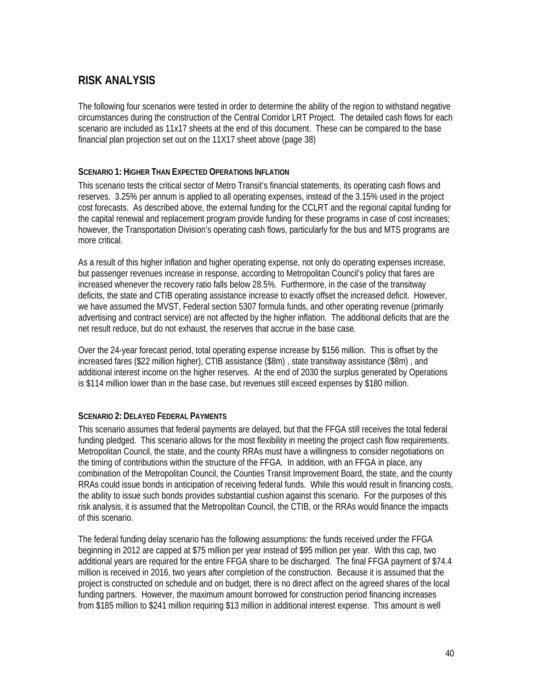# **RISK ANALYSIS**

The following four scenarios were tested in order to determine the ability of the region to withstand negative circumstances during the construction of the Central Corridor LRT Project. The detailed cash flows for each scenario are included as 11x17 sheets at the end of this document. These can be compared to the base financial plan projection set out on the 11X17 sheet above (page 38)

#### **SCENARIO 1: HIGHER THAN EXPECTED OPERATIONS INFLATION**

This scenario tests the critical sector of Metro Transit's financial statements, its operating cash flows and reserves. 3.25% per annum is applied to all operating expenses, instead of the 3.15% used in the project cost forecasts. As described above, the external funding for the CCLRT and the regional capital funding for the capital renewal and replacement program provide funding for these programs in case of cost increases; however, the Transportation Division's operating cash flows, particularly for the bus and MTS programs are more critical.

As a result of this higher inflation and higher operating expense, not only do operating expenses increase, but passenger revenues increase in response, according to Metropolitan Council's policy that fares are increased whenever the recovery ratio falls below 28.5%. Furthermore, in the case of the transitway deficits, the state and CTIB operating assistance increase to exactly offset the increased deficit. However, we have assumed the MVST, Federal section 5307 formula funds, and other operating revenue (primarily advertising and contract service) are not affected by the higher inflation. The additional deficits that are the net result reduce, but do not exhaust, the reserves that accrue in the base case.

Over the 24-year forecast period, total operating expense increase by \$156 million. This is offset by the increased fares (\$22 million higher), CTIB assistance (\$8m) , state transitway assistance (\$8m) , and additional interest income on the higher reserves. At the end of 2030 the surplus generated by Operations is \$114 million lower than in the base case, but revenues still exceed expenses by \$180 million.

#### **SCENARIO 2: DELAYED FEDERAL PAYMENTS**

This scenario assumes that federal payments are delayed, but that the FFGA still receives the total federal funding pledged. This scenario allows for the most flexibility in meeting the project cash flow requirements. Metropolitan Council, the state, and the county RRAs must have a willingness to consider negotiations on the timing of contributions within the structure of the FFGA. In addition, with an FFGA in place, any combination of the Metropolitan Council, the Counties Transit Improvement Board, the state, and the county RRAs could issue bonds in anticipation of receiving federal funds. While this would result in financing costs, the ability to issue such bonds provides substantial cushion against this scenario. For the purposes of this risk analysis, it is assumed that the Metropolitan Council, the CTIB, or the RRAs would finance the impacts of this scenario.

The federal funding delay scenario has the following assumptions: the funds received under the FFGA beginning in 2012 are capped at \$75 million per year instead of \$95 million per year. With this cap, two additional years are required for the entire FFGA share to be discharged. The final FFGA payment of \$74.4 million is received in 2016, two years after completion of the construction. Because it is assumed that the project is constructed on schedule and on budget, there is no direct affect on the agreed shares of the local funding partners. However, the maximum amount borrowed for construction period financing increases from \$185 million to \$241 million requiring \$13 million in additional interest expense. This amount is well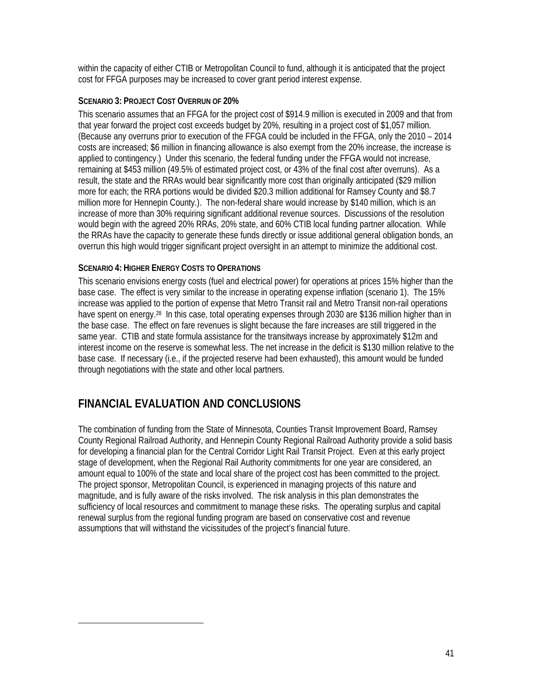within the capacity of either CTIB or Metropolitan Council to fund, although it is anticipated that the project cost for FFGA purposes may be increased to cover grant period interest expense.

#### **SCENARIO 3: PROJECT COST OVERRUN OF 20%**

This scenario assumes that an FFGA for the project cost of \$914.9 million is executed in 2009 and that from that year forward the project cost exceeds budget by 20%, resulting in a project cost of \$1,057 million. (Because any overruns prior to execution of the FFGA could be included in the FFGA, only the 2010 – 2014 costs are increased; \$6 million in financing allowance is also exempt from the 20% increase, the increase is applied to contingency.) Under this scenario, the federal funding under the FFGA would not increase, remaining at \$453 million (49.5% of estimated project cost, or 43% of the final cost after overruns). As a result, the state and the RRAs would bear significantly more cost than originally anticipated (\$29 million more for each; the RRA portions would be divided \$20.3 million additional for Ramsey County and \$8.7 million more for Hennepin County.). The non-federal share would increase by \$140 million, which is an increase of more than 30% requiring significant additional revenue sources. Discussions of the resolution would begin with the agreed 20% RRAs, 20% state, and 60% CTIB local funding partner allocation. While the RRAs have the capacity to generate these funds directly or issue additional general obligation bonds, an overrun this high would trigger significant project oversight in an attempt to minimize the additional cost.

### **SCENARIO 4: HIGHER ENERGY COSTS TO OPERATIONS**

This scenario envisions energy costs (fuel and electrical power) for operations at prices 15% higher than the base case. The effect is very similar to the increase in operating expense inflation (scenario 1). The 15% increase was applied to the portion of expense that Metro Transit rail and Metro Transit non-rail operations have spent on energy.<sup>28</sup> In this case, total operating expenses through 2030 are \$136 million higher than in the base case. The effect on fare revenues is slight because the fare increases are still triggered in the same year. CTIB and state formula assistance for the transitways increase by approximately \$12m and interest income on the reserve is somewhat less. The net increase in the deficit is \$130 million relative to the base case. If necessary (i.e., if the projected reserve had been exhausted), this amount would be funded through negotiations with the state and other local partners.

## **FINANCIAL EVALUATION AND CONCLUSIONS**

l

The combination of funding from the State of Minnesota, Counties Transit Improvement Board, Ramsey County Regional Railroad Authority, and Hennepin County Regional Railroad Authority provide a solid basis for developing a financial plan for the Central Corridor Light Rail Transit Project. Even at this early project stage of development, when the Regional Rail Authority commitments for one year are considered, an amount equal to 100% of the state and local share of the project cost has been committed to the project. The project sponsor, Metropolitan Council, is experienced in managing projects of this nature and magnitude, and is fully aware of the risks involved. The risk analysis in this plan demonstrates the sufficiency of local resources and commitment to manage these risks. The operating surplus and capital renewal surplus from the regional funding program are based on conservative cost and revenue assumptions that will withstand the vicissitudes of the project's financial future.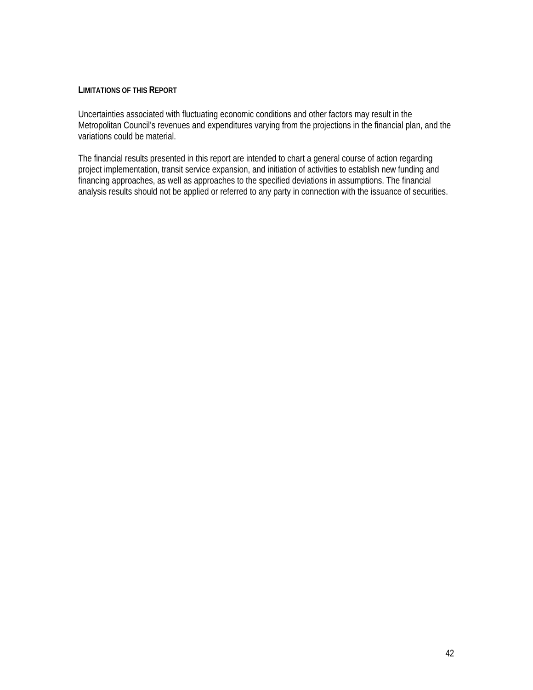#### **LIMITATIONS OF THIS REPORT**

Uncertainties associated with fluctuating economic conditions and other factors may result in the Metropolitan Council's revenues and expenditures varying from the projections in the financial plan, and the variations could be material.

The financial results presented in this report are intended to chart a general course of action regarding project implementation, transit service expansion, and initiation of activities to establish new funding and financing approaches, as well as approaches to the specified deviations in assumptions. The financial analysis results should not be applied or referred to any party in connection with the issuance of securities.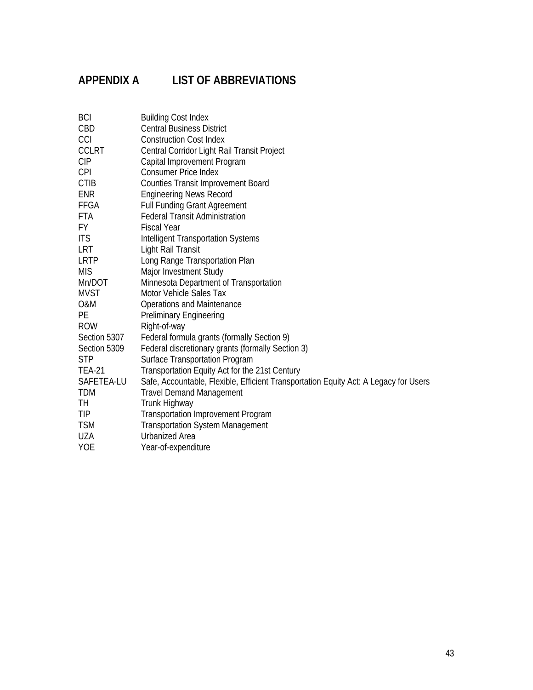# **APPENDIX A LIST OF ABBREVIATIONS**

| <b>BCI</b>    | <b>Building Cost Index</b>                                                           |
|---------------|--------------------------------------------------------------------------------------|
| CBD           | <b>Central Business District</b>                                                     |
| CCI           | <b>Construction Cost Index</b>                                                       |
| <b>CCLRT</b>  | Central Corridor Light Rail Transit Project                                          |
| <b>CIP</b>    | Capital Improvement Program                                                          |
| <b>CPI</b>    | <b>Consumer Price Index</b>                                                          |
| <b>CTIB</b>   | <b>Counties Transit Improvement Board</b>                                            |
| <b>ENR</b>    | <b>Engineering News Record</b>                                                       |
| FFGA          | <b>Full Funding Grant Agreement</b>                                                  |
| <b>FTA</b>    | <b>Federal Transit Administration</b>                                                |
| FY.           | <b>Fiscal Year</b>                                                                   |
| <b>ITS</b>    | <b>Intelligent Transportation Systems</b>                                            |
| LRT           | Light Rail Transit                                                                   |
| LRTP          | Long Range Transportation Plan                                                       |
| <b>MIS</b>    | Major Investment Study                                                               |
| Mn/DOT        | Minnesota Department of Transportation                                               |
| <b>MVST</b>   | Motor Vehicle Sales Tax                                                              |
| O&M           | <b>Operations and Maintenance</b>                                                    |
| <b>PE</b>     | Preliminary Engineering                                                              |
| <b>ROW</b>    | Right-of-way                                                                         |
| Section 5307  | Federal formula grants (formally Section 9)                                          |
| Section 5309  | Federal discretionary grants (formally Section 3)                                    |
| <b>STP</b>    | <b>Surface Transportation Program</b>                                                |
| <b>TEA-21</b> | Transportation Equity Act for the 21st Century                                       |
| SAFETEA-LU    | Safe, Accountable, Flexible, Efficient Transportation Equity Act: A Legacy for Users |
| <b>TDM</b>    | <b>Travel Demand Management</b>                                                      |
| TH            | Trunk Highway                                                                        |
| <b>TIP</b>    | <b>Transportation Improvement Program</b>                                            |
| <b>TSM</b>    | <b>Transportation System Management</b>                                              |
| <b>UZA</b>    | <b>Urbanized Area</b>                                                                |
| <b>YOE</b>    | Year-of-expenditure                                                                  |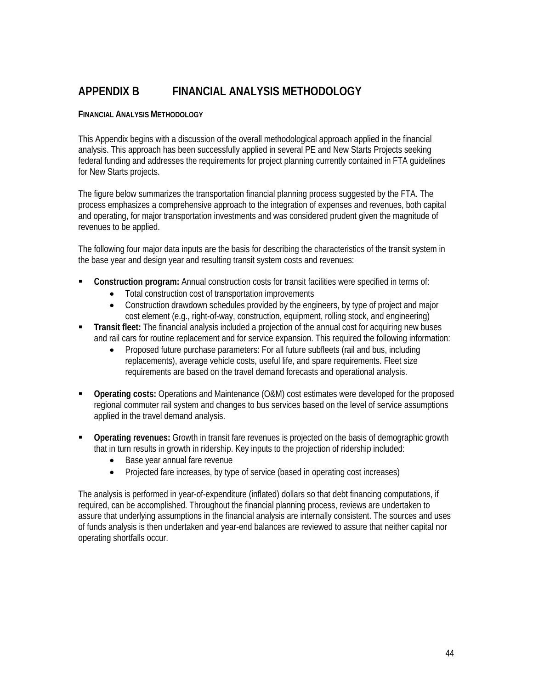## **APPENDIX B FINANCIAL ANALYSIS METHODOLOGY**

#### **FINANCIAL ANALYSIS METHODOLOGY**

This Appendix begins with a discussion of the overall methodological approach applied in the financial analysis. This approach has been successfully applied in several PE and New Starts Projects seeking federal funding and addresses the requirements for project planning currently contained in FTA guidelines for New Starts projects.

The figure below summarizes the transportation financial planning process suggested by the FTA. The process emphasizes a comprehensive approach to the integration of expenses and revenues, both capital and operating, for major transportation investments and was considered prudent given the magnitude of revenues to be applied.

The following four major data inputs are the basis for describing the characteristics of the transit system in the base year and design year and resulting transit system costs and revenues:

- **Construction program:** Annual construction costs for transit facilities were specified in terms of:
	- Total construction cost of transportation improvements
	- Construction drawdown schedules provided by the engineers, by type of project and major cost element (e.g., right-of-way, construction, equipment, rolling stock, and engineering)
- **Transit fleet:** The financial analysis included a projection of the annual cost for acquiring new buses and rail cars for routine replacement and for service expansion. This required the following information:
	- Proposed future purchase parameters: For all future subfleets (rail and bus, including replacements), average vehicle costs, useful life, and spare requirements. Fleet size requirements are based on the travel demand forecasts and operational analysis.
- **Operating costs:** Operations and Maintenance (O&M) cost estimates were developed for the proposed regional commuter rail system and changes to bus services based on the level of service assumptions applied in the travel demand analysis.
- **Operating revenues:** Growth in transit fare revenues is projected on the basis of demographic growth that in turn results in growth in ridership. Key inputs to the projection of ridership included:
	- Base year annual fare revenue
	- Projected fare increases, by type of service (based in operating cost increases)

The analysis is performed in year-of-expenditure (inflated) dollars so that debt financing computations, if required, can be accomplished. Throughout the financial planning process, reviews are undertaken to assure that underlying assumptions in the financial analysis are internally consistent. The sources and uses of funds analysis is then undertaken and year-end balances are reviewed to assure that neither capital nor operating shortfalls occur.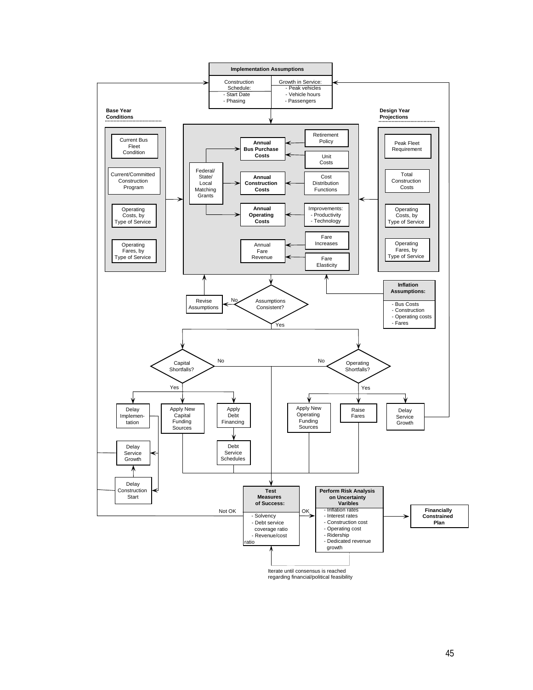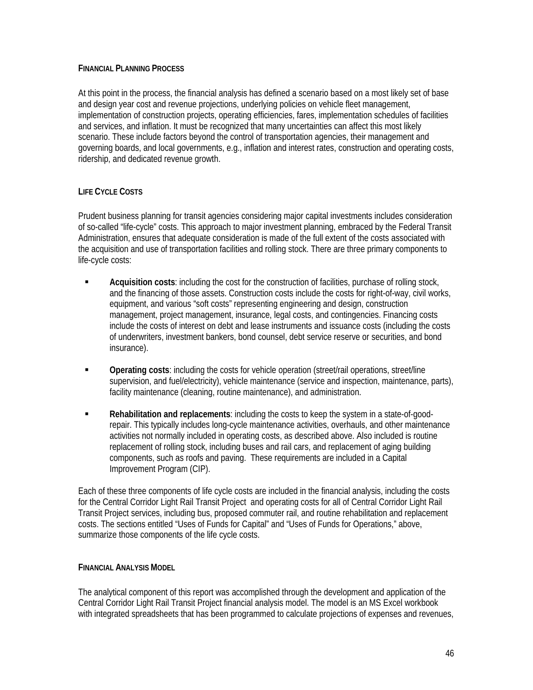#### **FINANCIAL PLANNING PROCESS**

At this point in the process, the financial analysis has defined a scenario based on a most likely set of base and design year cost and revenue projections, underlying policies on vehicle fleet management, implementation of construction projects, operating efficiencies, fares, implementation schedules of facilities and services, and inflation. It must be recognized that many uncertainties can affect this most likely scenario. These include factors beyond the control of transportation agencies, their management and governing boards, and local governments, e.g., inflation and interest rates, construction and operating costs, ridership, and dedicated revenue growth.

### **LIFE CYCLE COSTS**

Prudent business planning for transit agencies considering major capital investments includes consideration of so-called "life-cycle" costs. This approach to major investment planning, embraced by the Federal Transit Administration, ensures that adequate consideration is made of the full extent of the costs associated with the acquisition and use of transportation facilities and rolling stock. There are three primary components to life-cycle costs:

- **Acquisition costs**: including the cost for the construction of facilities, purchase of rolling stock, and the financing of those assets. Construction costs include the costs for right-of-way, civil works, equipment, and various "soft costs" representing engineering and design, construction management, project management, insurance, legal costs, and contingencies. Financing costs include the costs of interest on debt and lease instruments and issuance costs (including the costs of underwriters, investment bankers, bond counsel, debt service reserve or securities, and bond insurance).
- **Operating costs: including the costs for vehicle operation (street/rail operations, street/line** supervision, and fuel/electricity), vehicle maintenance (service and inspection, maintenance, parts), facility maintenance (cleaning, routine maintenance), and administration.
- **Rehabilitation and replacements**: including the costs to keep the system in a state-of-goodrepair. This typically includes long-cycle maintenance activities, overhauls, and other maintenance activities not normally included in operating costs, as described above. Also included is routine replacement of rolling stock, including buses and rail cars, and replacement of aging building components, such as roofs and paving. These requirements are included in a Capital Improvement Program (CIP).

Each of these three components of life cycle costs are included in the financial analysis, including the costs for the Central Corridor Light Rail Transit Project and operating costs for all of Central Corridor Light Rail Transit Project services, including bus, proposed commuter rail, and routine rehabilitation and replacement costs. The sections entitled "Uses of Funds for Capital" and "Uses of Funds for Operations," above, summarize those components of the life cycle costs.

#### **FINANCIAL ANALYSIS MODEL**

The analytical component of this report was accomplished through the development and application of the Central Corridor Light Rail Transit Project financial analysis model. The model is an MS Excel workbook with integrated spreadsheets that has been programmed to calculate projections of expenses and revenues,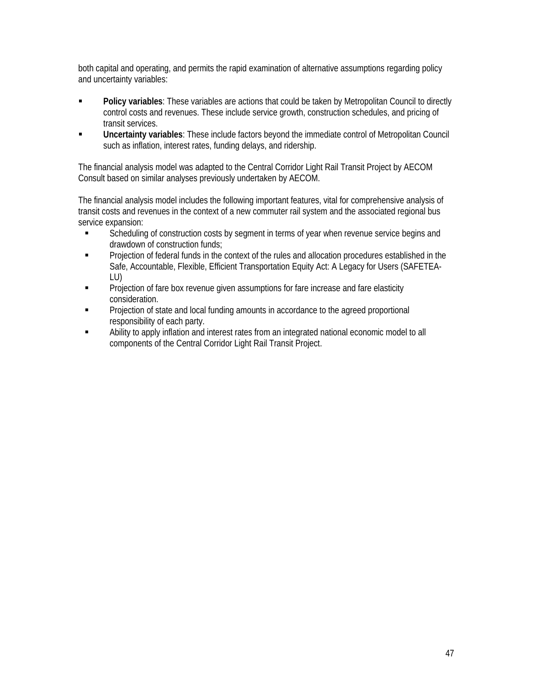both capital and operating, and permits the rapid examination of alternative assumptions regarding policy and uncertainty variables:

- **Policy variables:** These variables are actions that could be taken by Metropolitan Council to directly control costs and revenues. These include service growth, construction schedules, and pricing of transit services.
- **Uncertainty variables**: These include factors beyond the immediate control of Metropolitan Council such as inflation, interest rates, funding delays, and ridership.

The financial analysis model was adapted to the Central Corridor Light Rail Transit Project by AECOM Consult based on similar analyses previously undertaken by AECOM.

The financial analysis model includes the following important features, vital for comprehensive analysis of transit costs and revenues in the context of a new commuter rail system and the associated regional bus service expansion:

- **Scheduling of construction costs by segment in terms of year when revenue service begins and** drawdown of construction funds;
- Projection of federal funds in the context of the rules and allocation procedures established in the Safe, Accountable, Flexible, Efficient Transportation Equity Act: A Legacy for Users (SAFETEA-LU)
- Projection of fare box revenue given assumptions for fare increase and fare elasticity consideration.
- Projection of state and local funding amounts in accordance to the agreed proportional responsibility of each party.
- Ability to apply inflation and interest rates from an integrated national economic model to all components of the Central Corridor Light Rail Transit Project.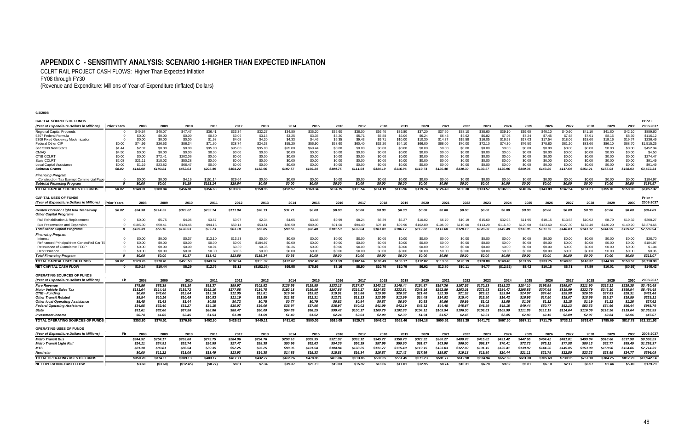## **APPENDIX C - SENSITIVITY ANALYSIS: SCENARIO 1-HIGHER THAN EXPECTED INFLATION**

CCLRT RAIL PROJECT CASH FLOWS: Higher Than Expected Inflation

FY08 through FY30

(Revenue and Expenditure: Millions of Year-of-Expenditure (inflated) Dollars)

| <b>CAPITAL SOURCES OF FUNDS</b>                                         |                    |          |          |           |          |          |            |          |          |          |          |          |          |          |          |          |          |           |          |          |          |          |          |          | Prior -     |
|-------------------------------------------------------------------------|--------------------|----------|----------|-----------|----------|----------|------------|----------|----------|----------|----------|----------|----------|----------|----------|----------|----------|-----------|----------|----------|----------|----------|----------|----------|-------------|
| (Year of Expenditure Dollars in Millions)                               | <b>Prior Years</b> | 2008     | 2009     | 2010      | 2011     | 2012     | 2013       | 2014     | 2015     | 2016     | 2017     | 2018     | 2019     | 2020     | 2021     | 2022     | 2023     | 2024      | 2025     | 2026     | 2027     | 2028     | 2029     | 2030     | 2008-2037   |
| <b>Regional Capital Proceeds</b>                                        |                    | \$49.54  | \$40.07  | \$47.47   | \$36.41  | \$33.34  | \$32.27    | \$34.80  | \$35.20  | \$35.60  | \$36.00  | \$36.40  | \$36.80  | \$37.20  | \$37.60  | \$38.10  | \$38.60  | \$39.10   | \$39.60  | \$40.10  | \$40.60  | \$41.10  | \$41.60  | \$42.10  | \$889.60    |
| 5307 Federal Formula                                                    |                    | \$0.00   | \$0.00   | \$0.00    | \$0.50   | \$3.06   | \$3.15     | \$3.25   | \$3.35   | \$5.20   | \$5.71   | \$5.88   | \$6.06   | \$6.24   | \$6.43   | \$6.62   | \$6.82   | \$7.03    | \$7.24   | \$7.45   | \$7.68   | \$7.91   | \$8.15   | \$8.39   | \$116.12    |
| 5309 Fixed Guideway Modernization                                       |                    | \$0.00   | \$0.00   | \$0.00    | \$1.98   | \$4.08   | \$4.20     | \$4.33   | \$4.46   | \$5.35   | \$9.43   | \$9.71   | \$10.00  | \$10.30  | \$14.37  | \$15.58  | \$16.05  | \$16.53   | \$17.03  | \$17.54  | \$18.06  | \$18.60  | \$19.16  | \$19.74  | \$236.49    |
| Federal Other CIP                                                       | \$0.00             | \$74.99  | \$26.53  | \$86.34   | \$71.60  | \$28.74  | \$24.33    | \$55.20  | \$56.90  | \$58.60  | \$60.40  | \$62.20  | \$64.10  | \$66.00  | \$68.00  | \$70.00  | \$72.10  | \$74.30   | \$76.50  | \$78.80  | \$81.20  | \$83.60  | \$86.10  | \$88.70  | \$1,515.25  |
| Sec 5309 New Starts                                                     | \$1.44             | \$2.07   | \$0.00   | \$0.00    | \$95.00  | \$95.00  | \$95.00    | \$95.00  | \$69.44  | \$0.00   | \$0.00   | \$0.00   | \$0.00   | \$0.00   | \$0.00   | \$0.00   | \$0.00   | \$0.00    | \$0.00   | \$0.00   | \$0.00   | \$0.00   | \$0.00   | \$0.00   | \$452.94    |
| CMAQ                                                                    | \$4.50             | \$0.00   | \$0.00   | \$0.00    | \$0.00   | \$0.00   | \$0.00     | \$0.00   | \$0.00   | \$0.00   | \$0.00   | \$0.00   | \$0.00   | \$0.00   | \$0.00   | \$0.00   | \$0.00   | \$0.00    | \$0.00   | \$0.00   | \$0.00   | \$0.00   | \$0.00   | \$0.00   | \$4.50      |
| CTIB CCLRT                                                              | \$0.00             | \$0.00   | \$72.41  | \$202.06  | \$0.00   | \$0.00   | \$0.00     | \$0.00   | \$0.00   | \$0.00   | \$0.00   | \$0.00   | \$0.00   | \$0.00   | \$0.00   | \$0.00   | \$0.00   | \$0.00    | \$0.00   | \$0.00   | \$0.00   | \$0.00   | \$0.00   | \$0.00   | \$274.47    |
| State CCLRT                                                             | \$2.08             | \$21.11  | \$18.02  | \$50.28   | \$0.00   | \$0.00   | \$0.00     | \$0.00   | \$0.00   | \$0.00   | \$0.00   | \$0.00   | \$0.00   | \$0.00   | \$0.00   | \$0.00   | \$0.00   | \$0.00    | \$0.00   | \$0.00   | \$0.00   | \$0.00   | \$0.00   | \$0.00   | \$91.49     |
| <b>Local Capital Assistance</b>                                         | \$0.00             | \$1.19   | \$23.82  | \$66.47   | \$0.00   | \$0.00   | \$0.00     | \$0.00   | \$0.00   | \$0.00   | \$0.00   | \$0.00   | \$0.00   | \$0.00   | \$0.00   | \$0.00   | \$0.00   | \$0.00    | \$0.00   | \$0.00   | \$0.00   | \$0.00   | \$0.00   | \$0.00   | \$91.49     |
| <b>Subtotal Grant</b>                                                   | \$8.02             | \$148.90 | \$180.84 | \$452.63  | \$205.49 | \$164.22 | \$158.96   | \$192.57 | \$169.34 | \$104.75 | \$111.54 | \$114.19 | \$116.96 | \$119.74 | \$126.40 | \$130.30 | \$133.57 | \$136.96  | \$140.36 | \$143.89 | \$147.54 | \$151.21 | \$155.01 | \$158.93 | \$3,672.34  |
| <b>Financing Program</b>                                                |                    |          |          |           |          |          |            |          |          |          |          |          |          |          |          |          |          |           |          |          |          |          |          |          |             |
| <b>Construction Tax Exempt Commercial Pape</b>                          |                    | \$0.00   | \$0.00   | \$4.19    | \$151.14 | \$29.64  | \$0.00     | \$0.00   | \$0.00   | \$0.00   | \$0.00   | \$0.00   | \$0.00   | \$0.00   | \$0.00   | \$0.00   | \$0.00   | \$0.00    | \$0.00   | \$0.00   | \$0.00   | \$0.00   | \$0.00   | \$0.00   | \$184.97    |
| <b>Subtotal Financing Program</b>                                       | O                  | \$0.00   | \$0.00   | \$4.19    | \$151.14 | \$29.64  | \$0.00     | \$0.00   | \$0.00   | \$0.00   | \$0.00   | \$0.00   | \$0.00   | \$0.00   | \$0.00   | \$0.00   | \$0.00   | \$0.00    | \$0.00   | \$0.00   | \$0.00   | \$0.00   | \$0.00   | \$0.00   | \$184.97    |
| TOTAL CAPITAL SOURCES OF FUNDS                                          | \$8.02             | \$148.91 | \$180.84 | \$456.81  | \$356.63 | \$193.86 | \$158.96   | \$192.57 | \$169.34 | \$104.75 | \$111.54 | \$114.19 | \$116.96 | \$119.74 | \$126.40 | \$130.30 | \$133.57 | \$136.96  | \$140.36 | \$143.89 | \$147.54 | \$151.21 | \$155.01 | \$158.93 | \$3,857.32  |
| <b>CAPITAL USES OF FUNDS</b>                                            |                    |          |          |           |          |          |            |          |          |          |          |          |          |          |          |          |          |           |          |          |          |          |          |          | Prior +     |
| (Year of Expenditure Dollars in Millions)                               | <b>Prior Years</b> | 2008     | 2009     | 2010      | 2011     | 2012     | 2013       | 2014     | 201      | 2016     | 2017     | 2018     | 2019     | 2020     | 2021     | 2022     | 2023     | 2024      | 2025     | 2026     | 2027     | 2028     | 2029     | 2030     | 2008-2037   |
|                                                                         |                    |          |          |           |          |          |            |          |          |          |          |          |          |          |          |          |          |           |          |          |          |          |          |          |             |
| Central Corridor Light Rail Transitway<br><b>Other Capital Programs</b> | \$8.02             | \$24.38  | \$114.25 | \$322.62  | \$232.74 | \$111.04 | \$70.13    | \$31.71  | \$0.00   | \$0.00   | \$0.00   | \$0.00   | \$0.00   | \$0.00   | \$0.00   | \$0.00   | \$0.00   | \$0.00    | \$0.00   | \$0.00   | \$0.00   | \$0.00   | \$0.00   | \$0.00   | \$914.89    |
| Rail Rehabilitation & Replacement                                       |                    | \$0.00   | \$5.75   | \$4.06    | \$3.57   | \$3.97   | \$2.34     | \$4.05   | \$3.48   | \$9.99   | \$8.24   | \$6.39   | \$6.27   | \$10.02  | \$6.70   | \$10.19  | \$15.60  | \$32.98   | \$11.95  | \$10.15  | \$13.53  | \$10.92  | \$8.79   | \$19.32  | \$208.27    |
| <b>Bus Preservation and Expansion</b>                                   |                    | \$105.39 | \$50.41  | \$124.46  | \$94.16  | \$59.14  | \$53.51    | \$86.50  | \$89.00  | \$91.60  | \$94.40  | \$97.10  | \$99.90  | \$102.80 | \$106.90 | \$110.00 | \$113.20 | \$116.50  | \$120.00 | \$123.60 | \$127.30 | \$132.40 | \$136.20 | \$140.20 | \$2,374.66  |
| <b>Total Other Capital Programs</b>                                     | 0                  | \$105.39 | \$56.16  | \$128.53  | \$97.73  | \$63.10  | \$55.85    | \$90.55  | \$92.48  | \$101.59 | \$102.64 | \$103.49 | \$106.17 | \$112.82 | \$113.60 | \$120.19 | \$128.80 | \$149.48  | \$131.95 | \$133.75 | \$140.83 | \$143.32 | \$144.99 | \$159.52 | \$2,582.94  |
| <b>Financing Program</b>                                                |                    |          |          |           |          |          |            |          |          |          |          |          |          |          |          |          |          |           |          |          |          |          |          |          |             |
| Interest                                                                |                    | \$0.00   | \$0.00   | \$0.37    | \$13.10  | \$13.23  | \$0.00     | \$0.00   | \$0.00   | \$0.00   | \$0.00   | \$0.00   | \$0.00   | \$0.00   | \$0.00   | \$0.00   | \$0.00   | \$0.00    | \$0.00   | \$0.00   | \$0.00   | \$0.00   | \$0.00   | \$0.00   | \$26.70     |
| Refinanced Principal from Constr/Rail Car 1                             |                    | \$0.00   | \$0.00   | \$0.00    | \$0.00   | \$0.00   | \$184.97   | \$0.00   | \$0.00   | \$0.00   | \$0.00   | \$0.00   | \$0.00   | \$0.00   | \$0.00   | \$0.00   | \$0.00   | \$0.00    | \$0.00   | \$0.00   | \$0.00   | \$0.00   | \$0.00   | \$0.00   | \$184.97    |
| <b>Reissuance of Cumulative TECF</b>                                    |                    | \$0.00   | \$0.00   | \$0.00    | \$0.01   | \$0.30   | \$0.36     | \$0.36   | \$0.00   | \$0.00   | \$0.00   | \$0.00   | \$0.00   | \$0.00   | \$0.00   | \$0.00   | \$0.00   | \$0.00    | \$0.00   | \$0.00   | \$0.00   | \$0.00   | \$0.00   | \$0.00   | \$1.04      |
| Debt Issuance                                                           |                    | \$0.00   | \$0.00   | \$0.01    | \$0.30   | \$0.06   | \$0.00     | \$0.00   | \$0.00   | \$0.00   | \$0.00   | \$0.00   | \$0.00   | \$0.00   | \$0.00   | \$0.00   | \$0.00   | \$0.00    | \$0.00   | \$0.00   | \$0.00   | \$0.00   | \$0.00   | \$0.00   | \$0.36      |
| <b>Total Financing Program</b>                                          | 0                  | \$0.00   | \$0.00   | \$0.37    | \$13.41  | \$13.60  | \$185.34   | \$0.36   | \$0.00   | \$0.00   | \$0.00   | \$0.00   | \$0.00   | \$0.00   | \$0.00   | \$0.00   | \$0.00   | \$0.00    | \$0.00   | \$0.00   | \$0.00   | \$0.00   | \$0.00   | \$0.00   | \$213.07    |
| TOTAL CAPITAL USES OF FUNDS                                             | \$8.02             | \$129.76 | \$170.41 | \$451.53  | \$343.87 | \$187.74 | \$311.32   | \$122.62 | \$92.48  | \$101.59 | \$102.64 | \$103.49 | \$106.17 | \$112.82 | \$113.60 | \$120.19 | \$128.80 | \$149.48  | \$131.95 | \$133.75 | \$140.83 | \$143.32 | \$144.99 | \$159.52 | \$3,710.90  |
| <b>NET CAPITAL CASH FLOW</b>                                            |                    | \$19.14  | \$10.44  | \$5.29    | \$12.76  | \$6.12   | (\$152.36) | \$69.95  | \$76.86  | \$3.16   | \$8.90   | \$10.70  | \$10.79  | \$6.92   | \$12.80  | \$10.11  | \$4.77   | (\$12.52) | \$8.42   | \$10.15  | \$6.71   | \$7.89   | \$10.01  | (\$0.59) | \$146.42    |
|                                                                         |                    |          |          |           |          |          |            |          |          |          |          |          |          |          |          |          |          |           |          |          |          |          |          |          |             |
| OPERATING SOURCES OF FUNDS                                              |                    |          |          |           |          |          |            |          |          |          |          |          |          |          |          |          |          |           |          |          |          |          |          |          |             |
| (Year of Expenditure Dollars in Millions)                               |                    | 2008     | 2009     | 2010      | 2011     | 2012     | 2013       | 2014     | 201      | 2016     | 2017     | 2018     | 2019     | 2020     | 2021     | 2022     | 2023     | 2024      | 2025     | 2026     | 2027     | 2028     | 2029     | 2030     | 2008-2037   |
| <b>Fare Revenue</b>                                                     |                    | \$79.56  | \$85.38  | \$89.10   | \$91.37  | \$99.97  | \$102.52   | \$126.56 | \$129.85 | \$133.15 | \$137.57 | \$143.12 | \$145.44 | \$154.87 | \$157.36 | \$167.55 | \$170.23 | \$181.23  | \$184.10 | \$195.99 | \$199.07 | \$211.90 | \$215.21 | \$229.35 | \$3,430.45  |
| <b>Motor Vehicle Sales Tax</b>                                          |                    | \$131.64 | \$114.48 | \$139.72  | \$162.10 | \$177.68 | \$184.78   | \$192.18 | \$199.86 | \$207.86 | \$216.17 | \$224.82 | \$233.81 | \$243.16 | \$252.89 | \$263.01 | \$273.53 | \$284.47  | \$295.85 | \$307.68 | \$319.99 | \$332.79 | \$346.10 | \$359.94 | \$5.464.48  |
| <b>CTIB - Funding</b>                                                   |                    | \$0.00   | \$43.00  | \$12.64   | \$13.18  | \$12.05  | \$12.81    | \$16.94  | \$19.52  | \$19.91  | \$19.86  | \$19.69  | \$20.92  | \$21.40  | \$22.39  | \$21.92  | \$23.32  | \$23.84   | \$24.97  | \$24.40  | \$25.98  | \$26.55  | \$27.83  | \$28.31  | \$481.46    |
| <b>Other Transit Related</b>                                            |                    | \$9.84   | \$10.16  | \$10.49   | \$10.83  | \$11.19  | \$11.55    | \$11.92  | \$12.31  | \$12.71  | \$13.13  | \$13.55  | \$13.99  | \$14.45  | \$14.92  | \$15.40  | \$15.90  | \$16.42   | \$16.95  | \$17.50  | \$18.07  | \$18.66  | \$19.27  | \$19.89  | \$329.1     |
| <b>Other local Operating Assistance</b>                                 |                    | \$5.45   | \$1.43   | \$1.44    | \$0.88   | \$0.72   | \$0.75     | \$0.77   | \$0.79   | \$0.82   | \$0.84   | \$0.87   | \$0.90   | \$0.93   | \$0.96   | \$0.99   | \$1.02   | \$1.05    | \$1.08   | \$1.12   | \$1.15   | \$1.19   | \$1.22   | \$1.26   | \$27.62     |
| <b>Federal Operating Assistance</b>                                     |                    | \$34.95  | \$32.40  | \$33.27   | \$34.15  | \$35.07  | \$36.00    | \$36.97  | \$37.96  | \$38.97  | \$40.02  | \$41.09  | \$42.19  | \$43.32  | \$44.48  | \$45.67  | \$46.89  | \$48.15   | \$49.44  | \$50.77  | \$52.13  | \$53.53  | \$54.96  | \$56.44  | \$988.79    |
| <b>State</b>                                                            |                    | \$91.61  | \$82.60  | \$87.56   | \$88.86  | \$88.47  | \$90.00    | \$94.89  | \$98.25  | \$99.42  | \$100.17 | \$100.79 | \$102.83 | \$104.12 | \$105.94 | \$106.30 | \$108.53 | \$109.90  | \$111.89 | \$112.19 | \$114.64 | \$116.09 | \$118.26 | \$119.64 | \$2,352.95  |
| <b>Investment Income</b>                                                |                    | \$0.74   | \$1.05   | \$2.45    | \$1.53   | \$1.38   | \$1.69     | \$1.40   | \$1.52   | \$2.24   | \$2.03   | \$2.09   | \$2.39   | \$1.94   | \$1.57   | \$2.45   | \$2.31   | \$2.45    | \$2.83   | \$2.15   | \$2.09   | \$2.97   | \$2.84   | \$2.96   | \$47.07     |
| <b>TOTAL OPERATING SOURCES OF FUNDS</b>                                 |                    | \$353.80 | \$370.51 | \$376.69  | \$402.90 | \$426.52 | \$440.11   | \$481.62 | \$500.05 | \$515.09 | \$529.78 | \$546.02 | \$562.46 | \$584.18 | \$600.51 | \$623.29 | \$641.72 | \$667.50  | \$687.11 | \$711.79 | \$733.12 | \$763.67 | \$785.69 | \$817.78 | \$13,121.93 |
| <b>OPERATING USES OF FUNDS</b>                                          |                    |          |          |           |          |          |            |          |          |          |          |          |          |          |          |          |          |           |          |          |          |          |          |          |             |
| (Year of Expenditure Dollars in Millions)                               | Fis.               | 2008     | 2009     | 2010      | 2011     | 2012     | 2013       | 2014     | 2015     | 2016     | 2017     | 2018     | 2019     | 2020     | 2021     | 2022     | 2023     | 2024      | 2025     | 2026     | 2027     | 2028     | 2029     | 2030     | 2008-2037   |
| <b>Metro Transit Bu</b>                                                 |                    | \$244.92 | \$254.17 | \$263.80  | \$273.75 | \$284.06 | \$294.76   | \$298.10 | \$309.35 | \$321.02 | \$333.12 | \$345.72 | \$358.73 | \$372.22 | \$386.27 | \$400.78 | \$415.82 | \$431.42  | \$447.65 | \$464.42 | \$481.81 | \$499.84 | \$518.60 | \$537.98 | \$8,538.29  |
| <b>Metro Transit Light Rai</b>                                          |                    | \$24.11  | \$24.91  | \$25.74   | \$26.59  | \$27.47  | \$28.38    | \$50.96  | \$52.63  | \$54.36  | \$56.15  | \$57.99  | \$59.90  | \$61.87  | \$63.90  | \$66.00  | \$68.17  | \$70.41   | \$72.73  | \$75.12  | \$77.58  | \$80.13  | \$82.77  | \$85.49  | \$1,293.37  |
| MTS                                                                     |                    | \$81.18  | \$83.81  | \$86.54   | \$89.35  | \$92.25  | \$95.25    | \$98.35  | \$101.54 | \$104.84 | \$108.25 | \$111.77 | \$115.40 | \$119.15 | \$123.03 | \$127.02 | \$131.15 | \$135.41  | \$139.82 | \$144.36 | \$149.05 | \$153.90 | \$158.90 | \$164.06 | \$2,714.39  |
| <b>Northstar</b>                                                        |                    | \$0.00   | \$11.22  | \$13.06   | \$13.49  | \$13.93  | \$14.38    | \$14.85  | \$15.33  | \$15.83  | \$16.34  | \$16.87  | \$17.42  | \$17.99  | \$18.57  | \$19.18  | \$19.80  | \$20.44   | \$21.11  | \$21.79  | \$22.50  | \$23.23  | \$23.99  | \$24.77  | \$396.09    |
| <b>TOTAL OPERATING USES OF FUNDS</b>                                    |                    | \$350.20 | \$374.11 | \$389.13  | \$403.17 | \$417.71 | \$432.77   | \$462.26 | \$478.86 | \$496.06 | \$513.86 | \$532.35 | \$551.45 | \$571.23 | \$591.77 | \$612.98 | \$634.94 | \$657.69  | \$681.30 | \$705.69 | \$730.95 | \$757.10 | \$784.25 | \$812.29 | \$12,942.14 |
| <b>NET OPERATING CASH FLOW</b>                                          |                    | \$3.60   | (\$3.60  | (\$12.45) | (\$0.27) | \$8.81   | \$7.34     | \$19.37  | \$21.19  | \$19.03  | \$15.92  | \$13.66  | \$11.01  | \$12.95  | \$8.74   | \$10.31  | \$6.78   | \$9.82    | \$5.81   | \$6.10   | \$2.1    | \$6.57   | \$1.44   | \$5.49   | \$179.79    |

#### **9/4/2008**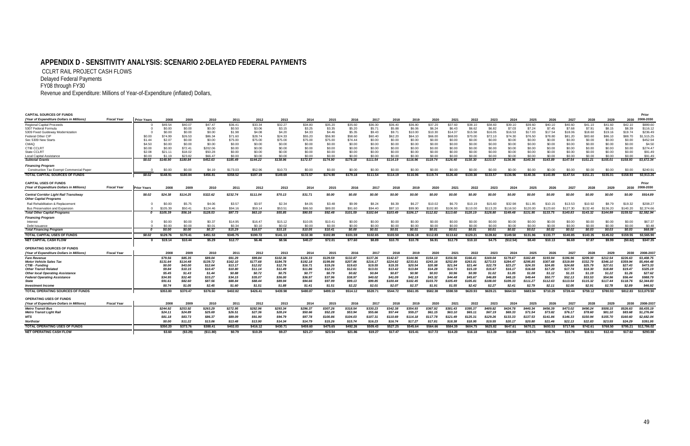#### **APPENDIX D - SENSITIVITY ANALYSIS: SCENARIO 2-DELAYED FEDERAL PAYMENTS**

CCLRT RAIL PROJECT CASH FLOWS Delayed Federal Payments

FY08 through FY30

Revenue and Expenditure: Millions of Year-of-Expenditure (inflated) Dollars,

#### **CAPITAL SOURCES OF FUNDS**

| CAPITAL SOURCES OF FUNDS                                                |                    |                    |          |           |            |          |          |          |          |          |          |          |          |          |          |          |          |          |           |          |          |          |          |          |          | Prior       |
|-------------------------------------------------------------------------|--------------------|--------------------|----------|-----------|------------|----------|----------|----------|----------|----------|----------|----------|----------|----------|----------|----------|----------|----------|-----------|----------|----------|----------|----------|----------|----------|-------------|
| (Year of Expenditure Dollars in Millions)                               | <b>Fiscal Year</b> | <b>Prior Years</b> | 2008     | 2009      | 2010       | 2011     | 2012     | 2013     | 2014     | 2015     | 2016     | 2017     | 2018     | 2019     | 2020     | 2021     | 2022     | 2023     | 2024      | 2025     | 2026     | 2027     | 2028     | 2029     | 2030     | 2008-2030   |
| <b>Regional Capital Proceeds</b>                                        |                    |                    | \$49.54  | \$40.07   | \$47.47    | \$36.41  | \$33.34  | \$32.27  | \$34.80  | \$35.20  | \$35.60  | \$36.00  | \$36.40  | \$36.80  | \$37.20  | \$37.60  | \$38.10  | \$38.60  | \$39.10   | \$39.60  | \$40.10  | \$40.60  | \$41.10  | \$41.60  | \$42.10  | \$889.60    |
| 5307 Federal Formula                                                    |                    |                    | \$0.00   | \$0.00    | \$0.00     | \$0.50   | \$3.06   | \$3.15   | \$3.25   | \$3.35   | \$5.20   | \$5.71   | \$5.88   | \$6.06   | \$6.24   | \$6.43   | \$6.62   | \$6.82   | \$7.03    | \$7.24   | \$7.45   | \$7.68   | \$7.91   | \$8.15   | \$8.39   | \$116.12    |
| 5309 Fixed Guideway Modernization                                       |                    |                    | \$0.00   | \$0.00    | \$0.00     | \$1.98   | \$4.08   | \$4.20   | \$4.33   | \$4.46   | \$5.35   | \$9.43   | \$9.71   | \$10.00  | \$10.30  | \$14.37  | \$15.58  | \$16.05  | \$16.53   | \$17.03  | \$17.54  | \$18.06  | \$18.60  | \$19.16  | \$19.74  | \$236.49    |
| Federal Other CIP                                                       |                    | \$0.00             | \$74.99  | \$26.53   | \$86.34    | \$71.60  | \$28.74  | \$24.33  | \$55.20  | \$56.90  | \$58.60  | \$60.40  | \$62.20  | \$64.10  | \$66.00  | \$68.00  | \$70.00  | \$72.10  | \$74.30   | \$76.50  | \$78.80  | \$81.20  | \$83.60  | \$86.10  | \$88.70  | \$1,515.25  |
| Sec 5309 New Starts                                                     |                    | \$1.44             | \$2.07   | \$0.00    | \$0.00     | \$75.00  | \$75.00  | \$75.00  | \$75.00  | \$75.00  | \$74.44  | \$0.00   | \$0.00   | \$0.00   | \$0.00   | \$0.00   | \$0.00   | \$0.00   | \$0.00    | \$0.00   | \$0.00   | \$0.00   | \$0.00   | \$0.00   | \$0.00   | \$452.94    |
| CMAQ                                                                    |                    | \$4.50             | \$0.00   | \$0.00    | \$0.00     | \$0.00   | \$0.00   | \$0.00   | \$0.00   | \$0.00   | \$0.00   | \$0.00   | \$0.00   | \$0.00   | \$0.00   | \$0.00   | \$0.00   | \$0.00   | \$0.00    | \$0.00   | \$0.00   | \$0.00   | \$0.00   | \$0.00   | \$0.00   | \$4.50      |
| CTIB CCLRT                                                              |                    | \$0.00             | \$0.00   | \$72.41   | \$202.06   | \$0.00   | \$0.00   | \$0.00   | \$0.00   | \$0.00   | \$0.00   | \$0.00   | \$0.00   | \$0.00   | \$0.00   | \$0.00   | \$0.00   | \$0.00   | \$0.00    | \$0.00   | \$0.00   | \$0.00   | \$0.00   | \$0.00   | \$0.00   | \$274.47    |
| State CCLRT                                                             |                    | \$2.08             | \$21.11  | \$18.02   | \$50.28    | \$0.00   | \$0.00   | \$0.00   | \$0.00   | \$0.00   | \$0.00   | \$0.00   | \$0.00   | \$0.00   | \$0.00   | \$0.00   | \$0.00   | \$0.00   | \$0.00    | \$0.00   | \$0.00   | \$0.00   | \$0.00   | \$0.00   | \$0.00   | \$91.49     |
| Local Capital Assistance                                                |                    | \$0.00             | \$1.19   | \$23.82   | \$66.47    | \$0.00   | \$0.00   | \$0.00   | \$0.00   | \$0.00   | \$0.00   | \$0.00   | \$0.00   | \$0.00   | \$0.00   | \$0.00   | \$0.00   | \$0.00   | \$0.00    | \$0.00   | \$0.00   | \$0.00   | \$0.00   | \$0.00   | \$0.00   | \$91.49     |
| <b>Subtotal Grants</b>                                                  |                    | \$8.02             | \$148.90 | \$180.84  | \$452.63   | \$185.49 | \$144.22 | \$138.96 | \$172.57 | \$174.90 | \$179.18 | \$111.54 | \$114.19 | \$116.96 | \$119.74 | \$126.40 | \$130.30 | \$133.57 | \$136.96  | \$140.36 | \$143.89 | \$147.54 | \$151.21 | \$155.01 | \$158.93 | \$3.672.34  |
| <b>Financing Progran</b>                                                |                    |                    |          |           |            |          |          |          |          |          |          |          |          |          |          |          |          |          |           |          |          |          |          |          |          |             |
| <b>Construction Tax Exempt Commercial Paper</b>                         |                    |                    | \$0.00   | \$0.00    | \$4.19     | \$173.03 | \$52.96  | \$10.73  | \$0.00   | \$0.00   | \$0.00   | \$0.00   | \$0.00   | \$0.00   | \$0.00   | \$0.00   | \$0.00   | \$0.00   | \$0.00    | \$0.00   | \$0.00   | \$0.00   | \$0.00   | \$0.00   | \$0.00   | \$240.9     |
| <b>TOTAL CAPITAL SOURCES OF FUNDS</b>                                   |                    | \$8.02             | \$148.91 | \$180.84  | \$456.81   | \$358.52 | \$197.19 | \$149.69 | \$172.57 | \$174.90 | \$179.18 | \$111.54 | \$114.19 | \$116.96 | \$119.74 | \$126.40 | \$130.30 | \$133.57 | \$136.96  | \$140.36 | \$143.89 | \$147.54 | \$151.21 | \$155.01 | \$158.93 | \$3,913.26  |
| <b>CAPITAL USES OF FUNDS</b>                                            |                    |                    |          |           |            |          |          |          |          |          |          |          |          |          |          |          |          |          |           |          |          |          |          |          |          | Prior       |
| (Year of Expenditure Dollars in Millions                                | <b>Fiscal Year</b> | Prior Years        | 2008     | 2009      | 2010       | 2011     | 2012     | 2013     | 2014     | 2015     | 2016     | 2017     | 2018     | 2019     | 2020     | 2021     | 2022     | 2023     | 2024      | 2025     | 2026     | 2027     | 2028     | 2029     | 2030     | 2008-2030   |
|                                                                         |                    |                    |          | \$114.25  | \$322.62   |          | \$111.04 | \$70.13  |          |          |          |          |          |          | \$0.00   |          |          |          | \$0.00    |          |          |          | \$0.00   |          |          | \$914.89    |
| Central Corridor Light Rail Transitway<br><b>Other Capital Programs</b> |                    | \$8.02             | \$24.38  |           |            | \$232.74 |          |          | \$31.71  | \$0.00   | \$0.00   | \$0.00   | \$0.00   | \$0.00   |          | \$0.00   | \$0.00   | \$0.00   |           | \$0.00   | \$0.00   | \$0.00   |          | \$0.00   | \$0.00   |             |
| Rail Rehabilitation & Replacement                                       |                    |                    | \$0.00   | \$5.75    | \$4.06     | \$3.57   | \$3.97   | \$2.34   | \$4.05   | \$3.48   | \$9.99   | \$8.24   | \$6.39   | \$6.27   | \$10.02  | \$6.70   |          | \$15.60  | \$32.98   |          | \$10.15  | \$13.53  | \$10.92  | \$8.79   | \$19.32  | \$208.2     |
| Bus Preservation and Expansion                                          |                    |                    |          | \$50.41   | \$124.46   | \$94.16  | \$59.14  | \$53.51  | \$86.50  | \$89.00  | \$91.60  | \$94.40  | \$97.10  | \$99.90  | \$102.80 | \$106.90 | \$1100   | \$113.20 | \$116.50  | \$120.00 | \$123.60 |          | \$132.40 | \$136.20 | \$140.20 | \$2,374.66  |
| <b>Total Other Capital Programs</b>                                     |                    |                    | \$105.39 | \$56.16   | \$128.53   | \$97.73  | \$63.10  | \$55.85  | \$90.55  | \$92.48  | \$101.59 | \$102.64 | \$103.49 | \$106.17 | \$112.82 | \$113.60 | \$120.19 | \$128.80 | \$149.48  | \$131.95 | \$133.75 | \$140.83 | \$143.32 | \$144.99 | \$159.52 | \$2,582.94  |
| <b>Financing Program</b>                                                |                    |                    |          |           |            |          |          |          |          |          |          |          |          |          |          |          |          |          |           |          |          |          |          |          |          |             |
| Interest                                                                |                    |                    | \$0.00   | \$0.00    | \$0.37     | \$14.95  | \$16.47  | \$15.12  | \$10.05  | \$10.41  | \$0.00   | \$0.00   | \$0.00   | \$0.00   | \$0.00   | \$0.00   | \$0.00   | \$0.00   | \$0.00    | \$0.00   | \$0.00   | \$0.00   | \$0.00   | \$0.00   | \$0.00   | \$67.3      |
| Debt Issuance                                                           |                    |                    | \$0.00   | \$0.00    | \$0.01     | \$0.34   | \$0.10   | \$0.02   | \$0.00   | \$0.00   | \$0.00   | \$0.00   | \$0.00   | \$0.00   | \$0.00   | \$0.00   | \$0.00   | \$0.00   | \$0.00    | \$0.00   | \$0.00   | \$0.00   | \$0.00   | \$0.00   | \$0.00   | \$0.48      |
| <b>Total Financing Program</b>                                          |                    |                    | \$0.00   | \$0.00    | \$0.37     | \$15.29  | \$16.57  | \$15.15  | \$10.05  | \$10.41  | \$0.00   | \$0.01   | \$0.01   | \$0.01   | \$0.01   | \$0.01   | \$0.01   | \$0.01   | \$0.02    | \$0.02   | \$0.02   | \$0.02   | \$0.03   | \$0.03   | \$0.03   | \$68.08     |
| <b>TOTAL CAPITAL USES OF FUNDS</b>                                      |                    | \$8.02             | \$129.76 | \$170.41  | \$451.53   | \$345.75 | \$190.72 | \$141.13 | \$132.30 | \$102.89 | \$101.59 | \$102.65 | \$103.50 | \$106.18 | \$112.83 | \$113.62 | \$120.21 | \$128.82 | \$149.50  | \$131.96 | \$133.77 | \$140.85 | \$143.35 | \$145.02 | \$159.55 | \$3,565.90  |
| <b>NET CAPITAL CASH FLOW</b>                                            |                    |                    | \$19.14  | \$10.44   | \$5.29     | \$12.77  | \$6.46   | \$8.56   | \$40.27  | \$72.01  | \$77.60  | \$8.89   | \$10.70  | \$10.78  | \$6.91   | \$12.79  | \$10.10  | \$4.75   | (\$12.54) | \$8.40   | \$10.13  | \$6.69   | \$7.87   | \$9.99   | (\$0.62) | \$347.35    |
| OPERATING SOURCES OF FUNDS                                              |                    |                    |          |           |            |          |          |          |          |          |          |          |          |          |          |          |          |          |           |          |          |          |          |          |          |             |
| (Year of Expenditure Dollars in Millions)                               | <b>Fiscal Year</b> |                    | 2008     | 2009      | 2010       | 2011     | 2012     | 2013     | 2014     | 2015     | 2016     | 2017     | 2018     | 2019     | 2020     | 2021     | 2022     | 2023     | 2024      | 2025     | 2026     | 2027     | 2028     | 2029     | 2030     | 2008-2037   |
| <b>Fare Revenue</b>                                                     |                    |                    | \$79.56  | \$85.35   | \$89.04    | \$91.29  | \$99.84  | \$102.36 | \$126.33 | \$129.59 | \$132.87 | \$137.26 | \$142.67 | \$144.96 | \$154.10 | \$156.56 | \$166.41 | \$169.04 | \$179.67  | \$182.49 | \$193.94 | \$196.96 | \$209.30 | \$212.54 | \$226.63 | \$3,408.75  |
| <b>Motor Vehicle Sales Tax</b>                                          |                    |                    | \$131.64 | \$114.48  | \$139.72   | \$162.10 | \$177.68 | \$184.78 | \$192.18 | \$199.86 | \$207.86 | \$216.17 | \$224.82 | \$233.81 | \$243.16 | \$252.89 | \$263.01 | \$273.53 | \$284.47  | \$295.85 | \$307.68 | \$319.99 | \$332.79 | \$346.10 | \$359.94 | \$5,464.48  |
| CTIB - Funding                                                          |                    |                    | \$0.00   | \$43.00   | \$12.64    | \$13.17  | \$12.02  | \$12.76  | \$16.71  | \$19.26  | \$19.63  | \$19.55  | \$19.35  | \$20.54  | \$20.98  | \$21.94  | \$21.44  | \$22.79  | \$23.27   | \$24.35  | \$24.85  | \$24.88  | \$25.79  | \$27.01  | \$27.43  | \$473.33    |
| <b>Other Transit Related</b>                                            |                    |                    | \$9.84   | \$10.15   | \$10.47    | \$10.80  | \$11.14  | \$11.49  | \$11.86  | \$12.23  | \$12.61  | \$13.01  | \$13.42  | \$13.84  | \$14.28  | \$14.73  | \$15.19  | \$15.67  | \$16.17   | \$16.68  | \$17.20  | \$17.74  | \$18.30  | \$18.88  | \$19.47  | \$325.19    |
| <b>Other local Operating Assistance</b>                                 |                    |                    | \$5.45   | \$1.43    | \$1.44     | \$0.88   | \$0.72   | \$0.75   | \$0.77   | \$0.79   | \$0.82   | \$0.84   | \$0.87   | \$0.90   | \$0.93   | \$0.96   | \$0.99   | \$1.02   | \$1.05    | \$1.08   | \$1.12   | \$1.15   | \$1.19   | \$1.22   | \$1.26   | \$27.62     |
| <b>Federal Operating Assistance</b>                                     |                    |                    | \$34.95  | \$32.40   | \$33.27    | \$34.15  | \$35.07  | \$36.00  | \$36.97  | \$37.96  | \$38.97  | \$40.02  | \$41.09  | \$42.19  | \$43.32  | \$44.48  | \$45.67  | \$46.89  | \$48.15   | \$49.44  | \$50.77  | \$52.13  | \$53.53  | \$54.96  | \$56.44  | \$988.79    |
| <b>State</b>                                                            |                    |                    | \$91.61  | \$82.60   | \$87.56    | \$88.84  | \$88.44  | \$89.94  | \$94.66  | \$97.99  | \$99.13  | \$99.85  | \$100.44 | \$102.45 | \$103.70 | \$105.49 | \$105.81 | \$108.00 | \$109.33  | \$111.27 | \$112.63 | \$113.54 | \$115.32 | \$117.44 | \$118.76 | \$2,344.83  |
| <b>Investment Income</b>                                                |                    |                    | \$0.74   | \$1.05    | \$2.45     | \$1.60   | \$1.51   | \$1.88   | \$1.41   | \$1.51   | \$2.22   | \$2.01   | \$2.07   | \$2.37   | \$1.91   | \$1.55   | \$2.42   | \$2.27   | \$2.41    | \$2.79   | \$2.11   | \$2.05   | \$2.91   | \$2.78   | \$2.89   | \$46.92     |
| <b>TOTAL OPERATING SOURCES OF FUNDS</b>                                 |                    |                    | \$353.80 | \$370.47  | \$376.60   | \$402.82 | \$426.41 | \$439.98 | \$480.87 | \$499.19 | \$514.12 | \$528.71 | \$544.72 | \$561.05 | \$582.38 | \$598.59 | \$620.93 | \$639.21 | \$664.50  | \$683.94 | \$710.29 | \$728.44 | \$759.12 | \$780.93 | \$812.83 | \$13,079.90 |
| <b>OPERATING USES OF FUNDS</b>                                          |                    |                    |          |           |            |          |          |          |          |          |          |          |          |          |          |          |          |          |           |          |          |          |          |          |          |             |
| (Year of Expenditure Dollars in Millions)                               | <b>Fiscal Year</b> |                    | 2008     | 2009      | 2010       | 2011     | 2012     | 2013     | 2014     | 2015     | 2016     | 2017     | 2018     | 2019     | 2020     | 2021     | 2022     | 2023     | 2024      | 2025     | 2026     | 2027     | 2028     | 2029     | 2030     | 2008-2037   |
| <b>Metro Transit Bus</b>                                                |                    |                    | \$244.92 | \$253.92  | \$263.29   | \$272.95 | \$282.96 | \$293.34 | \$296.37 | \$307.26 | \$318.54 | \$330.23 | \$342.38 | \$354.93 | \$367.92 | \$381.43 | \$395.37 | \$409.82 | \$424.78  | \$440.34 | \$456.39 | \$473.02 | \$490.24 | \$508.15 | \$526.63 | \$8,435.19  |
| <b>Metro Transit Light Rail</b>                                         |                    |                    | \$24.11  | \$24.89   | \$25.69    | \$26.51  | \$27.36  | \$28.24  | \$50.66  | \$52.28  | \$53.94  | \$55.66  | \$57.44  | \$59.27  | \$61.15  | \$63.10  | \$65.11  | \$67.19  | \$69.33   | \$71.54  | \$73.82  | \$76.17  | \$78.60  | \$81.10  | \$83.68  | \$1,276.84  |
| <b>MTS</b>                                                              |                    |                    | \$81.18  | \$83.73   | \$86.37    | \$89.09  | \$91.90  | \$94.79  | \$97.78  | \$100.86 | \$104.03 | \$107.31 | \$110.69 | \$114.18 | \$117.78 | \$121.49 | \$125.31 | \$129.26 | \$133.33  | \$137.53 | \$141.86 | \$146.33 | \$150.94 | \$155.70 | \$160.60 | \$2,682.04  |
|                                                                         |                    |                    |          |           |            |          |          |          |          |          |          |          |          |          |          |          |          |          |           |          |          |          |          |          |          |             |
| <b>Northstar</b>                                                        |                    |                    | \$0.00   | \$11.22   | \$13.06    | \$13.48  | \$13.90  | \$14.34  | \$14.79  | \$15.26  | \$15.74  | \$16.23  | \$16.74  | \$17.27  | \$17.81  | \$18.38  | \$18.95  | \$19.55  | \$20.17   | \$20.80  | \$21.46  | \$22.13  | \$22.83  | \$23.55  | \$24.29  | \$391.9     |
| <b>TOTAL OPERATING USES OF FUNDS</b>                                    |                    |                    | \$350.20 | \$373.76  | \$388.41   | \$402.03 | \$416.12 | \$430.71 | \$459.60 | \$475.65 | \$492.26 | \$509.43 | \$527.25 | \$545.64 | \$564.66 | \$584.39 | \$604.75 | \$625.82 | \$647.61  | \$670.21 | \$693.53 | \$717.66 | \$742.61 | \$768.50 | \$795.21 | \$12,786.0  |
| <b>NET OPERATING CASH FLOW</b>                                          |                    |                    | \$3.60   | ( \$3.29) | ( \$11.80) | \$0.79   | \$10.29  | \$9.27   | \$21.27  | \$23.54  | \$21.86  | \$19.27  | \$17.47  | \$15.41  | \$17.72  | \$14.20  | \$16.18  | \$13.39  | \$16.89   | \$13.73  | \$16.76  | \$10.78  | \$16.51  | \$12.43  | \$17.62  | \$293.88    |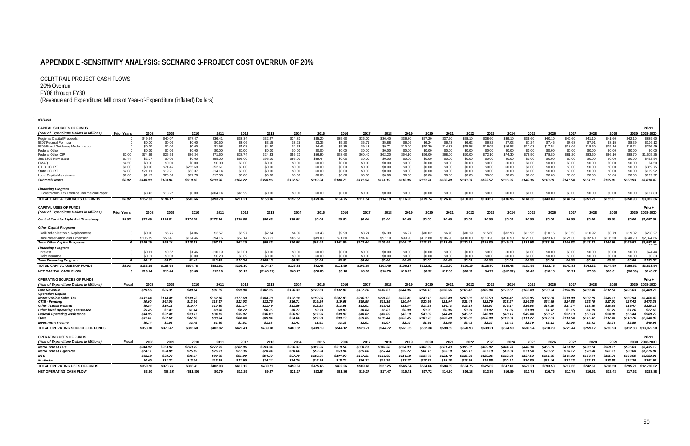### **APPENDIX E -SENSITIVITY ANALYSIS: SCENARIO 3-PROJECT COST OVERRUN OF 20%**

CCLRT RAIL PROJECT CASH FLOWS 20% Overrun<br>FY08 through FY30 (Revenue and Expenditure: Millions of Year-of-Expenditure (inflated) Dollars)

| 9/3/2008                                                                |                    |                   |                   |                   |                    |                    |                    |                    |                    |                   |                   |                   |                   |                   |                   |                   |                   |                   |                   |                   |                   |                   |                   |                   |                        |
|-------------------------------------------------------------------------|--------------------|-------------------|-------------------|-------------------|--------------------|--------------------|--------------------|--------------------|--------------------|-------------------|-------------------|-------------------|-------------------|-------------------|-------------------|-------------------|-------------------|-------------------|-------------------|-------------------|-------------------|-------------------|-------------------|-------------------|------------------------|
| <b>CAPITAL SOURCES OF FUNDS</b>                                         |                    |                   |                   |                   |                    |                    |                    |                    |                    |                   |                   |                   |                   |                   |                   |                   |                   |                   |                   |                   |                   |                   |                   |                   | Prior+                 |
| (Year of Expenditure Dollars in Millions)                               | <b>Prior Years</b> | 2008              | 2009              | 2010              | 2011               | 2012               | 2013               | 2014               | 2015               | 2016              | 2017              | 2018              | 2019              | 2020              | 2021              | 2022              | 2023              | 2024              | 2025              | 2026              | 2027              | 2028              | 2029              | 2030              | 2008-2030              |
| <b>Regional Capital Proceeds</b>                                        |                    | \$49.54           | \$40.07           | \$47.47           | \$36.41            | \$33.34            | \$32.27            | \$34.80            | \$35.20            | \$35.60           | \$36.00           | \$36.40           | \$36.80           | \$37.20           | \$37.60           | \$38.10           | \$38.60           | \$39.10           | \$39.60           | \$40.10           | \$40.60           | \$41.10           | \$41.60           | \$42.10           | \$889.60               |
| 5307 Federal Formula                                                    |                    | \$0.00            | \$0.00            | \$0.00            | \$0.50             | \$3.06             | \$3.15             | \$3.25             | \$3.35             | \$5.20            | \$5.71            | \$5.88            | \$6.06            | \$6.24            | \$6.43            | \$6.62            | \$6.82            | \$7.03            | \$7.24            | \$7.45            | \$7.68            | \$7.91            | \$8.15            | \$8.39            | \$116.12               |
| 5309 Fixed Guideway Modernization                                       |                    | \$0.00            | \$0.00            | \$0.00            | \$1.98             | \$4.08             | \$4.20             | \$4.33             | \$4.46             | \$5.35            | \$9.43            | \$9.71            | \$10.00           | \$10.30           | \$14.37           | \$15.58           | \$16.05           | \$16.53           | \$17.03           | \$17.54           | \$18.06           | \$18.60           | \$19.16           | \$19.74           | \$236.49               |
| <b>Federal Other</b>                                                    |                    | \$0.00            | \$0.00            | \$0.00            | \$0.00             | \$0.00             | \$0.00             | \$0.00             | \$0.00             | \$0.00            | \$0.00            | \$0.00            | \$0.00            | \$0.00            | \$0.00            | \$0.00            | \$0.00            | \$0.00            | \$0.00            | \$0.00            | \$0.00            | \$0.00            | \$0.00            | \$0.00            | \$0.00                 |
| <b>Federal Other CIP</b><br>Sec 5309 New Starts                         | \$0.00<br>\$1.44   | \$74.99<br>\$2.07 | \$26.53<br>\$0.00 | \$86.34<br>\$0.00 | \$71.60<br>\$95.00 | \$28.74<br>\$95.00 | \$24.33<br>\$95.00 | \$55.20<br>\$95.00 | \$56.90<br>\$69.44 | \$58.60<br>\$0.00 | \$60.40<br>\$0.00 | \$62.20<br>\$0.00 | \$64.10<br>\$0.00 | \$66.00<br>\$0.00 | \$68.00<br>\$0.00 | \$70.00<br>\$0.00 | \$72.10<br>\$0.00 | \$74.30<br>\$0.00 | \$76.50<br>\$0.00 | \$78.80<br>\$0.00 | \$81.20<br>\$0.00 | \$83.60<br>\$0.00 | \$86.10<br>\$0.00 | \$88.70<br>\$0.00 | \$1,515.25<br>\$452.94 |
| CMAQ                                                                    | \$4.50             | \$0.00            | \$0.00            | \$0.00            | \$0.00             | \$0.00             | \$0.00             | \$0.00             | \$0.00             | \$0.00            | \$0.00            | \$0.00            | \$0.00            | \$0.00            | \$0.00            | \$0.00            | \$0.00            | \$0.00            | \$0.00            | \$0.00            | \$0.00            | \$0.00            | \$0.00            | \$0.00            | \$4.50                 |
| <b>CTIB CCLRT</b>                                                       | \$0.00             | \$0.00            | \$71.45           | \$235.69          | \$52.61            | \$0.00             | \$0.00             | \$0.00             | \$0.00             | \$0.00            | \$0.00            | \$0.00            | \$0.00            | \$0.00            | \$0.00            | \$0.00            | \$0.00            | \$0.00            | \$0.00            | \$0.00            | \$0.00            | \$0.00            | \$0.00            | \$0.00            | \$359.75               |
| State CCLRT                                                             | \$2.08             | \$21.11           | \$19.21           | \$63.37           | \$14.14            | \$0.00             | \$0.00             | \$0.00             | \$0.00             | \$0.00            | \$0.00            | \$0.00            | \$0.00            | \$0.00            | \$0.00            | \$0.00            | \$0.00            | \$0.00            | \$0.00            | \$0.00            | \$0.00            | \$0.00            | \$0.00            | \$0.00            | \$119.92               |
| Local Capital Assistance                                                | \$0.00             | \$1.19            | \$23.58           | \$77.78           | \$17.36            | \$0.00             | \$0.00             | \$0.00             | \$0.00             | \$0.00            | \$0.00            | \$0.00            | \$0.00            | \$0.00            | \$0.00            | \$0.00            | \$0.00            | \$0.00            | \$0.00            | \$0.00            | \$0.00            | \$0.00            | \$0.00            | \$0.00            | \$119.92               |
| <b>Subtotal Grants</b>                                                  | \$8.02             | \$148.90          | \$180.84          | \$510.66          | \$289.60           | \$164.22           | \$158.96           | \$192.57           | \$169.34           | \$104.75          | \$111.54          | \$114.19          | \$116.96          | \$119.74          | \$126.40          | \$130.30          | \$133.57          | \$136.96          | \$140.36          | \$143.89          | \$147.54          | \$151.21          | \$155.01          | \$158.93          | \$3,814.49             |
| <b>Financing Program</b>                                                |                    |                   |                   |                   |                    |                    |                    |                    |                    |                   |                   |                   |                   |                   |                   |                   |                   |                   |                   |                   |                   |                   |                   |                   |                        |
| <b>Construction Tax Exempt Commercial Paper</b>                         |                    | \$3.43            | \$13.27           | \$0.00            | \$104.14           | \$46.99            | \$0.00             | \$0.00             | \$0.00             | \$0.00            | \$0.00            | \$0.00            | \$0.00            | \$0.00            | \$0.00            | \$0.00            | \$0.00            | \$0.00            | \$0.00            | \$0.00            | \$0.00            | \$0.00            | \$0.00            | \$0.00            | \$167.83               |
| TOTAL CAPITAL SOURCES OF FUNDS                                          | \$8.02             | \$152.33          | \$194.12          | \$510.66          | \$393.78           | \$211.21           | \$158.96           | \$192.57           | \$169.34           | \$104.75          | \$111.54          | \$114.19          | \$116.96          | \$119.74          | \$126.40          | \$130.30          | \$133.57          | \$136.96          | \$140.36          | \$143.89          | \$147.54          | \$151.21          | \$155.01          | \$158.93          | \$3,982.36             |
| <b>CAPITAL USES OF FUNDS</b>                                            |                    |                   |                   |                   |                    |                    |                    |                    |                    |                   |                   |                   |                   |                   |                   |                   |                   |                   |                   |                   |                   |                   |                   |                   | Prior+                 |
| (Year of Expenditure Dollars in Millions)                               | <b>Prior Years</b> | 2008              | 2009              | 2010              | 2011               | 2012               | 2013               | 2014               | 2015               | 2016              | 2017              | 2018              | 2019              | 2020              | 2021              | 2022              | 2023              | 2024              | 2025              | 2026              | 2027              | 2028              | 2029              | 2030              | 2008-2030              |
| <b>Central Corridor Light Rail Transitway</b>                           | \$8.02             | \$27.69           | \$126.81          | \$374.76          | \$273.46           | \$129.66           | \$80.66            | \$35.98            | \$0.00             | \$0.00            | \$0.00            | \$0.00            | \$0.00            | \$0.00            | \$0.00            | \$0.00            | \$0.00            | \$0.00            | \$0.00            | \$0.00            | \$0.00            | \$0.00            | \$0.00            | \$0.00            | \$1,057.03             |
| <b>Other Capital Programs</b>                                           |                    |                   |                   |                   |                    |                    |                    |                    |                    |                   |                   |                   |                   |                   |                   |                   |                   |                   |                   |                   |                   |                   |                   |                   |                        |
| Rail Rehabilitation & Replacemen                                        |                    | \$0.00            | \$5.75            | \$4.06            | \$3.57             | \$3.97             | \$2.34             | \$4.05             | \$3.48             | \$9.99            | \$8.24            | \$6.39            | \$6.27            | \$10.02           | \$6.70            | \$10.19           | \$15.60           | \$32.98           | \$11.95           | \$10.15           | \$13.53           | \$10.92           | \$8.79            | \$19.32           | \$208.27               |
| <b>Bus Preservation and Expansion</b>                                   |                    | \$105.39          | \$50.41           | \$124.46          | \$94.16            | \$59.14            | \$53.51            | \$86.50            | \$89.00            | \$91.60           | \$94.40           | \$97.10           | \$99.90           | \$102.80          | \$106.90          | \$110.00          | \$113.20          | \$116.50          | \$120.00          | \$123.60          | \$127.30          | \$132.40          | \$136.20          | \$140.2           | \$2,374.66             |
| <b>Total Other Capital Programs</b>                                     | 0                  | \$105.39          | \$56.16           | \$128.53          | \$97.73            | \$63.10            | \$55.85            | \$90.55            | \$92.48            | \$101.59          | \$102.64          | \$103.49          | \$106.17          | \$112.82          | \$113.60          | \$120.19          | \$128.80          | \$149.48          | \$131.95          | \$133.75          | \$140.83          | \$143.32          | \$144.99          | \$159.52          | \$2,582.94             |
| <b>Financing Program</b>                                                |                    |                   |                   |                   |                    |                    |                    |                    |                    |                   |                   |                   |                   |                   |                   |                   |                   |                   |                   |                   |                   |                   |                   |                   |                        |
| Interest                                                                | $\Omega$           | \$0.11            | \$0.67            | \$1.46            | \$10.19            | \$12.01            | \$0.00             | \$0.00             | \$0.00             | \$0.00            | \$0.00            | \$0.00            | \$0.00            | \$0.00            | \$0.00            | \$0.00            | \$0.00            | \$0.00            | \$0.00            | \$0.00            | \$0.00            | \$0.00            | \$0.00            | \$0.00            | \$24.44                |
| Debt Issuance                                                           |                    | \$0.01            | \$0.03            | \$0.00            | \$0.20             | \$0.09             | \$0.00             | \$0.00             | \$0.00             | \$0.00            | \$0.00            | \$0.00            | \$0.00            | \$0.00            | \$0.00            | \$0.00            | \$0.00            | \$0.00            | \$0.00            | \$0.00            | \$0.00            | \$0.00            | \$0.00            | \$0.00            | \$0.33                 |
| <b>Total Financing Program</b>                                          | - 0                | \$0.12            | \$0.71            | \$1.49            | \$10.43            | \$12.34            | \$168.16           | \$0.33             | \$0.00             | \$0.00            | \$0.00            | \$0.00            | \$0.00            | \$0.00            | \$0.00            | \$0.00            | \$0.00            | \$0.00            | \$0.00            | \$0.00            | \$0.00            | \$0.00            | \$0.00            | \$0.00            | \$193.57               |
| <b>TOTAL CAPITAL USES OF FUNDS</b>                                      | \$8.02             | \$133.19          | \$183.68          | \$504.78          | \$381.61           | \$205.10           | \$304.67           | \$126.86           | \$92.48            | \$101.59          | \$102.64          | \$103.49          | \$106.17          | \$112.82          | \$113.60          | \$120.19          | \$128.80          | \$149.48          | \$131.95          | \$133.75          | \$140.83          | \$143.32          | \$144.99          | \$159.52          | \$3,833,54             |
| <b>NET CAPITAL CASH FLOW</b>                                            |                    | \$19.14           | \$10.44           | \$5.88            | \$12.16            | \$6.12             | (\$145.71)         | \$65.72            | \$76.86            | \$3.16            | \$8.90            | \$10.70           | \$10.79           | \$6.92            | \$12.80           | \$10.11           | \$4.77            | (\$12.52)         | \$8.42            | \$10.15           | \$6.71            | \$7.89            | \$10.01           | (\$0.59)          | \$148.82               |
| <b>OPERATING SOURCES OF FUNDS</b>                                       |                    |                   |                   |                   |                    |                    |                    |                    |                    |                   |                   |                   |                   |                   |                   |                   |                   |                   |                   |                   |                   |                   |                   |                   | Prior+                 |
| (Year of Expenditure Dollars in Millions)                               | Fiscal             | 2008              | 2009              | 2010              | 2011               | 2012               | 2013               | 2014               | 2015               | 2016              | 2017              | 2018              | 2019              | 2020              | 2021              | 2022              | 2023              | 2024              | 2025              | 2026              | 2027              | 2028              | 2029              | 203               | 2008-2030              |
| <b>Fare Revenue</b>                                                     |                    | \$79.56           | \$85.35           | \$89.04           | \$91.29            | \$99.84            | \$102.36           | \$126.33           | \$129.59           | \$132.87          | \$137.26          | \$142.67          | \$144.96          | \$154.10          | \$156.56          | \$166.41          | \$169.04          | \$179.67          | \$182.49          | \$193.94          | \$196.96          | \$209.30          | \$212.54          | \$226.63          | \$3,408.75             |
| <b>Operation Suplus</b>                                                 |                    |                   |                   |                   |                    |                    |                    |                    |                    |                   |                   |                   |                   |                   |                   |                   |                   |                   |                   |                   |                   |                   |                   |                   |                        |
| <b>Motor Vehicle Sales Tax</b>                                          |                    | \$131.64          | \$114.48          | \$139.72          | \$162.10           | \$177.68           | \$184.78           | \$192.18           | \$199.86           | \$207.86          | \$216.17          | \$224.82          | \$233.81          | \$243.16          | \$252.89          | \$263.01          | \$273.53          | \$284.47          | \$295.85          | \$307.68          | \$319.99          | \$332.79          | \$346.10          | \$359.9           | \$5,464.48             |
| <b>CTIB - Funding</b>                                                   |                    | \$0.00            | \$43.00           | \$12.64           | \$13.17            | \$12.02            | \$12.76            | \$16.71            | \$19.26            | \$19.63           | \$19.55           | \$19.35           | \$20.54           | \$20.98           | \$21.94           | \$21.44           | \$22.79           | \$23.27           | \$24.35           | \$24.85           | \$24.88           | \$25.79           | \$27.01           | \$27.43           | \$473.33               |
| <b>Other Transit Related</b><br><b>Other local Operating Assistance</b> |                    | \$9.84<br>\$5.45  | \$10.15<br>\$1.43 | \$10.47<br>\$1.44 | \$10.80<br>\$0.88  | \$11.14<br>\$0.72  | \$11.49<br>\$0.75  | \$11.86<br>\$0.77  | \$12.23<br>\$0.79  | \$12.61<br>\$0.82 | \$13.01<br>\$0.84 | \$13.42<br>\$0.87 | \$13.84<br>\$0.90 | \$14.28<br>\$0.93 | \$14.73<br>\$0.96 | \$15.19<br>\$0.99 | \$15.67<br>\$1.02 | \$16.17<br>\$1.05 | \$16.68<br>\$1.08 | \$17.20<br>\$1.12 | \$17.74<br>\$1.15 | \$18.30<br>\$1.19 | \$18.88<br>\$1.22 | \$19.47<br>\$1.26 | \$325.19<br>\$27.62    |
| <b>Federal Operating Assistance</b>                                     |                    | \$34.95           | \$32.40           | \$33.27           | \$34.15            | \$35.07            | \$36.00            | \$36.97            | \$37.96            | \$38.97           | \$40.02           | \$41.09           | \$42.19           | \$43.32           | \$44.48           | \$45.67           | \$46.89           | \$48.15           | \$49.44           | \$50.77           | \$52.13           | \$53.53           | \$54.96           | \$56.44           | \$988.79               |
| <b>State</b>                                                            |                    | \$91.61           | \$82.60           | \$87.56           | \$88.84            | \$88.44            | \$89.94            | \$94.66            | \$97.99            | \$99.13           | \$99.85           | \$100.44          | \$102.45          | \$103.70          | \$105.49          | \$105.81          | \$108.00          | \$109.33          | \$111.27          | \$112.63          | \$113.54          | \$115.32          | \$117.44          | \$118.76          | \$2,344.83             |
| <b>Investment Income</b>                                                |                    | \$0.74            | \$1.05            | \$2.45            | \$1.60             | \$1.51             | \$1.88             | \$1.41             | \$1.51             | \$2.22            | \$2.01            | \$2.07            | \$2.37            | \$1.91            | \$1.55            | \$2.42            | \$2.27            | \$2.41            | \$2.79            | \$2.11            | \$2.05            | \$2.91            | \$2.78            | \$2.89            | \$46.92                |
| <b>TOTAL OPERATING SOURCES OF FUNDS</b>                                 |                    | \$353.80          | \$370.47          | \$376.60          | \$402.82           | \$426.41           | \$439.98           | \$480.87           | \$499.19           | \$514.12          | \$528.71          | \$544.72          | \$561.05          | \$582.38          | \$598.59          | \$620.93          | \$639.21          | \$664.50          | \$683.94          | \$710.29          | \$728.44          | \$759.12          | \$780.93          | \$812.83          | \$13,079.90            |
| OPERATING USES OF FUNDS                                                 |                    |                   |                   |                   |                    |                    |                    |                    |                    |                   |                   |                   |                   |                   |                   |                   |                   |                   |                   |                   |                   |                   |                   |                   | Prior+                 |
| (Year of Expenditure Dollars in Millions)                               | Fiscal             | 2008              | 2009              | 2010              | 2011               | 2012               | 2013               | 2014               | 2015               | 2016              | 2017              | 2018              | 2019              | 2020              | 2021              | 2022              | 2023              | 2024              | 2025              | 2026              | 2027              | 2028              | 2029              | 2030              | 2008-2030              |
| <b>Metro Transit Bus</b>                                                |                    | \$244.92          | \$253.92          | \$263.29          | \$272.95           | \$282.96           | \$293.34           | \$296.37           | \$307.26           | \$318.54          | \$330.23          | \$342.38          | \$354.93          | \$367.92          | \$381.43          | \$395.37          | \$409.82          | \$424.78          | \$440.34          | \$456.39          | \$473.02          | \$490.24          | \$508.15          | \$526.63          | \$8,435.19             |
| <b>Metro Transit Light Rai</b>                                          |                    | \$24.11           | \$24.89           | \$25.69           | \$26.51            | \$27.36            | \$28.24            | \$50.66            | \$52.28            | \$53.94           | \$55.66           | \$57.44           | \$59.27           | \$61.15           | \$63.10           | \$65.11           | \$67.19           | \$69.33           | \$71.54           | \$73.82           | \$76.17           | \$78.60           | \$81.10           | \$83.68           | \$1,276.84             |
| MTS                                                                     |                    | \$81.18           | \$83.73           | \$86.37           | \$89.09            | \$91.90            | \$94.79            | \$97.78            | \$100.86           | \$104.03          | \$107.31          | \$110.69          | \$114.18          | \$117.78          | \$121.49          | \$125.31          | \$129.26          | \$133.33          | \$137.53          | \$141.86          | \$146.33          | \$150.94          | \$155.70          | \$160.60          | \$2,682.04             |
| <b>Northstar</b>                                                        |                    | \$0.00            | \$11.22           | \$13.06           | \$13.48            | \$13.90            | \$14.34            | \$14.79            | \$15.26            | \$15.74           | \$16.23           | \$16.74           | \$17.27           | \$17.8            | \$18.38           | \$18.95           | \$19.55           | \$20.17           | \$20.80           | \$21.46           | \$22.13           | \$22.83           | \$23.55           | \$24.29           | \$391.95               |
| <b>TOTAL OPERATING USES OF FUNDS</b>                                    |                    | \$350.20          | \$373.76          | \$388.41          | \$402.03           | \$416.12           | \$430.71           | \$459.60           | \$475.65           | \$492.26          | \$509.43          | \$527.25          | \$545.64          | \$564.66          | \$584.39          | \$604.75          | \$625.82          | \$647.61          | \$670.21          | \$693.53          | \$717.66          | \$742.61          | \$768.50          | \$795.21          | \$12,786.02            |
| <b>NET OPERATING CASH FLOW</b>                                          |                    | \$3.60            | ( \$3.29)         | ( \$11.80]        | \$0.79             | \$10.29            | \$9.27             | \$21.27            | \$23.54            | \$21.86           | \$19.27           | \$17.47           | \$15.41           | \$17.72           | \$14.20           | \$16.18           | \$13.39           | \$16.89           | \$13.73           | \$16.76           | \$10.78           | \$16.51           | \$12.43           | \$17.62           | \$293.88               |